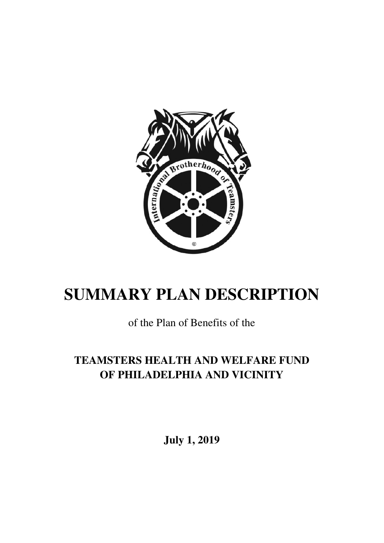

# **SUMMARY PLAN DESCRIPTION**

## of the Plan of Benefits of the

## **TEAMSTERS HEALTH AND WELFARE FUND OF PHILADELPHIA AND VICINITY**

**July 1, 2019**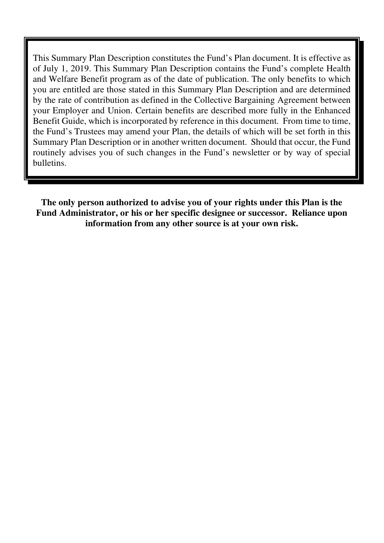This Summary Plan Description constitutes the Fund's Plan document. It is effective as of July 1, 2019. This Summary Plan Description contains the Fund's complete Health and Welfare Benefit program as of the date of publication. The only benefits to which you are entitled are those stated in this Summary Plan Description and are determined by the rate of contribution as defined in the Collective Bargaining Agreement between your Employer and Union. Certain benefits are described more fully in the Enhanced Benefit Guide, which is incorporated by reference in this document. From time to time, the Fund's Trustees may amend your Plan, the details of which will be set forth in this Summary Plan Description or in another written document. Should that occur, the Fund routinely advises you of such changes in the Fund's newsletter or by way of special bulletins.

**The only person authorized to advise you of your rights under this Plan is the Fund Administrator, or his or her specific designee or successor. Reliance upon information from any other source is at your own risk.**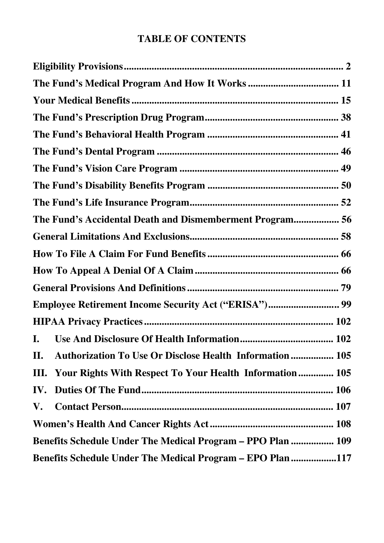### **TABLE OF CONTENTS**

| The Fund's Accidental Death and Dismemberment Program 56        |  |
|-----------------------------------------------------------------|--|
|                                                                 |  |
|                                                                 |  |
|                                                                 |  |
|                                                                 |  |
| Employee Retirement Income Security Act ("ERISA") 99            |  |
|                                                                 |  |
| I.                                                              |  |
| Authorization To Use Or Disclose Health Information  105<br>Н.  |  |
| Your Rights With Respect To Your Health Information 105<br>III. |  |
| IV.                                                             |  |
| V.                                                              |  |
|                                                                 |  |
| Benefits Schedule Under The Medical Program - PPO Plan  109     |  |
| Benefits Schedule Under The Medical Program - EPO Plan 117      |  |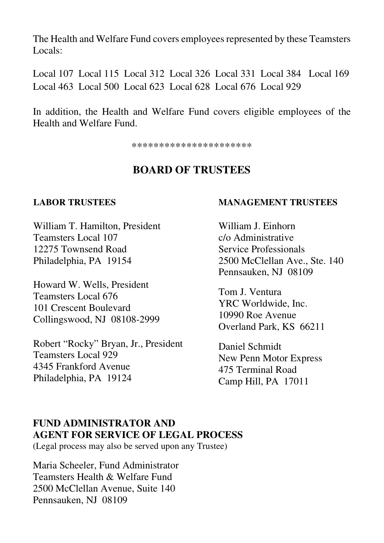The Health and Welfare Fund covers employees represented by these Teamsters Locals:

Local 107 Local 115 Local 312 Local 326 Local 331 Local 384 Local 169 Local 463 Local 500 Local 623 Local 628 Local 676 Local 929

In addition, the Health and Welfare Fund covers eligible employees of the Health and Welfare Fund.

\*\*\*\*\*\*\*\*\*\*\*\*\*\*\*\*\*\*\*\*\*\*

#### **BOARD OF TRUSTEES**

#### **LABOR TRUSTEES**

William T. Hamilton, President Teamsters Local 107 12275 Townsend Road Philadelphia, PA 19154

Howard W. Wells, President Teamsters Local 676 101 Crescent Boulevard Collingswood, NJ 08108-2999

Robert "Rocky" Bryan, Jr., President Teamsters Local 929 4345 Frankford Avenue Philadelphia, PA 19124

#### **MANAGEMENT TRUSTEES**

William J. Einhorn c/o Administrative Service Professionals 2500 McClellan Ave., Ste. 140 Pennsauken, NJ 08109

Tom J. Ventura YRC Worldwide, Inc. 10990 Roe Avenue Overland Park, KS 66211

Daniel Schmidt New Penn Motor Express 475 Terminal Road Camp Hill, PA 17011

#### **FUND ADMINISTRATOR AND AGENT FOR SERVICE OF LEGAL PROCESS**

(Legal process may also be served upon any Trustee)

Maria Scheeler, Fund Administrator Teamsters Health & Welfare Fund 2500 McClellan Avenue, Suite 140 Pennsauken, NJ 08109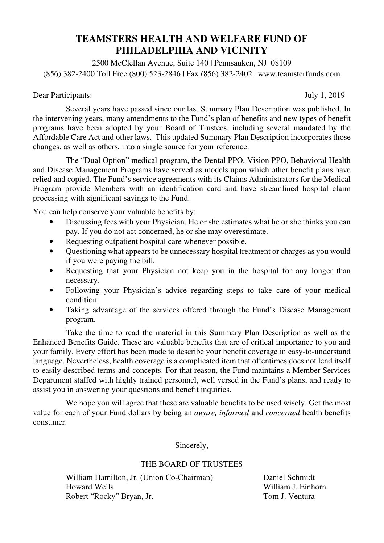#### **TEAMSTERS HEALTH AND WELFARE FUND OF PHILADELPHIA AND VICINITY**

2500 McClellan Avenue, Suite 140 | Pennsauken, NJ 08109 (856) 382-2400 Toll Free (800) 523-2846 | Fax (856) 382-2402 | www.teamsterfunds.com

Dear Participants: July 1, 2019

 Several years have passed since our last Summary Plan Description was published. In the intervening years, many amendments to the Fund's plan of benefits and new types of benefit programs have been adopted by your Board of Trustees, including several mandated by the Affordable Care Act and other laws. This updated Summary Plan Description incorporates those changes, as well as others, into a single source for your reference.

 The "Dual Option" medical program, the Dental PPO, Vision PPO, Behavioral Health and Disease Management Programs have served as models upon which other benefit plans have relied and copied. The Fund's service agreements with its Claims Administrators for the Medical Program provide Members with an identification card and have streamlined hospital claim processing with significant savings to the Fund.

You can help conserve your valuable benefits by:

- Discussing fees with your Physician. He or she estimates what he or she thinks you can pay. If you do not act concerned, he or she may overestimate.
- Requesting outpatient hospital care whenever possible.
- Questioning what appears to be unnecessary hospital treatment or charges as you would if you were paying the bill.
- Requesting that your Physician not keep you in the hospital for any longer than necessary.
- Following your Physician's advice regarding steps to take care of your medical condition.
- Taking advantage of the services offered through the Fund's Disease Management program.

 Take the time to read the material in this Summary Plan Description as well as the Enhanced Benefits Guide. These are valuable benefits that are of critical importance to you and your family. Every effort has been made to describe your benefit coverage in easy-to-understand language. Nevertheless, health coverage is a complicated item that oftentimes does not lend itself to easily described terms and concepts. For that reason, the Fund maintains a Member Services Department staffed with highly trained personnel, well versed in the Fund's plans, and ready to assist you in answering your questions and benefit inquiries.

 We hope you will agree that these are valuable benefits to be used wisely. Get the most value for each of your Fund dollars by being an *aware, informed* and *concerned* health benefits consumer.

Sincerely,

#### THE BOARD OF TRUSTEES

William Hamilton, Jr. (Union Co-Chairman) Daniel Schmidt Howard Wells William J. Einhorn Robert "Rocky" Bryan, Jr. Tom J. Ventura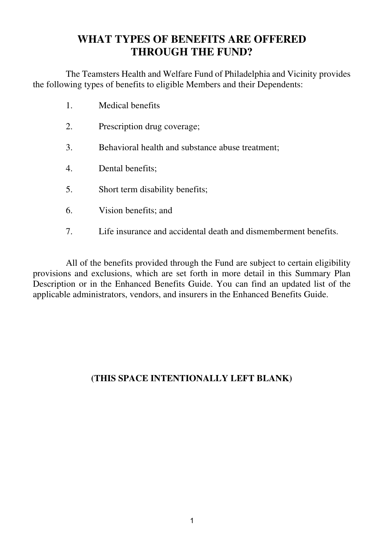### **WHAT TYPES OF BENEFITS ARE OFFERED THROUGH THE FUND?**

The Teamsters Health and Welfare Fund of Philadelphia and Vicinity provides the following types of benefits to eligible Members and their Dependents:

- 1. Medical benefits
- 2. Prescription drug coverage;
- 3. Behavioral health and substance abuse treatment;
- 4. Dental benefits;
- 5. Short term disability benefits;
- 6. Vision benefits; and
- 7. Life insurance and accidental death and dismemberment benefits.

All of the benefits provided through the Fund are subject to certain eligibility provisions and exclusions, which are set forth in more detail in this Summary Plan Description or in the Enhanced Benefits Guide. You can find an updated list of the applicable administrators, vendors, and insurers in the Enhanced Benefits Guide.

#### **(THIS SPACE INTENTIONALLY LEFT BLANK)**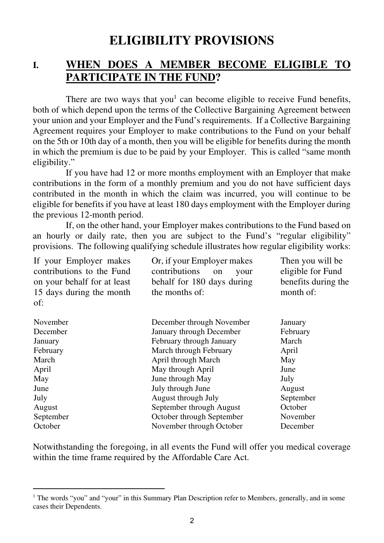## **ELIGIBILITY PROVISIONS**

#### **I. WHEN DOES A MEMBER BECOME ELIGIBLE TO PARTICIPATE IN THE FUND?**

There are two ways that you<sup>1</sup> can become eligible to receive Fund benefits, both of which depend upon the terms of the Collective Bargaining Agreement between your union and your Employer and the Fund's requirements. If a Collective Bargaining Agreement requires your Employer to make contributions to the Fund on your behalf on the 5th or 10th day of a month, then you will be eligible for benefits during the month in which the premium is due to be paid by your Employer. This is called "same month eligibility."

 If you have had 12 or more months employment with an Employer that make contributions in the form of a monthly premium and you do not have sufficient days contributed in the month in which the claim was incurred, you will continue to be eligible for benefits if you have at least 180 days employment with the Employer during the previous 12-month period.

 If, on the other hand, your Employer makes contributions to the Fund based on an hourly or daily rate, then you are subject to the Fund's "regular eligibility" provisions. The following qualifying schedule illustrates how regular eligibility works:

| Or, if your Employer makes<br>contributions<br>your<br>on | Then you will be<br>eligible for Fund |
|-----------------------------------------------------------|---------------------------------------|
| behalf for 180 days during                                | benefits during the                   |
| the months of:                                            | month of:                             |
|                                                           |                                       |
| December through November                                 | January                               |
| January through December                                  | February                              |
| February through January                                  | March                                 |
| March through February                                    | April                                 |
| April through March                                       | May                                   |
| May through April                                         | June                                  |
| June through May                                          | July                                  |
| July through June                                         | August                                |
| August through July                                       | September                             |
| September through August                                  | October                               |
| October through September                                 | November                              |
| November through October                                  | December                              |
|                                                           |                                       |

Notwithstanding the foregoing, in all events the Fund will offer you medical coverage within the time frame required by the Affordable Care Act.

<sup>&</sup>lt;sup>1</sup> The words "you" and "your" in this Summary Plan Description refer to Members, generally, and in some cases their Dependents.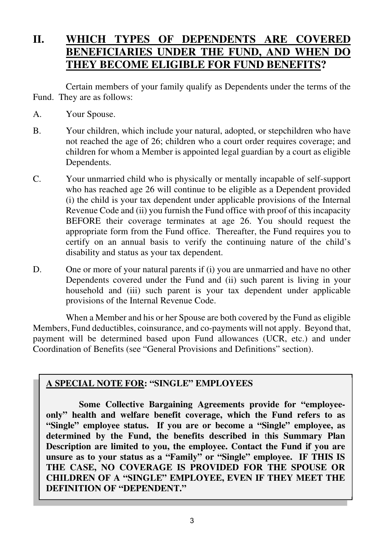## **II. WHICH TYPES OF DEPENDENTS ARE COVERED BENEFICIARIES UNDER THE FUND, AND WHEN DO THEY BECOME ELIGIBLE FOR FUND BENEFITS?**

Certain members of your family qualify as Dependents under the terms of the Fund. They are as follows:

- A. Your Spouse.
- B. Your children, which include your natural, adopted, or stepchildren who have not reached the age of 26; children who a court order requires coverage; and children for whom a Member is appointed legal guardian by a court as eligible Dependents.
- C. Your unmarried child who is physically or mentally incapable of self-support who has reached age 26 will continue to be eligible as a Dependent provided (i) the child is your tax dependent under applicable provisions of the Internal Revenue Code and (ii) you furnish the Fund office with proof of this incapacity BEFORE their coverage terminates at age 26. You should request the appropriate form from the Fund office. Thereafter, the Fund requires you to certify on an annual basis to verify the continuing nature of the child's disability and status as your tax dependent.
- D. One or more of your natural parents if (i) you are unmarried and have no other Dependents covered under the Fund and (ii) such parent is living in your household and (iii) such parent is your tax dependent under applicable provisions of the Internal Revenue Code.

When a Member and his or her Spouse are both covered by the Fund as eligible Members, Fund deductibles, coinsurance, and co-payments will not apply. Beyond that, payment will be determined based upon Fund allowances (UCR, etc.) and under Coordination of Benefits (see "General Provisions and Definitions" section).

#### **A SPECIAL NOTE FOR: "SINGLE" EMPLOYEES**

**Some Collective Bargaining Agreements provide for "employeeonly" health and welfare benefit coverage, which the Fund refers to as "Single" employee status. If you are or become a "Single" employee, as determined by the Fund, the benefits described in** t**his Summary Plan Description are limited to you, the employee. Contact the Fund if you are unsure as to your status as a "Family" or "Single" employee. IF THIS IS THE CASE, NO COVERAGE IS PROVIDED FOR THE SPOUSE OR CHILDREN OF A "SINGLE" EMPLOYEE, EVEN IF THEY MEET THE DEFINITION OF "DEPENDENT."**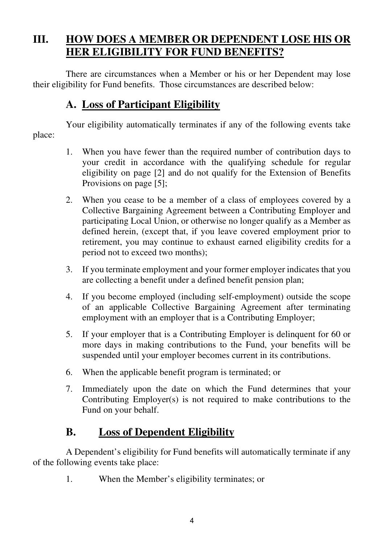## **III. HOW DOES A MEMBER OR DEPENDENT LOSE HIS OR HER ELIGIBILITY FOR FUND BENEFITS?**

There are circumstances when a Member or his or her Dependent may lose their eligibility for Fund benefits. Those circumstances are described below:

## **A. Loss of Participant Eligibility**

Your eligibility automatically terminates if any of the following events take place:

- 1. When you have fewer than the required number of contribution days to your credit in accordance with the qualifying schedule for regular eligibility on page [2] and do not qualify for the Extension of Benefits Provisions on page [5];
- 2. When you cease to be a member of a class of employees covered by a Collective Bargaining Agreement between a Contributing Employer and participating Local Union, or otherwise no longer qualify as a Member as defined herein, (except that, if you leave covered employment prior to retirement, you may continue to exhaust earned eligibility credits for a period not to exceed two months);
- 3. If you terminate employment and your former employer indicates that you are collecting a benefit under a defined benefit pension plan;
- 4. If you become employed (including self-employment) outside the scope of an applicable Collective Bargaining Agreement after terminating employment with an employer that is a Contributing Employer;
- 5. If your employer that is a Contributing Employer is delinquent for 60 or more days in making contributions to the Fund, your benefits will be suspended until your employer becomes current in its contributions.
- 6. When the applicable benefit program is terminated; or
- 7. Immediately upon the date on which the Fund determines that your Contributing Employer(s) is not required to make contributions to the Fund on your behalf.

### **B. Loss of Dependent Eligibility**

A Dependent's eligibility for Fund benefits will automatically terminate if any of the following events take place:

1. When the Member's eligibility terminates; or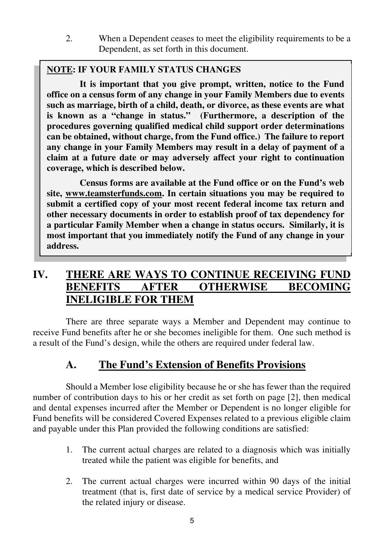2. When a Dependent ceases to meet the eligibility requirements to be a Dependent, as set forth in this document.

#### **NOTE: IF YOUR FAMILY STATUS CHANGES**

**It is important that you give prompt, written, notice to the Fund office on a census form of any change in your Family Members due to events such as marriage, birth of a child, death, or divorce, as these events are what is known as a "change in status." (Furthermore, a description of the procedures governing qualified medical child support order determinations can be obtained, without charge, from the Fund office.) The failure to report any change in your Family Members may result in a delay of payment of a claim at a future date or may adversely affect your right to continuation coverage, which is described below.** 

**Census forms are available at the Fund office or on the Fund's web site, www.teamsterfunds.com. In certain situations you may be required to submit a certified copy of your most recent federal income tax return and other necessary documents in order to establish proof of tax dependency for a particular Family Member when a change in status occurs. Similarly, it is most important that you immediately notify the Fund of any change in your address.** 

### **IV. THERE ARE WAYS TO CONTINUE RECEIVING FUND BENEFITS AFTER OTHERWISE BECOMING INELIGIBLE FOR THEM**

There are three separate ways a Member and Dependent may continue to receive Fund benefits after he or she becomes ineligible for them. One such method is a result of the Fund's design, while the others are required under federal law.

## **A. The Fund's Extension of Benefits Provisions**

Should a Member lose eligibility because he or she has fewer than the required number of contribution days to his or her credit as set forth on page [2], then medical and dental expenses incurred after the Member or Dependent is no longer eligible for Fund benefits will be considered Covered Expenses related to a previous eligible claim and payable under this Plan provided the following conditions are satisfied:

- 1. The current actual charges are related to a diagnosis which was initially treated while the patient was eligible for benefits, and
- 2. The current actual charges were incurred within 90 days of the initial treatment (that is, first date of service by a medical service Provider) of the related injury or disease.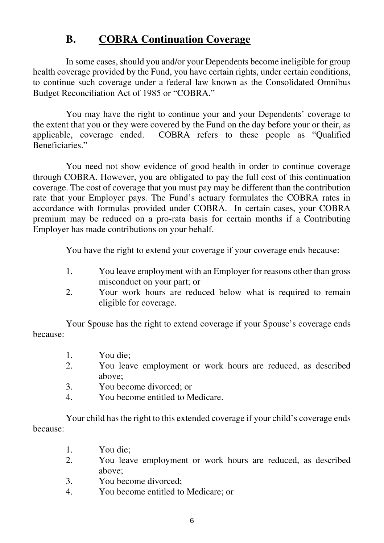## **B. COBRA Continuation Coverage**

 In some cases, should you and/or your Dependents become ineligible for group health coverage provided by the Fund, you have certain rights, under certain conditions, to continue such coverage under a federal law known as the Consolidated Omnibus Budget Reconciliation Act of 1985 or "COBRA."

 You may have the right to continue your and your Dependents' coverage to the extent that you or they were covered by the Fund on the day before your or their, as applicable, coverage ended. COBRA refers to these people as "Qualified Beneficiaries."

 You need not show evidence of good health in order to continue coverage through COBRA. However, you are obligated to pay the full cost of this continuation coverage. The cost of coverage that you must pay may be different than the contribution rate that your Employer pays. The Fund's actuary formulates the COBRA rates in accordance with formulas provided under COBRA. In certain cases, your COBRA premium may be reduced on a pro-rata basis for certain months if a Contributing Employer has made contributions on your behalf.

You have the right to extend your coverage if your coverage ends because:

- 1. You leave employment with an Employer for reasons other than gross misconduct on your part; or
- 2. Your work hours are reduced below what is required to remain eligible for coverage.

 Your Spouse has the right to extend coverage if your Spouse's coverage ends because:

- 1. You die;<br>2 You leav
- You leave employment or work hours are reduced, as described above;
- 3. You become divorced; or
- 4. You become entitled to Medicare.

 Your child has the right to this extended coverage if your child's coverage ends because:

- 1. You die;<br>2. You leay
- You leave employment or work hours are reduced, as described above;
- 3. You become divorced;
- 4. You become entitled to Medicare; or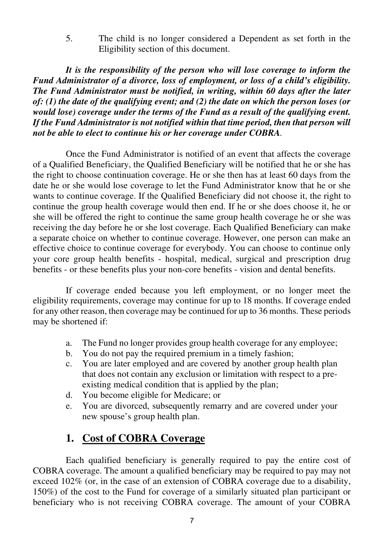5. The child is no longer considered a Dependent as set forth in the Eligibility section of this document.

 *It is the responsibility of the person who will lose coverage to inform the Fund Administrator of a divorce, loss of employment, or loss of a child's eligibility. The Fund Administrator must be notified, in writing, within 60 days after the later of: (1) the date of the qualifying event; and (2) the date on which the person loses (or would lose) coverage under the terms of the Fund as a result of the qualifying event. If the Fund Administrator is not notified within that time period, then that person will not be able to elect to continue his or her coverage under COBRA.* 

 Once the Fund Administrator is notified of an event that affects the coverage of a Qualified Beneficiary, the Qualified Beneficiary will be notified that he or she has the right to choose continuation coverage. He or she then has at least 60 days from the date he or she would lose coverage to let the Fund Administrator know that he or she wants to continue coverage. If the Qualified Beneficiary did not choose it, the right to continue the group health coverage would then end. If he or she does choose it, he or she will be offered the right to continue the same group health coverage he or she was receiving the day before he or she lost coverage. Each Qualified Beneficiary can make a separate choice on whether to continue coverage. However, one person can make an effective choice to continue coverage for everybody. You can choose to continue only your core group health benefits - hospital, medical, surgical and prescription drug benefits - or these benefits plus your non-core benefits - vision and dental benefits.

 If coverage ended because you left employment, or no longer meet the eligibility requirements, coverage may continue for up to 18 months. If coverage ended for any other reason, then coverage may be continued for up to 36 months. These periods may be shortened if:

- a. The Fund no longer provides group health coverage for any employee;
- b. You do not pay the required premium in a timely fashion;
- c. You are later employed and are covered by another group health plan that does not contain any exclusion or limitation with respect to a preexisting medical condition that is applied by the plan;
- d. You become eligible for Medicare; or
- e. You are divorced, subsequently remarry and are covered under your new spouse's group health plan.

### **1. Cost of COBRA Coverage**

Each qualified beneficiary is generally required to pay the entire cost of COBRA coverage. The amount a qualified beneficiary may be required to pay may not exceed 102% (or, in the case of an extension of COBRA coverage due to a disability, 150%) of the cost to the Fund for coverage of a similarly situated plan participant or beneficiary who is not receiving COBRA coverage. The amount of your COBRA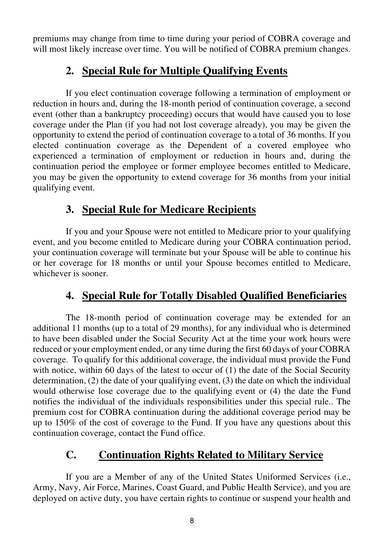premiums may change from time to time during your period of COBRA coverage and will most likely increase over time. You will be notified of COBRA premium changes.

### **2. Special Rule for Multiple Qualifying Events**

If you elect continuation coverage following a termination of employment or reduction in hours and, during the 18-month period of continuation coverage, a second event (other than a bankruptcy proceeding) occurs that would have caused you to lose coverage under the Plan (if you had not lost coverage already), you may be given the opportunity to extend the period of continuation coverage to a total of 36 months. If you elected continuation coverage as the Dependent of a covered employee who experienced a termination of employment or reduction in hours and, during the continuation period the employee or former employee becomes entitled to Medicare, you may be given the opportunity to extend coverage for 36 months from your initial qualifying event.

## **3. Special Rule for Medicare Recipients**

 If you and your Spouse were not entitled to Medicare prior to your qualifying event, and you become entitled to Medicare during your COBRA continuation period, your continuation coverage will terminate but your Spouse will be able to continue his or her coverage for 18 months or until your Spouse becomes entitled to Medicare, whichever is sooner.

## **4. Special Rule for Totally Disabled Qualified Beneficiaries**

 The 18-month period of continuation coverage may be extended for an additional 11 months (up to a total of 29 months), for any individual who is determined to have been disabled under the Social Security Act at the time your work hours were reduced or your employment ended, or any time during the first 60 days of your COBRA coverage. To qualify for this additional coverage, the individual must provide the Fund with notice, within 60 days of the latest to occur of (1) the date of the Social Security determination, (2) the date of your qualifying event, (3) the date on which the individual would otherwise lose coverage due to the qualifying event or (4) the date the Fund notifies the individual of the individuals responsibilities under this special rule.. The premium cost for COBRA continuation during the additional coverage period may be up to 150% of the cost of coverage to the Fund. If you have any questions about this continuation coverage, contact the Fund office.

## **C. Continuation Rights Related to Military Service**

 If you are a Member of any of the United States Uniformed Services (i.e., Army, Navy, Air Force, Marines, Coast Guard, and Public Health Service), and you are deployed on active duty, you have certain rights to continue or suspend your health and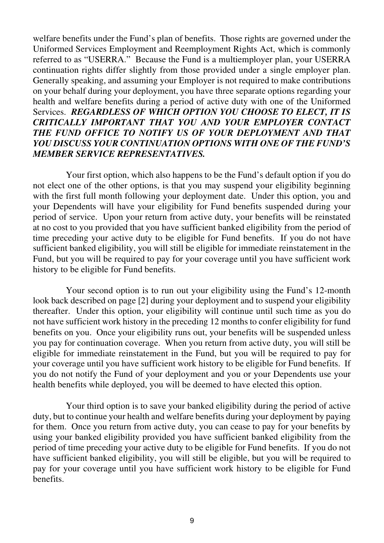welfare benefits under the Fund's plan of benefits. Those rights are governed under the Uniformed Services Employment and Reemployment Rights Act, which is commonly referred to as "USERRA." Because the Fund is a multiemployer plan, your USERRA continuation rights differ slightly from those provided under a single employer plan. Generally speaking, and assuming your Employer is not required to make contributions on your behalf during your deployment, you have three separate options regarding your health and welfare benefits during a period of active duty with one of the Uniformed Services. *REGARDLESS OF WHICH OPTION YOU CHOOSE TO ELECT, IT IS CRITICALLY IMPORTANT THAT YOU AND YOUR EMPLOYER CONTACT THE FUND OFFICE TO NOTIFY US OF YOUR DEPLOYMENT AND THAT YOU DISCUSS YOUR CONTINUATION OPTIONS WITH ONE OF THE FUND'S MEMBER SERVICE REPRESENTATIVES.*

 Your first option, which also happens to be the Fund's default option if you do not elect one of the other options, is that you may suspend your eligibility beginning with the first full month following your deployment date. Under this option, you and your Dependents will have your eligibility for Fund benefits suspended during your period of service. Upon your return from active duty, your benefits will be reinstated at no cost to you provided that you have sufficient banked eligibility from the period of time preceding your active duty to be eligible for Fund benefits. If you do not have sufficient banked eligibility, you will still be eligible for immediate reinstatement in the Fund, but you will be required to pay for your coverage until you have sufficient work history to be eligible for Fund benefits.

 Your second option is to run out your eligibility using the Fund's 12-month look back described on page [2] during your deployment and to suspend your eligibility thereafter. Under this option, your eligibility will continue until such time as you do not have sufficient work history in the preceding 12 months to confer eligibility for fund benefits on you. Once your eligibility runs out, your benefits will be suspended unless you pay for continuation coverage. When you return from active duty, you will still be eligible for immediate reinstatement in the Fund, but you will be required to pay for your coverage until you have sufficient work history to be eligible for Fund benefits. If you do not notify the Fund of your deployment and you or your Dependents use your health benefits while deployed, you will be deemed to have elected this option.

 Your third option is to save your banked eligibility during the period of active duty, but to continue your health and welfare benefits during your deployment by paying for them. Once you return from active duty, you can cease to pay for your benefits by using your banked eligibility provided you have sufficient banked eligibility from the period of time preceding your active duty to be eligible for Fund benefits. If you do not have sufficient banked eligibility, you will still be eligible, but you will be required to pay for your coverage until you have sufficient work history to be eligible for Fund benefits.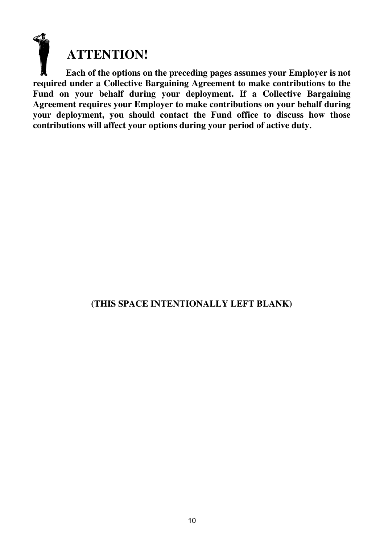**ATTENTION!** 

 **Each of the options on the preceding pages assumes your Employer is not required under a Collective Bargaining Agreement to make contributions to the Fund on your behalf during your deployment. If a Collective Bargaining Agreement requires your Employer to make contributions on your behalf during your deployment, you should contact the Fund office to discuss how those contributions will affect your options during your period of active duty.** 

#### **(THIS SPACE INTENTIONALLY LEFT BLANK)**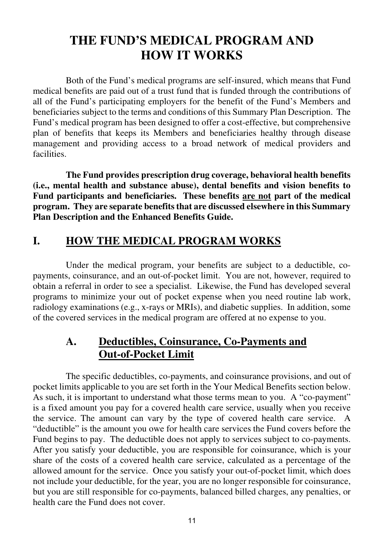## **THE FUND'S MEDICAL PROGRAM AND HOW IT WORKS**

Both of the Fund's medical programs are self-insured, which means that Fund medical benefits are paid out of a trust fund that is funded through the contributions of all of the Fund's participating employers for the benefit of the Fund's Members and beneficiaries subject to the terms and conditions of this Summary Plan Description. The Fund's medical program has been designed to offer a cost-effective, but comprehensive plan of benefits that keeps its Members and beneficiaries healthy through disease management and providing access to a broad network of medical providers and facilities.

 **The Fund provides prescription drug coverage, behavioral health benefits (i.e., mental health and substance abuse), dental benefits and vision benefits to Fund participants and beneficiaries. These benefits are not part of the medical program. They are separate benefits that are discussed elsewhere in this Summary Plan Description and the Enhanced Benefits Guide.**

### **I. HOW THE MEDICAL PROGRAM WORKS**

Under the medical program, your benefits are subject to a deductible, copayments, coinsurance, and an out-of-pocket limit. You are not, however, required to obtain a referral in order to see a specialist. Likewise, the Fund has developed several programs to minimize your out of pocket expense when you need routine lab work, radiology examinations (e.g., x-rays or MRIs), and diabetic supplies. In addition, some of the covered services in the medical program are offered at no expense to you.

### **A. Deductibles, Coinsurance, Co-Payments and Out-of-Pocket Limit**

The specific deductibles, co-payments, and coinsurance provisions, and out of pocket limits applicable to you are set forth in the Your Medical Benefits section below. As such, it is important to understand what those terms mean to you. A "co-payment" is a fixed amount you pay for a covered health care service, usually when you receive the service. The amount can vary by the type of covered health care service. A "deductible" is the amount you owe for health care services the Fund covers before the Fund begins to pay. The deductible does not apply to services subject to co-payments. After you satisfy your deductible, you are responsible for coinsurance, which is your share of the costs of a covered health care service, calculated as a percentage of the allowed amount for the service. Once you satisfy your out-of-pocket limit, which does not include your deductible, for the year, you are no longer responsible for coinsurance, but you are still responsible for co-payments, balanced billed charges, any penalties, or health care the Fund does not cover.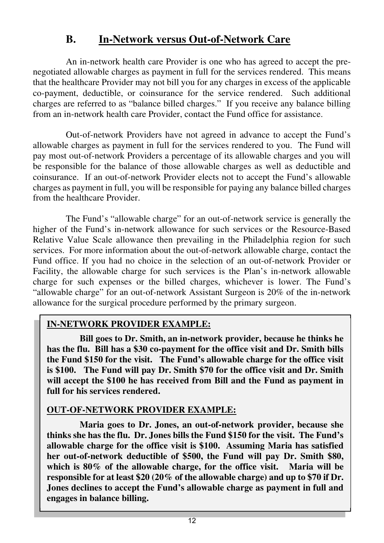### **B. In-Network versus Out-of-Network Care**

An in-network health care Provider is one who has agreed to accept the prenegotiated allowable charges as payment in full for the services rendered. This means that the healthcare Provider may not bill you for any charges in excess of the applicable co-payment, deductible, or coinsurance for the service rendered. Such additional charges are referred to as "balance billed charges." If you receive any balance billing from an in-network health care Provider, contact the Fund office for assistance.

Out-of-network Providers have not agreed in advance to accept the Fund's allowable charges as payment in full for the services rendered to you. The Fund will pay most out-of-network Providers a percentage of its allowable charges and you will be responsible for the balance of those allowable charges as well as deductible and coinsurance. If an out-of-network Provider elects not to accept the Fund's allowable charges as payment in full, you will be responsible for paying any balance billed charges from the healthcare Provider.

The Fund's "allowable charge" for an out-of-network service is generally the higher of the Fund's in-network allowance for such services or the Resource-Based Relative Value Scale allowance then prevailing in the Philadelphia region for such services. For more information about the out-of-network allowable charge, contact the Fund office. If you had no choice in the selection of an out-of-network Provider or Facility, the allowable charge for such services is the Plan's in-network allowable charge for such expenses or the billed charges, whichever is lower. The Fund's "allowable charge" for an out-of-network Assistant Surgeon is 20% of the in-network allowance for the surgical procedure performed by the primary surgeon.

#### **IN-NETWORK PROVIDER EXAMPLE:**

**Bill goes to Dr. Smith, an in-network provider, because he thinks he has the flu. Bill has a \$30 co-payment for the office visit and Dr. Smith bills the Fund \$150 for the visit. The Fund's allowable charge for the office visit is \$100. The Fund will pay Dr. Smith \$70 for the office visit and Dr. Smith will accept the \$100 he has received from Bill and the Fund as payment in full for his services rendered.** 

#### **OUT-OF-NETWORK PROVIDER EXAMPLE:**

**Maria goes to Dr. Jones, an out-of-network provider, because she thinks she has the flu. Dr. Jones bills the Fund \$150 for the visit. The Fund's allowable charge for the office visit is \$100. Assuming Maria has satisfied her out-of-network deductible of \$500, the Fund will pay Dr. Smith \$80, which is 80% of the allowable charge, for the office visit. Maria will be responsible for at least \$20 (20% of the allowable charge) and up to \$70 if Dr. Jones declines to accept the Fund's allowable charge as payment in full and engages in balance billing.**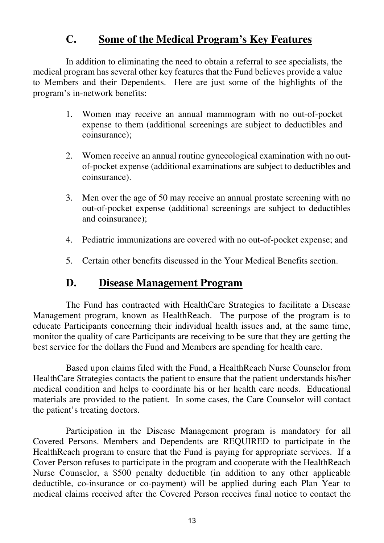### **C. Some of the Medical Program's Key Features**

In addition to eliminating the need to obtain a referral to see specialists, the medical program has several other key features that the Fund believes provide a value to Members and their Dependents. Here are just some of the highlights of the program's in-network benefits:

- 1. Women may receive an annual mammogram with no out-of-pocket expense to them (additional screenings are subject to deductibles and coinsurance);
- 2. Women receive an annual routine gynecological examination with no outof-pocket expense (additional examinations are subject to deductibles and coinsurance).
- 3. Men over the age of 50 may receive an annual prostate screening with no out-of-pocket expense (additional screenings are subject to deductibles and coinsurance);
- 4. Pediatric immunizations are covered with no out-of-pocket expense; and
- 5. Certain other benefits discussed in the Your Medical Benefits section.

#### **D. Disease Management Program**

The Fund has contracted with HealthCare Strategies to facilitate a Disease Management program, known as HealthReach. The purpose of the program is to educate Participants concerning their individual health issues and, at the same time, monitor the quality of care Participants are receiving to be sure that they are getting the best service for the dollars the Fund and Members are spending for health care.

Based upon claims filed with the Fund, a HealthReach Nurse Counselor from HealthCare Strategies contacts the patient to ensure that the patient understands his/her medical condition and helps to coordinate his or her health care needs. Educational materials are provided to the patient. In some cases, the Care Counselor will contact the patient's treating doctors.

Participation in the Disease Management program is mandatory for all Covered Persons. Members and Dependents are REQUIRED to participate in the HealthReach program to ensure that the Fund is paying for appropriate services. If a Cover Person refuses to participate in the program and cooperate with the HealthReach Nurse Counselor, a \$500 penalty deductible (in addition to any other applicable deductible, co-insurance or co-payment) will be applied during each Plan Year to medical claims received after the Covered Person receives final notice to contact the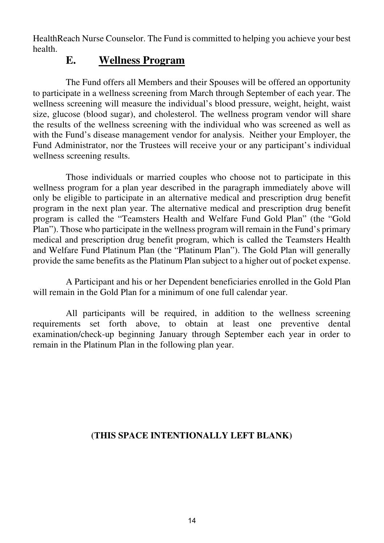HealthReach Nurse Counselor. The Fund is committed to helping you achieve your best health.

#### **E. Wellness Program**

The Fund offers all Members and their Spouses will be offered an opportunity to participate in a wellness screening from March through September of each year. The wellness screening will measure the individual's blood pressure, weight, height, waist size, glucose (blood sugar), and cholesterol. The wellness program vendor will share the results of the wellness screening with the individual who was screened as well as with the Fund's disease management vendor for analysis. Neither your Employer, the Fund Administrator, nor the Trustees will receive your or any participant's individual wellness screening results.

Those individuals or married couples who choose not to participate in this wellness program for a plan year described in the paragraph immediately above will only be eligible to participate in an alternative medical and prescription drug benefit program in the next plan year. The alternative medical and prescription drug benefit program is called the "Teamsters Health and Welfare Fund Gold Plan" (the "Gold Plan"). Those who participate in the wellness program will remain in the Fund's primary medical and prescription drug benefit program, which is called the Teamsters Health and Welfare Fund Platinum Plan (the "Platinum Plan"). The Gold Plan will generally provide the same benefits as the Platinum Plan subject to a higher out of pocket expense.

A Participant and his or her Dependent beneficiaries enrolled in the Gold Plan will remain in the Gold Plan for a minimum of one full calendar year.

All participants will be required, in addition to the wellness screening requirements set forth above, to obtain at least one preventive dental examination/check-up beginning January through September each year in order to remain in the Platinum Plan in the following plan year.

#### **(THIS SPACE INTENTIONALLY LEFT BLANK)**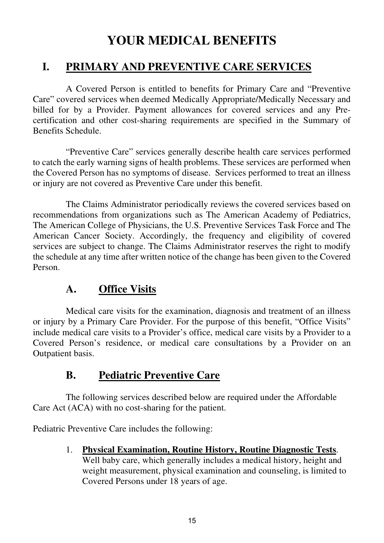## **YOUR MEDICAL BENEFITS**

### **I. PRIMARY AND PREVENTIVE CARE SERVICES**

 A Covered Person is entitled to benefits for Primary Care and "Preventive Care" covered services when deemed Medically Appropriate/Medically Necessary and billed for by a Provider. Payment allowances for covered services and any Precertification and other cost-sharing requirements are specified in the Summary of Benefits Schedule.

 "Preventive Care" services generally describe health care services performed to catch the early warning signs of health problems. These services are performed when the Covered Person has no symptoms of disease. Services performed to treat an illness or injury are not covered as Preventive Care under this benefit.

 The Claims Administrator periodically reviews the covered services based on recommendations from organizations such as The American Academy of Pediatrics, The American College of Physicians, the U.S. Preventive Services Task Force and The American Cancer Society. Accordingly, the frequency and eligibility of covered services are subject to change. The Claims Administrator reserves the right to modify the schedule at any time after written notice of the change has been given to the Covered Person.

### **A. Office Visits**

 Medical care visits for the examination, diagnosis and treatment of an illness or injury by a Primary Care Provider. For the purpose of this benefit, "Office Visits" include medical care visits to a Provider's office, medical care visits by a Provider to a Covered Person's residence, or medical care consultations by a Provider on an Outpatient basis.

## **B. Pediatric Preventive Care**

 The following services described below are required under the Affordable Care Act (ACA) with no cost-sharing for the patient.

Pediatric Preventive Care includes the following:

1. **Physical Examination, Routine History, Routine Diagnostic Tests**.

Well baby care, which generally includes a medical history, height and weight measurement, physical examination and counseling, is limited to Covered Persons under 18 years of age.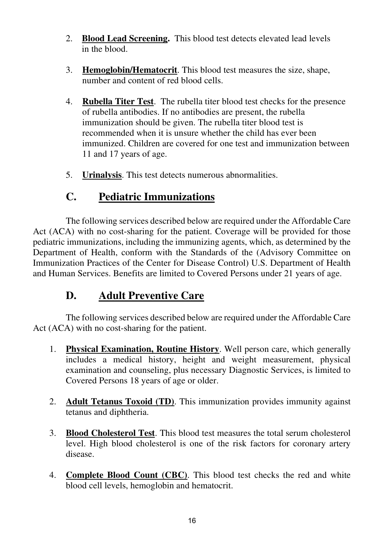- 2. **Blood Lead Screening.** This blood test detects elevated lead levels in the blood.
- 3. **Hemoglobin/Hematocrit**. This blood test measures the size, shape, number and content of red blood cells.
- 4. **Rubella Titer Test**. The rubella titer blood test checks for the presence of rubella antibodies. If no antibodies are present, the rubella immunization should be given. The rubella titer blood test is recommended when it is unsure whether the child has ever been immunized. Children are covered for one test and immunization between 11 and 17 years of age.
- 5. **Urinalysis**. This test detects numerous abnormalities.

## **C. Pediatric Immunizations**

The following services described below are required under the Affordable Care Act (ACA) with no cost-sharing for the patient. Coverage will be provided for those pediatric immunizations, including the immunizing agents, which, as determined by the Department of Health, conform with the Standards of the (Advisory Committee on Immunization Practices of the Center for Disease Control) U.S. Department of Health and Human Services. Benefits are limited to Covered Persons under 21 years of age.

## **D. Adult Preventive Care**

 The following services described below are required under the Affordable Care Act (ACA) with no cost-sharing for the patient.

- 1. **Physical Examination, Routine History**. Well person care, which generally includes a medical history, height and weight measurement, physical examination and counseling, plus necessary Diagnostic Services, is limited to Covered Persons 18 years of age or older.
- 2. **Adult Tetanus Toxoid (TD)**. This immunization provides immunity against tetanus and diphtheria.
- 3. **Blood Cholesterol Test**. This blood test measures the total serum cholesterol level. High blood cholesterol is one of the risk factors for coronary artery disease.
- 4. **Complete Blood Count (CBC)**. This blood test checks the red and white blood cell levels, hemoglobin and hematocrit.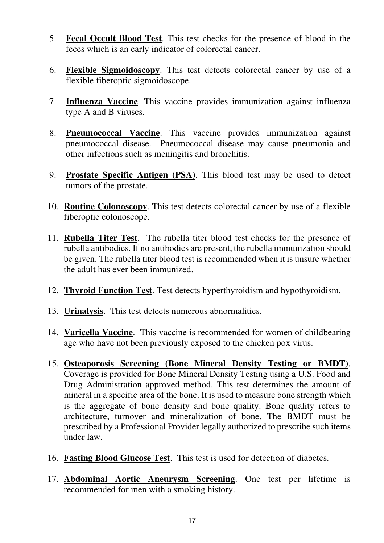- 5. **Fecal Occult Blood Test**. This test checks for the presence of blood in the feces which is an early indicator of colorectal cancer.
- 6. **Flexible Sigmoidoscopy**. This test detects colorectal cancer by use of a flexible fiberoptic sigmoidoscope.
- 7. **Influenza Vaccine**. This vaccine provides immunization against influenza type A and B viruses.
- 8. **Pneumococcal Vaccine**. This vaccine provides immunization against pneumococcal disease. Pneumococcal disease may cause pneumonia and other infections such as meningitis and bronchitis.
- 9. **Prostate Specific Antigen (PSA)**. This blood test may be used to detect tumors of the prostate.
- 10. **Routine Colonoscopy**. This test detects colorectal cancer by use of a flexible fiberoptic colonoscope.
- 11. **Rubella Titer Test**. The rubella titer blood test checks for the presence of rubella antibodies. If no antibodies are present, the rubella immunization should be given. The rubella titer blood test is recommended when it is unsure whether the adult has ever been immunized.
- 12. **Thyroid Function Test**. Test detects hyperthyroidism and hypothyroidism.
- 13. **Urinalysis**. This test detects numerous abnormalities.
- 14. **Varicella Vaccine**. This vaccine is recommended for women of childbearing age who have not been previously exposed to the chicken pox virus.
- 15. **Osteoporosis Screening (Bone Mineral Density Testing or BMDT)**. Coverage is provided for Bone Mineral Density Testing using a U.S. Food and Drug Administration approved method. This test determines the amount of mineral in a specific area of the bone. It is used to measure bone strength which is the aggregate of bone density and bone quality. Bone quality refers to architecture, turnover and mineralization of bone. The BMDT must be prescribed by a Professional Provider legally authorized to prescribe such items under law.
- 16. **Fasting Blood Glucose Test**. This test is used for detection of diabetes.
- 17. **Abdominal Aortic Aneurysm Screening**. One test per lifetime is recommended for men with a smoking history.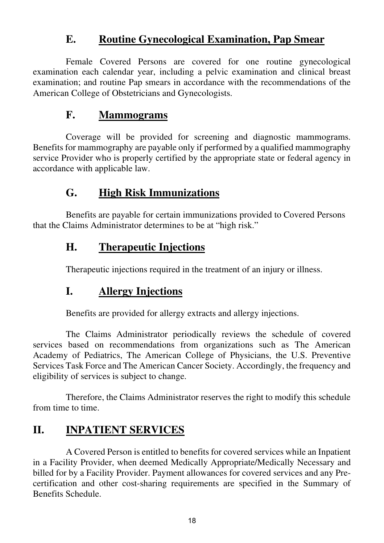### **E. Routine Gynecological Examination, Pap Smear**

 Female Covered Persons are covered for one routine gynecological examination each calendar year, including a pelvic examination and clinical breast examination; and routine Pap smears in accordance with the recommendations of the American College of Obstetricians and Gynecologists.

### **F. Mammograms**

 Coverage will be provided for screening and diagnostic mammograms. Benefits for mammography are payable only if performed by a qualified mammography service Provider who is properly certified by the appropriate state or federal agency in accordance with applicable law.

## **G. High Risk Immunizations**

Benefits are payable for certain immunizations provided to Covered Persons that the Claims Administrator determines to be at "high risk."

## **H. Therapeutic Injections**

Therapeutic injections required in the treatment of an injury or illness.

## **I. Allergy Injections**

Benefits are provided for allergy extracts and allergy injections.

 The Claims Administrator periodically reviews the schedule of covered services based on recommendations from organizations such as The American Academy of Pediatrics, The American College of Physicians, the U.S. Preventive Services Task Force and The American Cancer Society. Accordingly, the frequency and eligibility of services is subject to change.

 Therefore, the Claims Administrator reserves the right to modify this schedule from time to time.

## **II. INPATIENT SERVICES**

 A Covered Person is entitled to benefits for covered services while an Inpatient in a Facility Provider, when deemed Medically Appropriate/Medically Necessary and billed for by a Facility Provider. Payment allowances for covered services and any Precertification and other cost-sharing requirements are specified in the Summary of Benefits Schedule.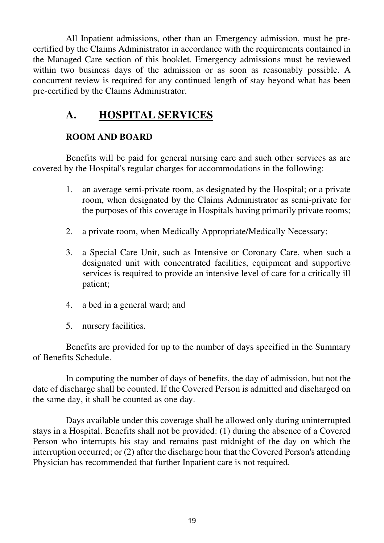All Inpatient admissions, other than an Emergency admission, must be precertified by the Claims Administrator in accordance with the requirements contained in the Managed Care section of this booklet. Emergency admissions must be reviewed within two business days of the admission or as soon as reasonably possible. A concurrent review is required for any continued length of stay beyond what has been pre-certified by the Claims Administrator.

### **A. HOSPITAL SERVICES**

#### **ROOM AND BOARD**

 Benefits will be paid for general nursing care and such other services as are covered by the Hospital's regular charges for accommodations in the following:

- 1. an average semi-private room, as designated by the Hospital; or a private room, when designated by the Claims Administrator as semi-private for the purposes of this coverage in Hospitals having primarily private rooms;
- 2. a private room, when Medically Appropriate/Medically Necessary;
- 3. a Special Care Unit, such as Intensive or Coronary Care, when such a designated unit with concentrated facilities, equipment and supportive services is required to provide an intensive level of care for a critically ill patient;
- 4. a bed in a general ward; and
- 5. nursery facilities.

 Benefits are provided for up to the number of days specified in the Summary of Benefits Schedule.

 In computing the number of days of benefits, the day of admission, but not the date of discharge shall be counted. If the Covered Person is admitted and discharged on the same day, it shall be counted as one day.

 Days available under this coverage shall be allowed only during uninterrupted stays in a Hospital. Benefits shall not be provided: (1) during the absence of a Covered Person who interrupts his stay and remains past midnight of the day on which the interruption occurred; or (2) after the discharge hour that the Covered Person's attending Physician has recommended that further Inpatient care is not required.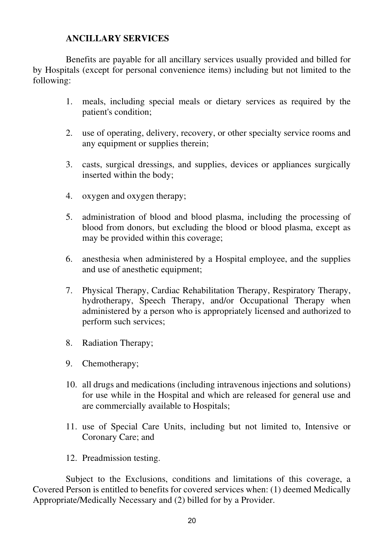#### **ANCILLARY SERVICES**

 Benefits are payable for all ancillary services usually provided and billed for by Hospitals (except for personal convenience items) including but not limited to the following:

- 1. meals, including special meals or dietary services as required by the patient's condition;
- 2. use of operating, delivery, recovery, or other specialty service rooms and any equipment or supplies therein;
- 3. casts, surgical dressings, and supplies, devices or appliances surgically inserted within the body;
- 4. oxygen and oxygen therapy;
- 5. administration of blood and blood plasma, including the processing of blood from donors, but excluding the blood or blood plasma, except as may be provided within this coverage;
- 6. anesthesia when administered by a Hospital employee, and the supplies and use of anesthetic equipment;
- 7. Physical Therapy, Cardiac Rehabilitation Therapy, Respiratory Therapy, hydrotherapy, Speech Therapy, and/or Occupational Therapy when administered by a person who is appropriately licensed and authorized to perform such services;
- 8. Radiation Therapy;
- 9. Chemotherapy;
- 10. all drugs and medications (including intravenous injections and solutions) for use while in the Hospital and which are released for general use and are commercially available to Hospitals;
- 11. use of Special Care Units, including but not limited to, Intensive or Coronary Care; and
- 12. Preadmission testing.

 Subject to the Exclusions, conditions and limitations of this coverage, a Covered Person is entitled to benefits for covered services when: (1) deemed Medically Appropriate/Medically Necessary and (2) billed for by a Provider.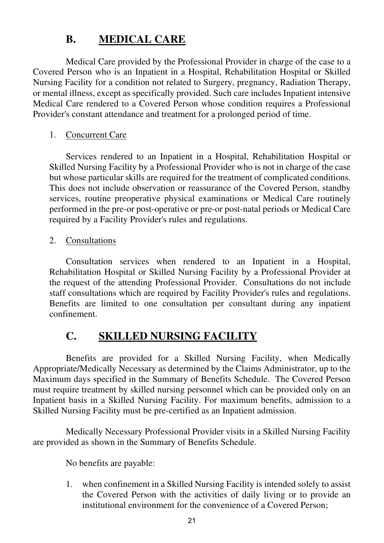## **B. MEDICAL CARE**

 Medical Care provided by the Professional Provider in charge of the case to a Covered Person who is an Inpatient in a Hospital, Rehabilitation Hospital or Skilled Nursing Facility for a condition not related to Surgery, pregnancy, Radiation Therapy, or mental illness, except as specifically provided. Such care includes Inpatient intensive Medical Care rendered to a Covered Person whose condition requires a Professional Provider's constant attendance and treatment for a prolonged period of time.

#### 1. Concurrent Care

 Services rendered to an Inpatient in a Hospital, Rehabilitation Hospital or Skilled Nursing Facility by a Professional Provider who is not in charge of the case but whose particular skills are required for the treatment of complicated conditions. This does not include observation or reassurance of the Covered Person, standby services, routine preoperative physical examinations or Medical Care routinely performed in the pre-or post-operative or pre-or post-natal periods or Medical Care required by a Facility Provider's rules and regulations.

#### 2. Consultations

 Consultation services when rendered to an Inpatient in a Hospital, Rehabilitation Hospital or Skilled Nursing Facility by a Professional Provider at the request of the attending Professional Provider. Consultations do not include staff consultations which are required by Facility Provider's rules and regulations. Benefits are limited to one consultation per consultant during any inpatient confinement.

## **C. SKILLED NURSING FACILITY**

 Benefits are provided for a Skilled Nursing Facility, when Medically Appropriate/Medically Necessary as determined by the Claims Administrator, up to the Maximum days specified in the Summary of Benefits Schedule. The Covered Person must require treatment by skilled nursing personnel which can be provided only on an Inpatient basis in a Skilled Nursing Facility. For maximum benefits, admission to a Skilled Nursing Facility must be pre-certified as an Inpatient admission.

 Medically Necessary Professional Provider visits in a Skilled Nursing Facility are provided as shown in the Summary of Benefits Schedule.

No benefits are payable:

1. when confinement in a Skilled Nursing Facility is intended solely to assist the Covered Person with the activities of daily living or to provide an institutional environment for the convenience of a Covered Person;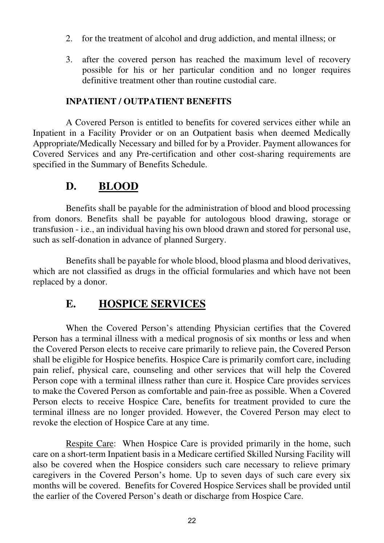- 2. for the treatment of alcohol and drug addiction, and mental illness; or
- 3. after the covered person has reached the maximum level of recovery possible for his or her particular condition and no longer requires definitive treatment other than routine custodial care.

#### **INPATIENT / OUTPATIENT BENEFITS**

 A Covered Person is entitled to benefits for covered services either while an Inpatient in a Facility Provider or on an Outpatient basis when deemed Medically Appropriate/Medically Necessary and billed for by a Provider. Payment allowances for Covered Services and any Pre-certification and other cost-sharing requirements are specified in the Summary of Benefits Schedule.

#### **D. BLOOD**

Benefits shall be payable for the administration of blood and blood processing from donors. Benefits shall be payable for autologous blood drawing, storage or transfusion - i.e., an individual having his own blood drawn and stored for personal use, such as self-donation in advance of planned Surgery.

Benefits shall be payable for whole blood, blood plasma and blood derivatives, which are not classified as drugs in the official formularies and which have not been replaced by a donor.

### **E. HOSPICE SERVICES**

When the Covered Person's attending Physician certifies that the Covered Person has a terminal illness with a medical prognosis of six months or less and when the Covered Person elects to receive care primarily to relieve pain, the Covered Person shall be eligible for Hospice benefits. Hospice Care is primarily comfort care, including pain relief, physical care, counseling and other services that will help the Covered Person cope with a terminal illness rather than cure it. Hospice Care provides services to make the Covered Person as comfortable and pain-free as possible. When a Covered Person elects to receive Hospice Care, benefits for treatment provided to cure the terminal illness are no longer provided. However, the Covered Person may elect to revoke the election of Hospice Care at any time.

Respite Care: When Hospice Care is provided primarily in the home, such care on a short-term Inpatient basis in a Medicare certified Skilled Nursing Facility will also be covered when the Hospice considers such care necessary to relieve primary caregivers in the Covered Person's home. Up to seven days of such care every six months will be covered. Benefits for Covered Hospice Services shall be provided until the earlier of the Covered Person's death or discharge from Hospice Care.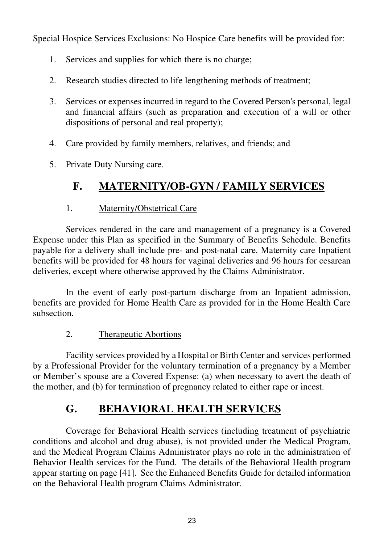Special Hospice Services Exclusions: No Hospice Care benefits will be provided for:

- 1. Services and supplies for which there is no charge;
- 2. Research studies directed to life lengthening methods of treatment;
- 3. Services or expenses incurred in regard to the Covered Person's personal, legal and financial affairs (such as preparation and execution of a will or other dispositions of personal and real property);
- 4. Care provided by family members, relatives, and friends; and
- 5. Private Duty Nursing care.

## **F. MATERNITY/OB-GYN / FAMILY SERVICES**

#### 1. Maternity/Obstetrical Care

 Services rendered in the care and management of a pregnancy is a Covered Expense under this Plan as specified in the Summary of Benefits Schedule. Benefits payable for a delivery shall include pre- and post-natal care. Maternity care Inpatient benefits will be provided for 48 hours for vaginal deliveries and 96 hours for cesarean deliveries, except where otherwise approved by the Claims Administrator.

 In the event of early post-partum discharge from an Inpatient admission, benefits are provided for Home Health Care as provided for in the Home Health Care subsection.

#### 2. Therapeutic Abortions

Facility services provided by a Hospital or Birth Center and services performed by a Professional Provider for the voluntary termination of a pregnancy by a Member or Member's spouse are a Covered Expense: (a) when necessary to avert the death of the mother, and (b) for termination of pregnancy related to either rape or incest.

## **G. BEHAVIORAL HEALTH SERVICES**

Coverage for Behavioral Health services (including treatment of psychiatric conditions and alcohol and drug abuse), is not provided under the Medical Program, and the Medical Program Claims Administrator plays no role in the administration of Behavior Health services for the Fund. The details of the Behavioral Health program appear starting on page [41]. See the Enhanced Benefits Guide for detailed information on the Behavioral Health program Claims Administrator.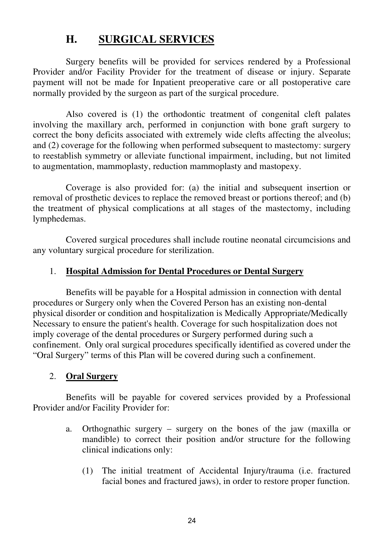## **H. SURGICAL SERVICES**

 Surgery benefits will be provided for services rendered by a Professional Provider and/or Facility Provider for the treatment of disease or injury. Separate payment will not be made for Inpatient preoperative care or all postoperative care normally provided by the surgeon as part of the surgical procedure.

 Also covered is (1) the orthodontic treatment of congenital cleft palates involving the maxillary arch, performed in conjunction with bone graft surgery to correct the bony deficits associated with extremely wide clefts affecting the alveolus; and (2) coverage for the following when performed subsequent to mastectomy: surgery to reestablish symmetry or alleviate functional impairment, including, but not limited to augmentation, mammoplasty, reduction mammoplasty and mastopexy.

 Coverage is also provided for: (a) the initial and subsequent insertion or removal of prosthetic devices to replace the removed breast or portions thereof; and (b) the treatment of physical complications at all stages of the mastectomy, including lymphedemas.

 Covered surgical procedures shall include routine neonatal circumcisions and any voluntary surgical procedure for sterilization.

#### 1. **Hospital Admission for Dental Procedures or Dental Surgery**

 Benefits will be payable for a Hospital admission in connection with dental procedures or Surgery only when the Covered Person has an existing non-dental physical disorder or condition and hospitalization is Medically Appropriate/Medically Necessary to ensure the patient's health. Coverage for such hospitalization does not imply coverage of the dental procedures or Surgery performed during such a confinement. Only oral surgical procedures specifically identified as covered under the "Oral Surgery" terms of this Plan will be covered during such a confinement.

#### 2. **Oral Surgery**

 Benefits will be payable for covered services provided by a Professional Provider and/or Facility Provider for:

- a. Orthognathic surgery surgery on the bones of the jaw (maxilla or mandible) to correct their position and/or structure for the following clinical indications only:
	- (1) The initial treatment of Accidental Injury/trauma (i.e. fractured facial bones and fractured jaws), in order to restore proper function.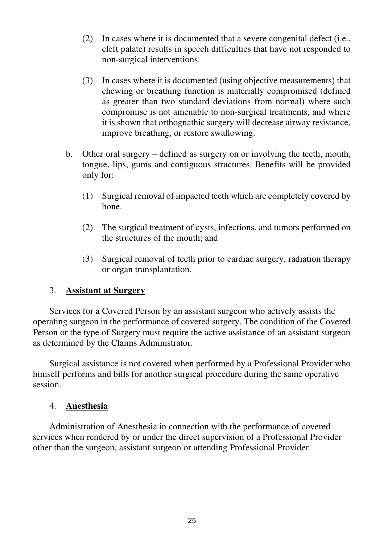- (2) In cases where it is documented that a severe congenital defect (i.e., cleft palate) results in speech difficulties that have not responded to non-surgical interventions.
- (3) In cases where it is documented (using objective measurements) that chewing or breathing function is materially compromised (defined as greater than two standard deviations from normal) where such compromise is not amenable to non-surgical treatments, and where it is shown that orthognathic surgery will decrease airway resistance, improve breathing, or restore swallowing.
- b. Other oral surgery defined as surgery on or involving the teeth, mouth, tongue, lips, gums and contiguous structures. Benefits will be provided only for:
	- (1) Surgical removal of impacted teeth which are completely covered by bone.
	- (2) The surgical treatment of cysts, infections, and tumors performed on the structures of the mouth; and
	- (3) Surgical removal of teeth prior to cardiac surgery, radiation therapy or organ transplantation.

#### 3. **Assistant at Surgery**

 Services for a Covered Person by an assistant surgeon who actively assists the operating surgeon in the performance of covered surgery. The condition of the Covered Person or the type of Surgery must require the active assistance of an assistant surgeon as determined by the Claims Administrator.

 Surgical assistance is not covered when performed by a Professional Provider who himself performs and bills for another surgical procedure during the same operative session.

#### 4. **Anesthesia**

 Administration of Anesthesia in connection with the performance of covered services when rendered by or under the direct supervision of a Professional Provider other than the surgeon, assistant surgeon or attending Professional Provider.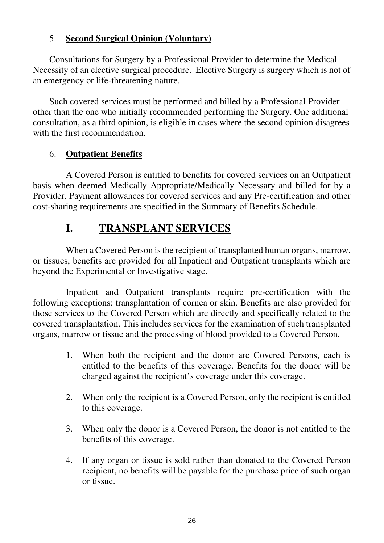#### 5. **Second Surgical Opinion (Voluntary)**

 Consultations for Surgery by a Professional Provider to determine the Medical Necessity of an elective surgical procedure. Elective Surgery is surgery which is not of an emergency or life-threatening nature.

 Such covered services must be performed and billed by a Professional Provider other than the one who initially recommended performing the Surgery. One additional consultation, as a third opinion, is eligible in cases where the second opinion disagrees with the first recommendation.

#### 6. **Outpatient Benefits**

A Covered Person is entitled to benefits for covered services on an Outpatient basis when deemed Medically Appropriate/Medically Necessary and billed for by a Provider. Payment allowances for covered services and any Pre-certification and other cost-sharing requirements are specified in the Summary of Benefits Schedule.

## **I. TRANSPLANT SERVICES**

 When a Covered Person is the recipient of transplanted human organs, marrow, or tissues, benefits are provided for all Inpatient and Outpatient transplants which are beyond the Experimental or Investigative stage.

 Inpatient and Outpatient transplants require pre-certification with the following exceptions: transplantation of cornea or skin. Benefits are also provided for those services to the Covered Person which are directly and specifically related to the covered transplantation. This includes services for the examination of such transplanted organs, marrow or tissue and the processing of blood provided to a Covered Person.

- 1. When both the recipient and the donor are Covered Persons, each is entitled to the benefits of this coverage. Benefits for the donor will be charged against the recipient's coverage under this coverage.
- 2. When only the recipient is a Covered Person, only the recipient is entitled to this coverage.
- 3. When only the donor is a Covered Person, the donor is not entitled to the benefits of this coverage.
- 4. If any organ or tissue is sold rather than donated to the Covered Person recipient, no benefits will be payable for the purchase price of such organ or tissue.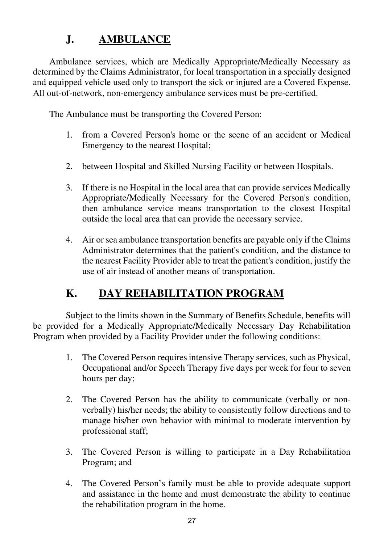## **J. AMBULANCE**

Ambulance services, which are Medically Appropriate/Medically Necessary as determined by the Claims Administrator, for local transportation in a specially designed and equipped vehicle used only to transport the sick or injured are a Covered Expense. All out-of-network, non-emergency ambulance services must be pre-certified.

The Ambulance must be transporting the Covered Person:

- 1. from a Covered Person's home or the scene of an accident or Medical Emergency to the nearest Hospital;
- 2. between Hospital and Skilled Nursing Facility or between Hospitals.
- 3. If there is no Hospital in the local area that can provide services Medically Appropriate/Medically Necessary for the Covered Person's condition, then ambulance service means transportation to the closest Hospital outside the local area that can provide the necessary service.
- 4. Air or sea ambulance transportation benefits are payable only if the Claims Administrator determines that the patient's condition, and the distance to the nearest Facility Provider able to treat the patient's condition, justify the use of air instead of another means of transportation.

## **K. DAY REHABILITATION PROGRAM**

 Subject to the limits shown in the Summary of Benefits Schedule, benefits will be provided for a Medically Appropriate/Medically Necessary Day Rehabilitation Program when provided by a Facility Provider under the following conditions:

- 1. The Covered Person requires intensive Therapy services, such as Physical, Occupational and/or Speech Therapy five days per week for four to seven hours per day;
- 2. The Covered Person has the ability to communicate (verbally or nonverbally) his/her needs; the ability to consistently follow directions and to manage his/her own behavior with minimal to moderate intervention by professional staff;
- 3. The Covered Person is willing to participate in a Day Rehabilitation Program; and
- 4. The Covered Person's family must be able to provide adequate support and assistance in the home and must demonstrate the ability to continue the rehabilitation program in the home.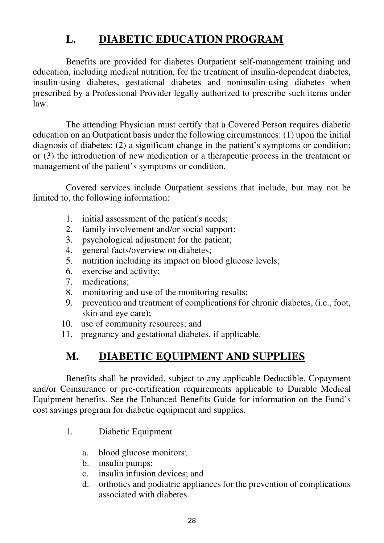## **L. DIABETIC EDUCATION PROGRAM**

 Benefits are provided for diabetes Outpatient self-management training and education, including medical nutrition, for the treatment of insulin-dependent diabetes, insulin-using diabetes, gestational diabetes and noninsulin-using diabetes when prescribed by a Professional Provider legally authorized to prescribe such items under law.

 The attending Physician must certify that a Covered Person requires diabetic education on an Outpatient basis under the following circumstances: (1) upon the initial diagnosis of diabetes; (2) a significant change in the patient's symptoms or condition; or (3) the introduction of new medication or a therapeutic process in the treatment or management of the patient's symptoms or condition.

 Covered services include Outpatient sessions that include, but may not be limited to, the following information:

- 1. initial assessment of the patient's needs;
- 2. family involvement and/or social support;
- 3. psychological adjustment for the patient;
- 4. general facts/overview on diabetes;
- 5. nutrition including its impact on blood glucose levels;
- 6. exercise and activity;
- 7. medications;
- 8. monitoring and use of the monitoring results;
- 9. prevention and treatment of complications for chronic diabetes, (i.e., foot, skin and eye care);
- 10. use of community resources; and
- 11. pregnancy and gestational diabetes, if applicable.

## **M. DIABETIC EQUIPMENT AND SUPPLIES**

 Benefits shall be provided, subject to any applicable Deductible, Copayment and/or Coinsurance or pre-certification requirements applicable to Durable Medical Equipment benefits. See the Enhanced Benefits Guide for information on the Fund's cost savings program for diabetic equipment and supplies.

- 1. Diabetic Equipment
	- a. blood glucose monitors;
	- b. insulin pumps;
	- c. insulin infusion devices; and
	- d. orthotics and podiatric appliances for the prevention of complications associated with diabetes.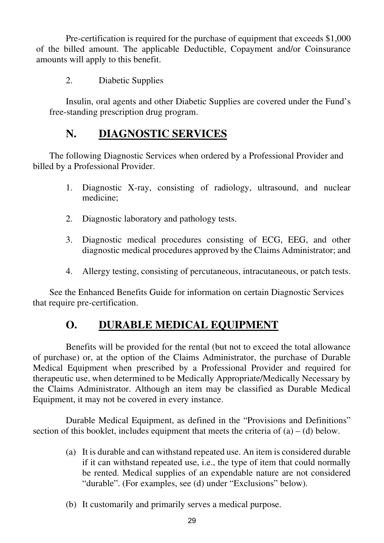Pre-certification is required for the purchase of equipment that exceeds \$1,000 of the billed amount. The applicable Deductible, Copayment and/or Coinsurance amounts will apply to this benefit.

2. Diabetic Supplies

 Insulin, oral agents and other Diabetic Supplies are covered under the Fund's free-standing prescription drug program.

#### **N. DIAGNOSTIC SERVICES**

 The following Diagnostic Services when ordered by a Professional Provider and billed by a Professional Provider.

- 1. Diagnostic X-ray, consisting of radiology, ultrasound, and nuclear medicine;
- 2. Diagnostic laboratory and pathology tests.
- 3. Diagnostic medical procedures consisting of ECG, EEG, and other diagnostic medical procedures approved by the Claims Administrator; and
- 4. Allergy testing, consisting of percutaneous, intracutaneous, or patch tests.

 See the Enhanced Benefits Guide for information on certain Diagnostic Services that require pre-certification.

## **O. DURABLE MEDICAL EQUIPMENT**

 Benefits will be provided for the rental (but not to exceed the total allowance of purchase) or, at the option of the Claims Administrator, the purchase of Durable Medical Equipment when prescribed by a Professional Provider and required for therapeutic use, when determined to be Medically Appropriate/Medically Necessary by the Claims Administrator. Although an item may be classified as Durable Medical Equipment, it may not be covered in every instance.

 Durable Medical Equipment, as defined in the "Provisions and Definitions" section of this booklet, includes equipment that meets the criteria of  $(a) - (d)$  below.

- (a) It is durable and can withstand repeated use. An item is considered durable if it can withstand repeated use, i.e., the type of item that could normally be rented. Medical supplies of an expendable nature are not considered "durable". (For examples, see (d) under "Exclusions" below).
- (b) It customarily and primarily serves a medical purpose.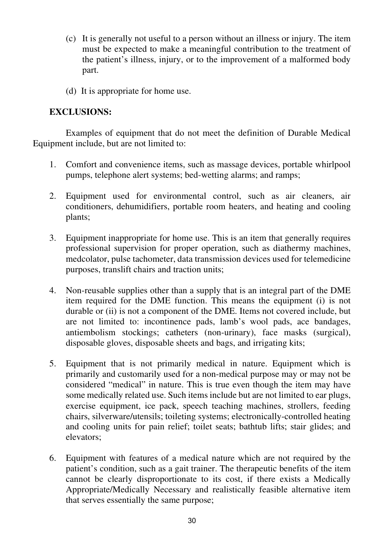- (c) It is generally not useful to a person without an illness or injury. The item must be expected to make a meaningful contribution to the treatment of the patient's illness, injury, or to the improvement of a malformed body part.
- (d) It is appropriate for home use.

#### **EXCLUSIONS:**

 Examples of equipment that do not meet the definition of Durable Medical Equipment include, but are not limited to:

- 1. Comfort and convenience items, such as massage devices, portable whirlpool pumps, telephone alert systems; bed-wetting alarms; and ramps;
- 2. Equipment used for environmental control, such as air cleaners, air conditioners, dehumidifiers, portable room heaters, and heating and cooling plants;
- 3. Equipment inappropriate for home use. This is an item that generally requires professional supervision for proper operation, such as diathermy machines, medcolator, pulse tachometer, data transmission devices used for telemedicine purposes, translift chairs and traction units;
- 4. Non-reusable supplies other than a supply that is an integral part of the DME item required for the DME function. This means the equipment (i) is not durable or (ii) is not a component of the DME. Items not covered include, but are not limited to: incontinence pads, lamb's wool pads, ace bandages, antiembolism stockings; catheters (non-urinary), face masks (surgical), disposable gloves, disposable sheets and bags, and irrigating kits;
- 5. Equipment that is not primarily medical in nature. Equipment which is primarily and customarily used for a non-medical purpose may or may not be considered "medical" in nature. This is true even though the item may have some medically related use. Such items include but are not limited to ear plugs, exercise equipment, ice pack, speech teaching machines, strollers, feeding chairs, silverware/utensils; toileting systems; electronically-controlled heating and cooling units for pain relief; toilet seats; bathtub lifts; stair glides; and elevators;
- 6. Equipment with features of a medical nature which are not required by the patient's condition, such as a gait trainer. The therapeutic benefits of the item cannot be clearly disproportionate to its cost, if there exists a Medically Appropriate/Medically Necessary and realistically feasible alternative item that serves essentially the same purpose;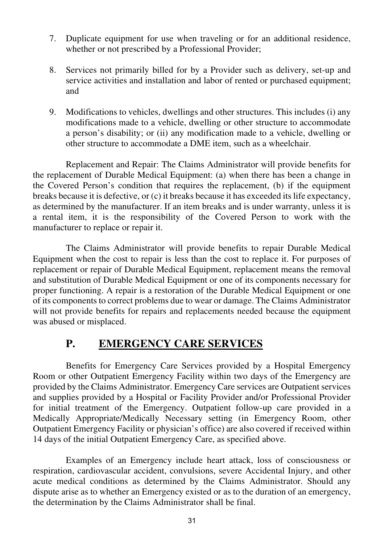- 7. Duplicate equipment for use when traveling or for an additional residence, whether or not prescribed by a Professional Provider;
- 8. Services not primarily billed for by a Provider such as delivery, set-up and service activities and installation and labor of rented or purchased equipment; and
- 9. Modifications to vehicles, dwellings and other structures. This includes (i) any modifications made to a vehicle, dwelling or other structure to accommodate a person's disability; or (ii) any modification made to a vehicle, dwelling or other structure to accommodate a DME item, such as a wheelchair.

 Replacement and Repair: The Claims Administrator will provide benefits for the replacement of Durable Medical Equipment: (a) when there has been a change in the Covered Person's condition that requires the replacement, (b) if the equipment breaks because it is defective, or (c) it breaks because it has exceeded its life expectancy, as determined by the manufacturer. If an item breaks and is under warranty, unless it is a rental item, it is the responsibility of the Covered Person to work with the manufacturer to replace or repair it.

 The Claims Administrator will provide benefits to repair Durable Medical Equipment when the cost to repair is less than the cost to replace it. For purposes of replacement or repair of Durable Medical Equipment, replacement means the removal and substitution of Durable Medical Equipment or one of its components necessary for proper functioning. A repair is a restoration of the Durable Medical Equipment or one of its components to correct problems due to wear or damage. The Claims Administrator will not provide benefits for repairs and replacements needed because the equipment was abused or misplaced.

## **P. EMERGENCY CARE SERVICES**

 Benefits for Emergency Care Services provided by a Hospital Emergency Room or other Outpatient Emergency Facility within two days of the Emergency are provided by the Claims Administrator. Emergency Care services are Outpatient services and supplies provided by a Hospital or Facility Provider and/or Professional Provider for initial treatment of the Emergency. Outpatient follow-up care provided in a Medically Appropriate/Medically Necessary setting (in Emergency Room, other Outpatient Emergency Facility or physician's office) are also covered if received within 14 days of the initial Outpatient Emergency Care, as specified above.

 Examples of an Emergency include heart attack, loss of consciousness or respiration, cardiovascular accident, convulsions, severe Accidental Injury, and other acute medical conditions as determined by the Claims Administrator. Should any dispute arise as to whether an Emergency existed or as to the duration of an emergency, the determination by the Claims Administrator shall be final.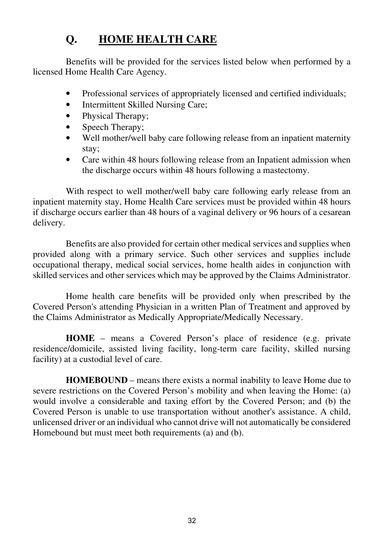# **Q. HOME HEALTH CARE**

 Benefits will be provided for the services listed below when performed by a licensed Home Health Care Agency.

- Professional services of appropriately licensed and certified individuals;
- Intermittent Skilled Nursing Care;
- Physical Therapy;
- Speech Therapy;
- Well mother/well baby care following release from an inpatient maternity stay;
- Care within 48 hours following release from an Inpatient admission when the discharge occurs within 48 hours following a mastectomy.

 With respect to well mother/well baby care following early release from an inpatient maternity stay, Home Health Care services must be provided within 48 hours if discharge occurs earlier than 48 hours of a vaginal delivery or 96 hours of a cesarean delivery.

 Benefits are also provided for certain other medical services and supplies when provided along with a primary service. Such other services and supplies include occupational therapy, medical social services, home health aides in conjunction with skilled services and other services which may be approved by the Claims Administrator.

 Home health care benefits will be provided only when prescribed by the Covered Person's attending Physician in a written Plan of Treatment and approved by the Claims Administrator as Medically Appropriate/Medically Necessary.

 **HOME** – means a Covered Person's place of residence (e.g. private residence/domicile, assisted living facility, long-term care facility, skilled nursing facility) at a custodial level of care.

 **HOMEBOUND** – means there exists a normal inability to leave Home due to severe restrictions on the Covered Person's mobility and when leaving the Home: (a) would involve a considerable and taxing effort by the Covered Person; and (b) the Covered Person is unable to use transportation without another's assistance. A child, unlicensed driver or an individual who cannot drive will not automatically be considered Homebound but must meet both requirements (a) and (b).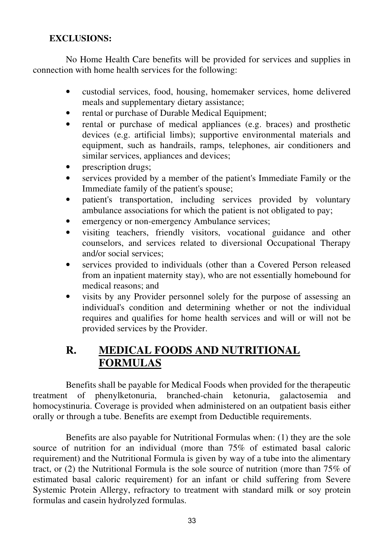### **EXCLUSIONS:**

 No Home Health Care benefits will be provided for services and supplies in connection with home health services for the following:

- custodial services, food, housing, homemaker services, home delivered meals and supplementary dietary assistance;
- rental or purchase of Durable Medical Equipment;
- rental or purchase of medical appliances (e.g. braces) and prosthetic devices (e.g. artificial limbs); supportive environmental materials and equipment, such as handrails, ramps, telephones, air conditioners and similar services, appliances and devices;
- prescription drugs;
- services provided by a member of the patient's Immediate Family or the Immediate family of the patient's spouse;
- patient's transportation, including services provided by voluntary ambulance associations for which the patient is not obligated to pay;
- emergency or non-emergency Ambulance services;
- visiting teachers, friendly visitors, vocational guidance and other counselors, and services related to diversional Occupational Therapy and/or social services;
- services provided to individuals (other than a Covered Person released from an inpatient maternity stay), who are not essentially homebound for medical reasons; and
- visits by any Provider personnel solely for the purpose of assessing an individual's condition and determining whether or not the individual requires and qualifies for home health services and will or will not be provided services by the Provider.

### **R. MEDICAL FOODS AND NUTRITIONAL FORMULAS**

 Benefits shall be payable for Medical Foods when provided for the therapeutic treatment of phenylketonuria, branched-chain ketonuria, galactosemia and homocystinuria. Coverage is provided when administered on an outpatient basis either orally or through a tube. Benefits are exempt from Deductible requirements.

 Benefits are also payable for Nutritional Formulas when: (1) they are the sole source of nutrition for an individual (more than 75% of estimated basal caloric requirement) and the Nutritional Formula is given by way of a tube into the alimentary tract, or (2) the Nutritional Formula is the sole source of nutrition (more than 75% of estimated basal caloric requirement) for an infant or child suffering from Severe Systemic Protein Allergy, refractory to treatment with standard milk or soy protein formulas and casein hydrolyzed formulas.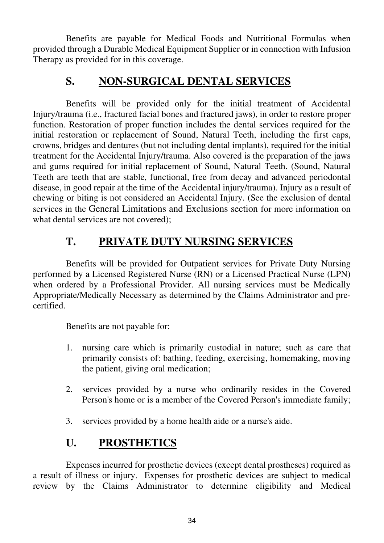Benefits are payable for Medical Foods and Nutritional Formulas when provided through a Durable Medical Equipment Supplier or in connection with Infusion Therapy as provided for in this coverage.

### **S. NON-SURGICAL DENTAL SERVICES**

 Benefits will be provided only for the initial treatment of Accidental Injury/trauma (i.e., fractured facial bones and fractured jaws), in order to restore proper function. Restoration of proper function includes the dental services required for the initial restoration or replacement of Sound, Natural Teeth, including the first caps, crowns, bridges and dentures (but not including dental implants), required for the initial treatment for the Accidental Injury/trauma. Also covered is the preparation of the jaws and gums required for initial replacement of Sound, Natural Teeth. (Sound, Natural Teeth are teeth that are stable, functional, free from decay and advanced periodontal disease, in good repair at the time of the Accidental injury/trauma). Injury as a result of chewing or biting is not considered an Accidental Injury. (See the exclusion of dental services in the General Limitations and Exclusions section for more information on what dental services are not covered);

# **T. PRIVATE DUTY NURSING SERVICES**

 Benefits will be provided for Outpatient services for Private Duty Nursing performed by a Licensed Registered Nurse (RN) or a Licensed Practical Nurse (LPN) when ordered by a Professional Provider. All nursing services must be Medically Appropriate/Medically Necessary as determined by the Claims Administrator and precertified.

Benefits are not payable for:

- 1. nursing care which is primarily custodial in nature; such as care that primarily consists of: bathing, feeding, exercising, homemaking, moving the patient, giving oral medication;
- 2. services provided by a nurse who ordinarily resides in the Covered Person's home or is a member of the Covered Person's immediate family;
- 3. services provided by a home health aide or a nurse's aide.

# **U. PROSTHETICS**

 Expenses incurred for prosthetic devices (except dental prostheses) required as a result of illness or injury. Expenses for prosthetic devices are subject to medical review by the Claims Administrator to determine eligibility and Medical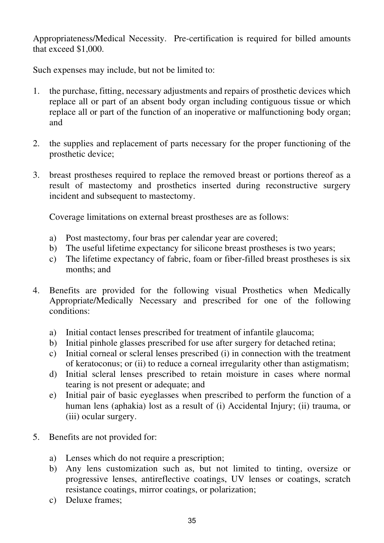Appropriateness/Medical Necessity. Pre-certification is required for billed amounts that exceed \$1,000.

Such expenses may include, but not be limited to:

- 1. the purchase, fitting, necessary adjustments and repairs of prosthetic devices which replace all or part of an absent body organ including contiguous tissue or which replace all or part of the function of an inoperative or malfunctioning body organ; and
- 2. the supplies and replacement of parts necessary for the proper functioning of the prosthetic device;
- 3. breast prostheses required to replace the removed breast or portions thereof as a result of mastectomy and prosthetics inserted during reconstructive surgery incident and subsequent to mastectomy.

Coverage limitations on external breast prostheses are as follows:

- a) Post mastectomy, four bras per calendar year are covered;
- b) The useful lifetime expectancy for silicone breast prostheses is two years;
- c) The lifetime expectancy of fabric, foam or fiber-filled breast prostheses is six months; and
- 4. Benefits are provided for the following visual Prosthetics when Medically Appropriate/Medically Necessary and prescribed for one of the following conditions:
	- a) Initial contact lenses prescribed for treatment of infantile glaucoma;
	- b) Initial pinhole glasses prescribed for use after surgery for detached retina;
	- c) Initial corneal or scleral lenses prescribed (i) in connection with the treatment of keratoconus; or (ii) to reduce a corneal irregularity other than astigmatism;
	- d) Initial scleral lenses prescribed to retain moisture in cases where normal tearing is not present or adequate; and
	- e) Initial pair of basic eyeglasses when prescribed to perform the function of a human lens (aphakia) lost as a result of (i) Accidental Injury; (ii) trauma, or (iii) ocular surgery.
- 5. Benefits are not provided for:
	- a) Lenses which do not require a prescription;
	- b) Any lens customization such as, but not limited to tinting, oversize or progressive lenses, antireflective coatings, UV lenses or coatings, scratch resistance coatings, mirror coatings, or polarization;
	- c) Deluxe frames;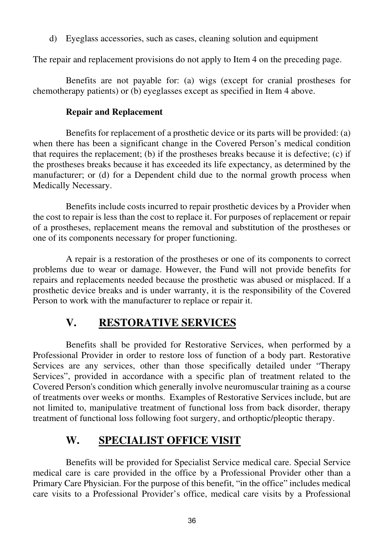d) Eyeglass accessories, such as cases, cleaning solution and equipment

The repair and replacement provisions do not apply to Item 4 on the preceding page.

 Benefits are not payable for: (a) wigs (except for cranial prostheses for chemotherapy patients) or (b) eyeglasses except as specified in Item 4 above.

#### **Repair and Replacement**

 Benefits for replacement of a prosthetic device or its parts will be provided: (a) when there has been a significant change in the Covered Person's medical condition that requires the replacement; (b) if the prostheses breaks because it is defective; (c) if the prostheses breaks because it has exceeded its life expectancy, as determined by the manufacturer; or (d) for a Dependent child due to the normal growth process when Medically Necessary.

 Benefits include costs incurred to repair prosthetic devices by a Provider when the cost to repair is less than the cost to replace it. For purposes of replacement or repair of a prostheses, replacement means the removal and substitution of the prostheses or one of its components necessary for proper functioning.

 A repair is a restoration of the prostheses or one of its components to correct problems due to wear or damage. However, the Fund will not provide benefits for repairs and replacements needed because the prosthetic was abused or misplaced. If a prosthetic device breaks and is under warranty, it is the responsibility of the Covered Person to work with the manufacturer to replace or repair it.

### **V. RESTORATIVE SERVICES**

 Benefits shall be provided for Restorative Services, when performed by a Professional Provider in order to restore loss of function of a body part. Restorative Services are any services, other than those specifically detailed under "Therapy Services", provided in accordance with a specific plan of treatment related to the Covered Person's condition which generally involve neuromuscular training as a course of treatments over weeks or months. Examples of Restorative Services include, but are not limited to, manipulative treatment of functional loss from back disorder, therapy treatment of functional loss following foot surgery, and orthoptic/pleoptic therapy.

# **W. SPECIALIST OFFICE VISIT**

 Benefits will be provided for Specialist Service medical care. Special Service medical care is care provided in the office by a Professional Provider other than a Primary Care Physician. For the purpose of this benefit, "in the office" includes medical care visits to a Professional Provider's office, medical care visits by a Professional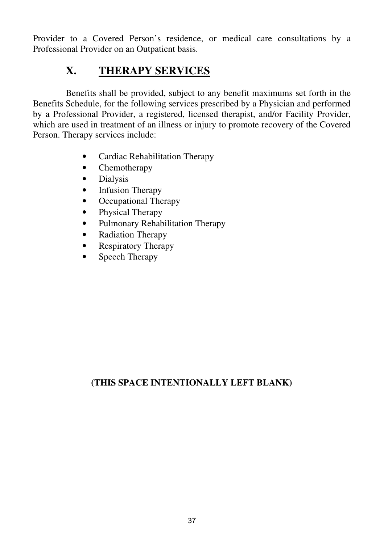Provider to a Covered Person's residence, or medical care consultations by a Professional Provider on an Outpatient basis.

# **X. THERAPY SERVICES**

Benefits shall be provided, subject to any benefit maximums set forth in the Benefits Schedule, for the following services prescribed by a Physician and performed by a Professional Provider, a registered, licensed therapist, and/or Facility Provider, which are used in treatment of an illness or injury to promote recovery of the Covered Person. Therapy services include:

- Cardiac Rehabilitation Therapy
- Chemotherapy
- Dialysis
- Infusion Therapy
- Occupational Therapy
- Physical Therapy
- Pulmonary Rehabilitation Therapy
- Radiation Therapy
- Respiratory Therapy
- Speech Therapy

### **(THIS SPACE INTENTIONALLY LEFT BLANK)**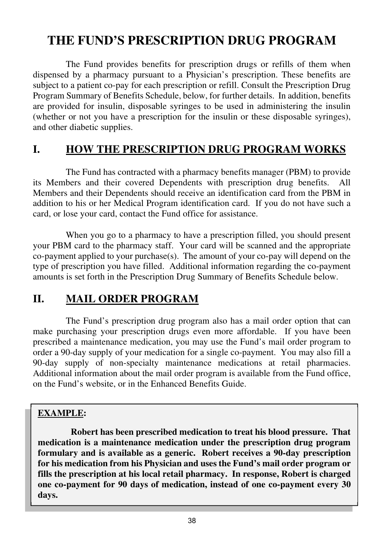# **THE FUND'S PRESCRIPTION DRUG PROGRAM**

The Fund provides benefits for prescription drugs or refills of them when dispensed by a pharmacy pursuant to a Physician's prescription. These benefits are subject to a patient co-pay for each prescription or refill. Consult the Prescription Drug Program Summary of Benefits Schedule, below, for further details. In addition, benefits are provided for insulin, disposable syringes to be used in administering the insulin (whether or not you have a prescription for the insulin or these disposable syringes), and other diabetic supplies.

### **I. HOW THE PRESCRIPTION DRUG PROGRAM WORKS**

The Fund has contracted with a pharmacy benefits manager (PBM) to provide its Members and their covered Dependents with prescription drug benefits. Members and their Dependents should receive an identification card from the PBM in addition to his or her Medical Program identification card. If you do not have such a card, or lose your card, contact the Fund office for assistance.

 When you go to a pharmacy to have a prescription filled, you should present your PBM card to the pharmacy staff. Your card will be scanned and the appropriate co-payment applied to your purchase(s). The amount of your co-pay will depend on the type of prescription you have filled. Additional information regarding the co-payment amounts is set forth in the Prescription Drug Summary of Benefits Schedule below.

### **II. MAIL ORDER PROGRAM**

The Fund's prescription drug program also has a mail order option that can make purchasing your prescription drugs even more affordable. If you have been prescribed a maintenance medication, you may use the Fund's mail order program to order a 90-day supply of your medication for a single co-payment. You may also fill a 90-day supply of non-specialty maintenance medications at retail pharmacies. Additional information about the mail order program is available from the Fund office, on the Fund's website, or in the Enhanced Benefits Guide.

### **EXAMPLE:**

 **Robert has been prescribed medication to treat his blood pressure. That medication is a maintenance medication under the prescription drug program formulary and is available as a generic. Robert receives a 90-day prescription for his medication from his Physician and uses the Fund's mail order program or fills the prescription at his local retail pharmacy. In response, Robert is charged one co-payment for 90 days of medication, instead of one co-payment every 30 days.**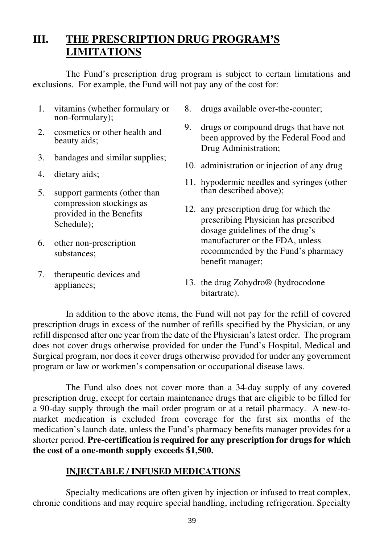# **III. THE PRESCRIPTION DRUG PROGRAM'S LIMITATIONS**

The Fund's prescription drug program is subject to certain limitations and exclusions. For example, the Fund will not pay any of the cost for:

- 1. vitamins (whether formulary or non-formulary);
- 2. cosmetics or other health and beauty aids;
- 3. bandages and similar supplies;
- 4. dietary aids;
- 5. support garments (other than compression stockings as provided in the Benefits Schedule);
- 6. other non-prescription substances;
- 7. therapeutic devices and appliances;
- 8. drugs available over-the-counter;
- 9. drugs or compound drugs that have not been approved by the Federal Food and Drug Administration;
- 10. administration or injection of any drug
- 11. hypodermic needles and syringes (other than described above);
- 12. any prescription drug for which the prescribing Physician has prescribed dosage guidelines of the drug's manufacturer or the FDA, unless recommended by the Fund's pharmacy benefit manager;
- 13. the drug Zohydro® (hydrocodone bitartrate).

In addition to the above items, the Fund will not pay for the refill of covered prescription drugs in excess of the number of refills specified by the Physician, or any refill dispensed after one year from the date of the Physician's latest order. The program does not cover drugs otherwise provided for under the Fund's Hospital, Medical and Surgical program, nor does it cover drugs otherwise provided for under any government program or law or workmen's compensation or occupational disease laws.

The Fund also does not cover more than a 34-day supply of any covered prescription drug, except for certain maintenance drugs that are eligible to be filled for a 90-day supply through the mail order program or at a retail pharmacy. A new-tomarket medication is excluded from coverage for the first six months of the medication's launch date, unless the Fund's pharmacy benefits manager provides for a shorter period. **Pre-certification is required for any prescription for drugs for which the cost of a one-month supply exceeds \$1,500.**

#### **INJECTABLE / INFUSED MEDICATIONS**

Specialty medications are often given by injection or infused to treat complex, chronic conditions and may require special handling, including refrigeration. Specialty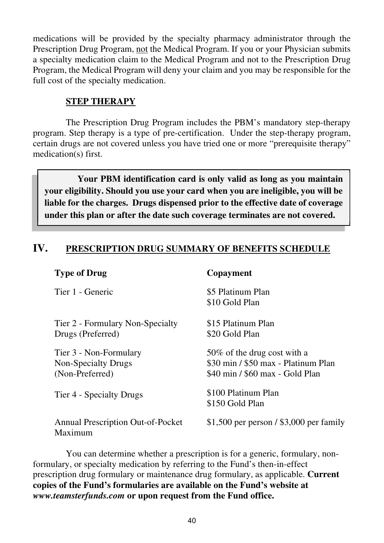medications will be provided by the specialty pharmacy administrator through the Prescription Drug Program, not the Medical Program. If you or your Physician submits a specialty medication claim to the Medical Program and not to the Prescription Drug Program, the Medical Program will deny your claim and you may be responsible for the full cost of the specialty medication.

#### **STEP THERAPY**

The Prescription Drug Program includes the PBM's mandatory step-therapy program. Step therapy is a type of pre-certification. Under the step-therapy program, certain drugs are not covered unless you have tried one or more "prerequisite therapy" medication(s) first.

 **Your PBM identification card is only valid as long as you maintain your eligibility. Should you use your card when you are ineligible, you will be liable for the charges. Drugs dispensed prior to the effective date of coverage under this plan or after the date such coverage terminates are not covered.** 

### **IV. PRESCRIPTION DRUG SUMMARY OF BENEFITS SCHEDULE**

| <b>Type of Drug</b>                                              | Copayment                                                                                              |
|------------------------------------------------------------------|--------------------------------------------------------------------------------------------------------|
| Tier 1 - Generic                                                 | \$5 Platinum Plan<br>\$10 Gold Plan                                                                    |
| Tier 2 - Formulary Non-Specialty<br>Drugs (Preferred)            | \$15 Platinum Plan<br>\$20 Gold Plan                                                                   |
| Tier 3 - Non-Formulary<br>Non-Specialty Drugs<br>(Non-Preferred) | 50\% of the drug cost with a<br>\$30 min / \$50 max - Platinum Plan<br>\$40 min / \$60 max - Gold Plan |
| Tier 4 - Specialty Drugs                                         | \$100 Platinum Plan<br>\$150 Gold Plan                                                                 |
| Annual Prescription Out-of-Pocket<br>Maximum                     | \$1,500 per person $/$ \$3,000 per family                                                              |

 You can determine whether a prescription is for a generic, formulary, nonformulary, or specialty medication by referring to the Fund's then-in-effect prescription drug formulary or maintenance drug formulary, as applicable. **Current copies of the Fund's formularies are available on the Fund's website at**  *www.teamsterfunds.com* **or upon request from the Fund office.**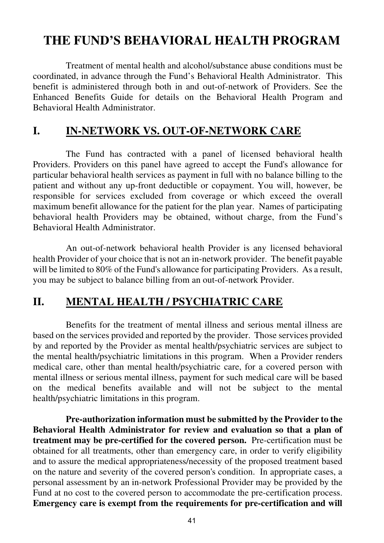# **THE FUND'S BEHAVIORAL HEALTH PROGRAM**

Treatment of mental health and alcohol/substance abuse conditions must be coordinated, in advance through the Fund's Behavioral Health Administrator. This benefit is administered through both in and out-of-network of Providers. See the Enhanced Benefits Guide for details on the Behavioral Health Program and Behavioral Health Administrator.

### **I. IN-NETWORK VS. OUT-OF-NETWORK CARE**

The Fund has contracted with a panel of licensed behavioral health Providers. Providers on this panel have agreed to accept the Fund's allowance for particular behavioral health services as payment in full with no balance billing to the patient and without any up-front deductible or copayment. You will, however, be responsible for services excluded from coverage or which exceed the overall maximum benefit allowance for the patient for the plan year. Names of participating behavioral health Providers may be obtained, without charge, from the Fund's Behavioral Health Administrator.

 An out-of-network behavioral health Provider is any licensed behavioral health Provider of your choice that is not an in-network provider. The benefit payable will be limited to 80% of the Fund's allowance for participating Providers. As a result, you may be subject to balance billing from an out-of-network Provider.

### **II. MENTAL HEALTH / PSYCHIATRIC CARE**

Benefits for the treatment of mental illness and serious mental illness are based on the services provided and reported by the provider. Those services provided by and reported by the Provider as mental health/psychiatric services are subject to the mental health/psychiatric limitations in this program. When a Provider renders medical care, other than mental health/psychiatric care, for a covered person with mental illness or serious mental illness, payment for such medical care will be based on the medical benefits available and will not be subject to the mental health/psychiatric limitations in this program.

 **Pre-authorization information must be submitted by the Provider to the Behavioral Health Administrator for review and evaluation so that a plan of treatment may be pre-certified for the covered person.** Pre-certification must be obtained for all treatments, other than emergency care, in order to verify eligibility and to assure the medical appropriateness/necessity of the proposed treatment based on the nature and severity of the covered person's condition. In appropriate cases, a personal assessment by an in-network Professional Provider may be provided by the Fund at no cost to the covered person to accommodate the pre-certification process. **Emergency care is exempt from the requirements for pre-certification and will**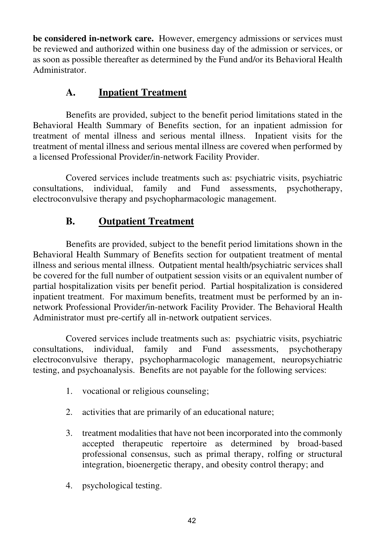**be considered in-network care.** However, emergency admissions or services must be reviewed and authorized within one business day of the admission or services, or as soon as possible thereafter as determined by the Fund and/or its Behavioral Health Administrator.

### **A. Inpatient Treatment**

Benefits are provided, subject to the benefit period limitations stated in the Behavioral Health Summary of Benefits section, for an inpatient admission for treatment of mental illness and serious mental illness. Inpatient visits for the treatment of mental illness and serious mental illness are covered when performed by a licensed Professional Provider/in-network Facility Provider.

 Covered services include treatments such as: psychiatric visits, psychiatric consultations, individual, family and Fund assessments, psychotherapy, electroconvulsive therapy and psychopharmacologic management.

### **B. Outpatient Treatment**

Benefits are provided, subject to the benefit period limitations shown in the Behavioral Health Summary of Benefits section for outpatient treatment of mental illness and serious mental illness. Outpatient mental health/psychiatric services shall be covered for the full number of outpatient session visits or an equivalent number of partial hospitalization visits per benefit period. Partial hospitalization is considered inpatient treatment. For maximum benefits, treatment must be performed by an innetwork Professional Provider/in-network Facility Provider. The Behavioral Health Administrator must pre-certify all in-network outpatient services.

 Covered services include treatments such as: psychiatric visits, psychiatric consultations, individual, family and Fund assessments, psychotherapy electroconvulsive therapy, psychopharmacologic management, neuropsychiatric testing, and psychoanalysis. Benefits are not payable for the following services:

- 1. vocational or religious counseling;
- 2. activities that are primarily of an educational nature;
- 3. treatment modalities that have not been incorporated into the commonly accepted therapeutic repertoire as determined by broad-based professional consensus, such as primal therapy, rolfing or structural integration, bioenergetic therapy, and obesity control therapy; and
- 4. psychological testing.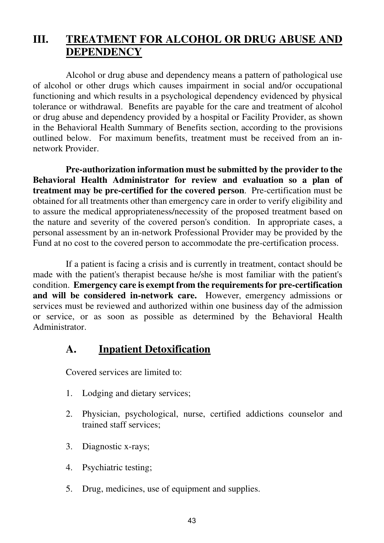# **III. TREATMENT FOR ALCOHOL OR DRUG ABUSE AND DEPENDENCY**

Alcohol or drug abuse and dependency means a pattern of pathological use of alcohol or other drugs which causes impairment in social and/or occupational functioning and which results in a psychological dependency evidenced by physical tolerance or withdrawal. Benefits are payable for the care and treatment of alcohol or drug abuse and dependency provided by a hospital or Facility Provider, as shown in the Behavioral Health Summary of Benefits section, according to the provisions outlined below. For maximum benefits, treatment must be received from an innetwork Provider.

 **Pre-authorization information must be submitted by the provider to the Behavioral Health Administrator for review and evaluation so a plan of treatment may be pre-certified for the covered person**. Pre-certification must be obtained for all treatments other than emergency care in order to verify eligibility and to assure the medical appropriateness/necessity of the proposed treatment based on the nature and severity of the covered person's condition. In appropriate cases, a personal assessment by an in-network Professional Provider may be provided by the Fund at no cost to the covered person to accommodate the pre-certification process.

 If a patient is facing a crisis and is currently in treatment, contact should be made with the patient's therapist because he/she is most familiar with the patient's condition. **Emergency care is exempt from the requirements for pre-certification and will be considered in-network care.** However, emergency admissions or services must be reviewed and authorized within one business day of the admission or service, or as soon as possible as determined by the Behavioral Health Administrator.

### **A. Inpatient Detoxification**

Covered services are limited to:

- 1. Lodging and dietary services;
- 2. Physician, psychological, nurse, certified addictions counselor and trained staff services;
- 3. Diagnostic x-rays;
- 4. Psychiatric testing;
- 5. Drug, medicines, use of equipment and supplies.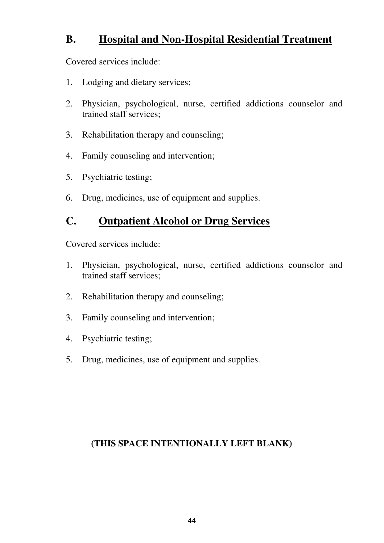### **B. Hospital and Non-Hospital Residential Treatment**

Covered services include:

- 1. Lodging and dietary services;
- 2. Physician, psychological, nurse, certified addictions counselor and trained staff services;
- 3. Rehabilitation therapy and counseling;
- 4. Family counseling and intervention;
- 5. Psychiatric testing;
- 6. Drug, medicines, use of equipment and supplies.

### **C. Outpatient Alcohol or Drug Services**

Covered services include:

- 1. Physician, psychological, nurse, certified addictions counselor and trained staff services;
- 2. Rehabilitation therapy and counseling;
- 3. Family counseling and intervention;
- 4. Psychiatric testing;
- 5. Drug, medicines, use of equipment and supplies.

### **(THIS SPACE INTENTIONALLY LEFT BLANK)**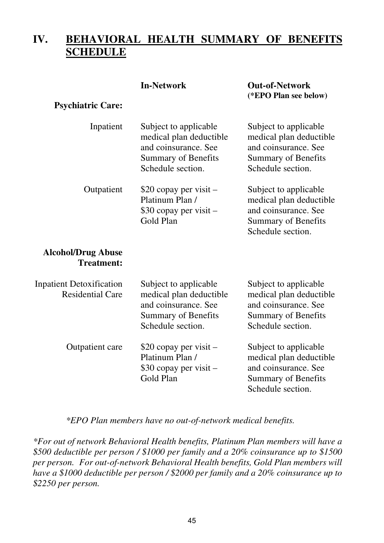# **IV. BEHAVIORAL HEALTH SUMMARY OF BENEFITS SCHEDULE**

| In-Network |
|------------|
|------------|

#### **Out-of-Network (\*EPO Plan see below)**

#### Inpatient Outpatient Subject to applicable medical plan deductible and coinsurance. See Summary of Benefits Schedule section. \$20 copay per visit – Platinum Plan / \$30 copay per visit – Gold Plan Subject to applicable medical plan deductible and coinsurance. See Summary of Benefits Schedule section. Subject to applicable medical plan deductible and coinsurance. See Summary of Benefits Schedule section.

#### **Alcohol/Drug Abuse Treatment:**

**Psychiatric Care:** 

| <b>Inpatient Detoxification</b><br><b>Residential Care</b> | Subject to applicable<br>medical plan deductible<br>and coinsurance. See<br>Summary of Benefits<br>Schedule section. | Subject to applicable<br>medical plan deductible<br>and coinsurance. See<br>Summary of Benefits<br>Schedule section. |
|------------------------------------------------------------|----------------------------------------------------------------------------------------------------------------------|----------------------------------------------------------------------------------------------------------------------|
| Outpatient care                                            | \$20 copay per visit –<br>Platinum Plan /<br>\$30 copay per visit –<br>Gold Plan                                     | Subject to applicable<br>medical plan deductible<br>and coinsurance. See<br>Summary of Benefits<br>Schedule section. |

#### *\*EPO Plan members have no out-of-network medical benefits.*

*\*For out of network Behavioral Health benefits, Platinum Plan members will have a \$500 deductible per person / \$1000 per family and a 20% coinsurance up to \$1500 per person. For out-of-network Behavioral Health benefits, Gold Plan members will have a \$1000 deductible per person / \$2000 per family and a 20% coinsurance up to \$2250 per person.*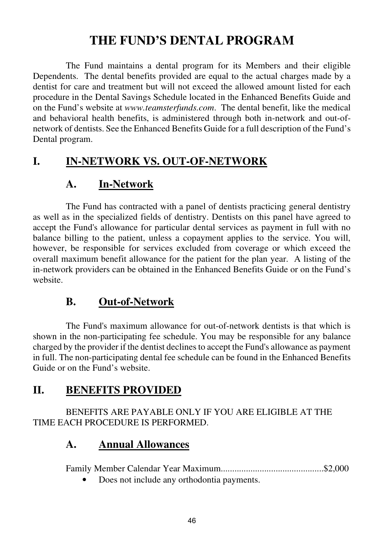# **THE FUND'S DENTAL PROGRAM**

 The Fund maintains a dental program for its Members and their eligible Dependents. The dental benefits provided are equal to the actual charges made by a dentist for care and treatment but will not exceed the allowed amount listed for each procedure in the Dental Savings Schedule located in the Enhanced Benefits Guide and on the Fund's website at *www.teamsterfunds.com*. The dental benefit, like the medical and behavioral health benefits, is administered through both in-network and out-ofnetwork of dentists. See the Enhanced Benefits Guide for a full description of the Fund's Dental program.

### **I. IN-NETWORK VS. OUT-OF-NETWORK**

### **A. In-Network**

The Fund has contracted with a panel of dentists practicing general dentistry as well as in the specialized fields of dentistry. Dentists on this panel have agreed to accept the Fund's allowance for particular dental services as payment in full with no balance billing to the patient, unless a copayment applies to the service. You will, however, be responsible for services excluded from coverage or which exceed the overall maximum benefit allowance for the patient for the plan year. A listing of the in-network providers can be obtained in the Enhanced Benefits Guide or on the Fund's website.

### **B. Out-of-Network**

The Fund's maximum allowance for out-of-network dentists is that which is shown in the non-participating fee schedule. You may be responsible for any balance charged by the provider if the dentist declines to accept the Fund's allowance as payment in full. The non-participating dental fee schedule can be found in the Enhanced Benefits Guide or on the Fund's website.

### **II. BENEFITS PROVIDED**

BENEFITS ARE PAYABLE ONLY IF YOU ARE ELIGIBLE AT THE TIME EACH PROCEDURE IS PERFORMED.

### **A. Annual Allowances**

Family Member Calendar Year Maximum.............................................\$2,000

• Does not include any orthodontia payments.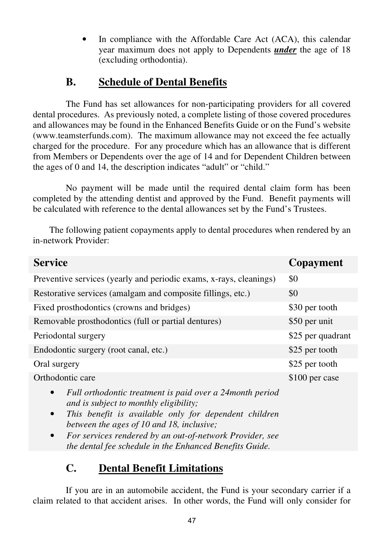In compliance with the Affordable Care Act (ACA), this calendar year maximum does not apply to Dependents *under* the age of 18 (excluding orthodontia).

# **B. Schedule of Dental Benefits**

The Fund has set allowances for non-participating providers for all covered dental procedures. As previously noted, a complete listing of those covered procedures and allowances may be found in the Enhanced Benefits Guide or on the Fund's website (www.teamsterfunds.com). The maximum allowance may not exceed the fee actually charged for the procedure. For any procedure which has an allowance that is different from Members or Dependents over the age of 14 and for Dependent Children between the ages of 0 and 14, the description indicates "adult" or "child."

 No payment will be made until the required dental claim form has been completed by the attending dentist and approved by the Fund. Benefit payments will be calculated with reference to the dental allowances set by the Fund's Trustees.

 The following patient copayments apply to dental procedures when rendered by an in-network Provider:

| <b>Service</b>                                                                                                                                                                                                                                                                                                                                                          | Copayment         |
|-------------------------------------------------------------------------------------------------------------------------------------------------------------------------------------------------------------------------------------------------------------------------------------------------------------------------------------------------------------------------|-------------------|
| Preventive services (yearly and periodic exams, x-rays, cleanings)                                                                                                                                                                                                                                                                                                      | \$0               |
| Restorative services (amalgam and composite fillings, etc.)                                                                                                                                                                                                                                                                                                             | \$0               |
| Fixed prosthodontics (crowns and bridges)                                                                                                                                                                                                                                                                                                                               | \$30 per tooth    |
| Removable prosthodontics (full or partial dentures)                                                                                                                                                                                                                                                                                                                     | \$50 per unit     |
| Periodontal surgery                                                                                                                                                                                                                                                                                                                                                     | \$25 per quadrant |
| Endodontic surgery (root canal, etc.)                                                                                                                                                                                                                                                                                                                                   | \$25 per tooth    |
| Oral surgery                                                                                                                                                                                                                                                                                                                                                            | \$25 per tooth    |
| Orthodontic care                                                                                                                                                                                                                                                                                                                                                        | \$100 per case    |
| Full orthodontic treatment is paid over a 24 month period<br>$\bullet$<br>and is subject to monthly eligibility;<br>This benefit is available only for dependent children<br>$\bullet$<br>between the ages of 10 and 18, inclusive;<br>For services rendered by an out-of-network Provider, see<br>$\bullet$<br>the dental fee schedule in the Enhanced Benefits Guide. |                   |

### **C. Dental Benefit Limitations**

If you are in an automobile accident, the Fund is your secondary carrier if a claim related to that accident arises. In other words, the Fund will only consider for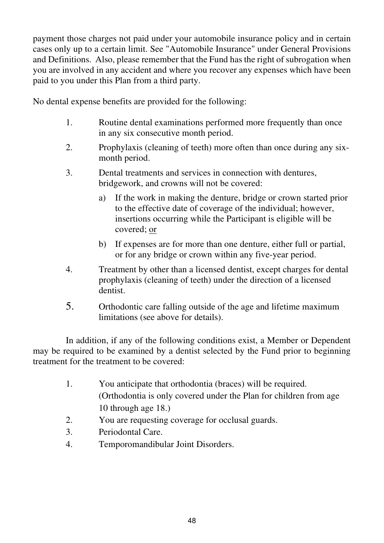payment those charges not paid under your automobile insurance policy and in certain cases only up to a certain limit. See "Automobile Insurance" under General Provisions and Definitions. Also, please remember that the Fund has the right of subrogation when you are involved in any accident and where you recover any expenses which have been paid to you under this Plan from a third party.

No dental expense benefits are provided for the following:

- 1. Routine dental examinations performed more frequently than once in any six consecutive month period.
- 2. Prophylaxis (cleaning of teeth) more often than once during any sixmonth period.
- 3. Dental treatments and services in connection with dentures, bridgework, and crowns will not be covered:
	- a) If the work in making the denture, bridge or crown started prior to the effective date of coverage of the individual; however, insertions occurring while the Participant is eligible will be covered; or
	- b) If expenses are for more than one denture, either full or partial, or for any bridge or crown within any five-year period.
- 4. Treatment by other than a licensed dentist, except charges for dental prophylaxis (cleaning of teeth) under the direction of a licensed dentist.
- 5. Orthodontic care falling outside of the age and lifetime maximum limitations (see above for details).

In addition, if any of the following conditions exist, a Member or Dependent may be required to be examined by a dentist selected by the Fund prior to beginning treatment for the treatment to be covered:

- 1. You anticipate that orthodontia (braces) will be required. (Orthodontia is only covered under the Plan for children from age 10 through age 18.)
- 2. You are requesting coverage for occlusal guards.
- 3. Periodontal Care.
- 4. Temporomandibular Joint Disorders.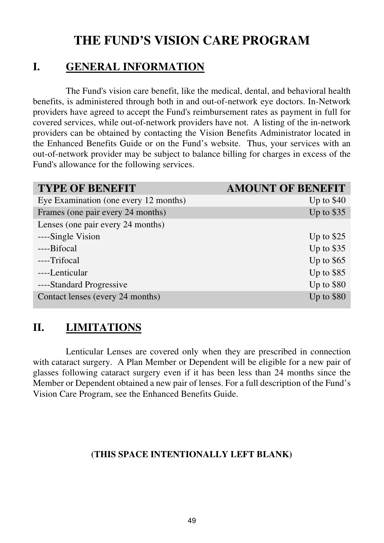# **THE FUND'S VISION CARE PROGRAM**

### **I. GENERAL INFORMATION**

The Fund's vision care benefit, like the medical, dental, and behavioral health benefits, is administered through both in and out-of-network eye doctors. In-Network providers have agreed to accept the Fund's reimbursement rates as payment in full for covered services, while out-of-network providers have not. A listing of the in-network providers can be obtained by contacting the Vision Benefits Administrator located in the Enhanced Benefits Guide or on the Fund's website. Thus, your services with an out-of-network provider may be subject to balance billing for charges in excess of the Fund's allowance for the following services.

| <b>TYPE OF BENEFIT</b>                | <b>AMOUNT OF BENEFIT</b> |
|---------------------------------------|--------------------------|
| Eye Examination (one every 12 months) | Up to $$40$              |
| Frames (one pair every 24 months)     | Up to \$35               |
| Lenses (one pair every 24 months)     |                          |
| ----Single Vision                     | Up to $$25$              |
| ----Bifocal                           | Up to $$35$              |
| ----Trifocal                          | Up to $$65$              |
| ----Lenticular                        | Up to $$85$              |
| ----Standard Progressive              | Up to $$80$              |
| Contact lenses (every 24 months)      | Up to $$80$              |

# **II. LIMITATIONS**

Lenticular Lenses are covered only when they are prescribed in connection with cataract surgery. A Plan Member or Dependent will be eligible for a new pair of glasses following cataract surgery even if it has been less than 24 months since the Member or Dependent obtained a new pair of lenses. For a full description of the Fund's Vision Care Program, see the Enhanced Benefits Guide.

### **(THIS SPACE INTENTIONALLY LEFT BLANK)**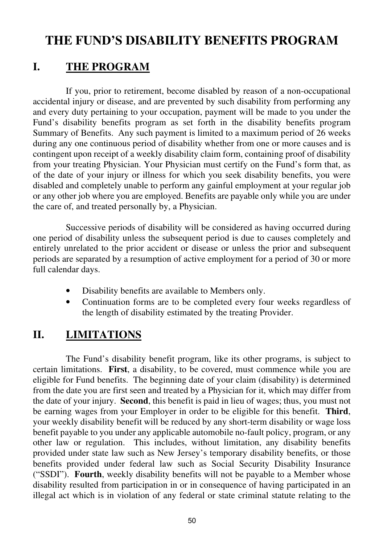# **THE FUND'S DISABILITY BENEFITS PROGRAM**

### **I. THE PROGRAM**

If you, prior to retirement, become disabled by reason of a non-occupational accidental injury or disease, and are prevented by such disability from performing any and every duty pertaining to your occupation, payment will be made to you under the Fund's disability benefits program as set forth in the disability benefits program Summary of Benefits. Any such payment is limited to a maximum period of 26 weeks during any one continuous period of disability whether from one or more causes and is contingent upon receipt of a weekly disability claim form, containing proof of disability from your treating Physician. Your Physician must certify on the Fund's form that, as of the date of your injury or illness for which you seek disability benefits, you were disabled and completely unable to perform any gainful employment at your regular job or any other job where you are employed. Benefits are payable only while you are under the care of, and treated personally by, a Physician.

Successive periods of disability will be considered as having occurred during one period of disability unless the subsequent period is due to causes completely and entirely unrelated to the prior accident or disease or unless the prior and subsequent periods are separated by a resumption of active employment for a period of 30 or more full calendar days.

- Disability benefits are available to Members only.
- Continuation forms are to be completed every four weeks regardless of the length of disability estimated by the treating Provider.

### **II. LIMITATIONS**

The Fund's disability benefit program, like its other programs, is subject to certain limitations. **First**, a disability, to be covered, must commence while you are eligible for Fund benefits. The beginning date of your claim (disability) is determined from the date you are first seen and treated by a Physician for it, which may differ from the date of your injury. **Second**, this benefit is paid in lieu of wages; thus, you must not be earning wages from your Employer in order to be eligible for this benefit. **Third**, your weekly disability benefit will be reduced by any short-term disability or wage loss benefit payable to you under any applicable automobile no-fault policy, program, or any other law or regulation. This includes, without limitation, any disability benefits provided under state law such as New Jersey's temporary disability benefits, or those benefits provided under federal law such as Social Security Disability Insurance ("SSDI"). **Fourth**, weekly disability benefits will not be payable to a Member whose disability resulted from participation in or in consequence of having participated in an illegal act which is in violation of any federal or state criminal statute relating to the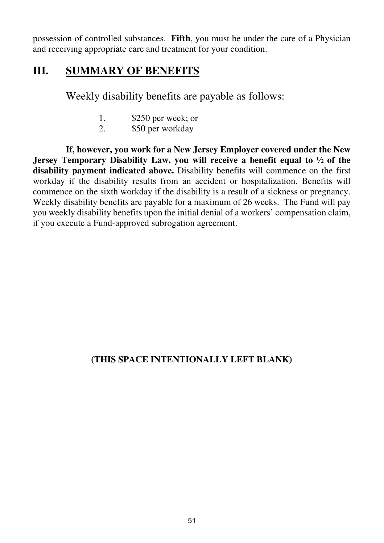possession of controlled substances. **Fifth**, you must be under the care of a Physician and receiving appropriate care and treatment for your condition.

### **III. SUMMARY OF BENEFITS**

Weekly disability benefits are payable as follows:

- 1. \$250 per week; or<br>2 \$50 per workday
- \$50 per workday

 **If, however, you work for a New Jersey Employer covered under the New Jersey Temporary Disability Law, you will receive a benefit equal to ½ of the disability payment indicated above.** Disability benefits will commence on the first workday if the disability results from an accident or hospitalization. Benefits will commence on the sixth workday if the disability is a result of a sickness or pregnancy. Weekly disability benefits are payable for a maximum of 26 weeks. The Fund will pay you weekly disability benefits upon the initial denial of a workers' compensation claim, if you execute a Fund-approved subrogation agreement.

### **(THIS SPACE INTENTIONALLY LEFT BLANK)**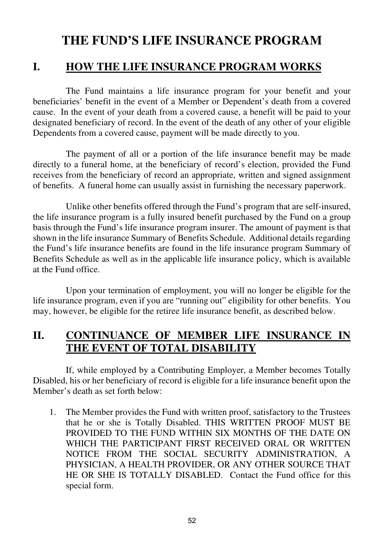# **THE FUND'S LIFE INSURANCE PROGRAM**

### **I. HOW THE LIFE INSURANCE PROGRAM WORKS**

The Fund maintains a life insurance program for your benefit and your beneficiaries' benefit in the event of a Member or Dependent's death from a covered cause. In the event of your death from a covered cause, a benefit will be paid to your designated beneficiary of record. In the event of the death of any other of your eligible Dependents from a covered cause, payment will be made directly to you.

 The payment of all or a portion of the life insurance benefit may be made directly to a funeral home, at the beneficiary of record's election, provided the Fund receives from the beneficiary of record an appropriate, written and signed assignment of benefits. A funeral home can usually assist in furnishing the necessary paperwork.

 Unlike other benefits offered through the Fund's program that are self-insured, the life insurance program is a fully insured benefit purchased by the Fund on a group basis through the Fund's life insurance program insurer. The amount of payment is that shown in the life insurance Summary of Benefits Schedule. Additional details regarding the Fund's life insurance benefits are found in the life insurance program Summary of Benefits Schedule as well as in the applicable life insurance policy, which is available at the Fund office.

 Upon your termination of employment, you will no longer be eligible for the life insurance program, even if you are "running out" eligibility for other benefits. You may, however, be eligible for the retiree life insurance benefit, as described below.

### **II. CONTINUANCE OF MEMBER LIFE INSURANCE IN THE EVENT OF TOTAL DISABILITY**

If, while employed by a Contributing Employer, a Member becomes Totally Disabled, his or her beneficiary of record is eligible for a life insurance benefit upon the Member's death as set forth below:

1. The Member provides the Fund with written proof, satisfactory to the Trustees that he or she is Totally Disabled. THIS WRITTEN PROOF MUST BE PROVIDED TO THE FUND WITHIN SIX MONTHS OF THE DATE ON WHICH THE PARTICIPANT FIRST RECEIVED ORAL OR WRITTEN NOTICE FROM THE SOCIAL SECURITY ADMINISTRATION, A PHYSICIAN, A HEALTH PROVIDER, OR ANY OTHER SOURCE THAT HE OR SHE IS TOTALLY DISABLED. Contact the Fund office for this special form.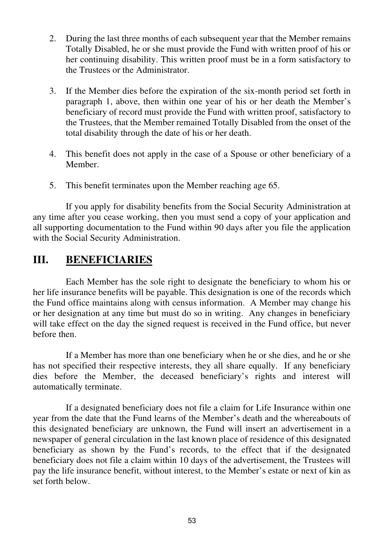- 2. During the last three months of each subsequent year that the Member remains Totally Disabled, he or she must provide the Fund with written proof of his or her continuing disability. This written proof must be in a form satisfactory to the Trustees or the Administrator.
- 3. If the Member dies before the expiration of the six-month period set forth in paragraph 1, above, then within one year of his or her death the Member's beneficiary of record must provide the Fund with written proof, satisfactory to the Trustees, that the Member remained Totally Disabled from the onset of the total disability through the date of his or her death.
- 4. This benefit does not apply in the case of a Spouse or other beneficiary of a Member.
- 5. This benefit terminates upon the Member reaching age 65.

If you apply for disability benefits from the Social Security Administration at any time after you cease working, then you must send a copy of your application and all supporting documentation to the Fund within 90 days after you file the application with the Social Security Administration.

### **III. BENEFICIARIES**

Each Member has the sole right to designate the beneficiary to whom his or her life insurance benefits will be payable. This designation is one of the records which the Fund office maintains along with census information. A Member may change his or her designation at any time but must do so in writing. Any changes in beneficiary will take effect on the day the signed request is received in the Fund office, but never before then.

If a Member has more than one beneficiary when he or she dies, and he or she has not specified their respective interests, they all share equally. If any beneficiary dies before the Member, the deceased beneficiary's rights and interest will automatically terminate.

If a designated beneficiary does not file a claim for Life Insurance within one year from the date that the Fund learns of the Member's death and the whereabouts of this designated beneficiary are unknown, the Fund will insert an advertisement in a newspaper of general circulation in the last known place of residence of this designated beneficiary as shown by the Fund's records, to the effect that if the designated beneficiary does not file a claim within 10 days of the advertisement, the Trustees will pay the life insurance benefit, without interest, to the Member's estate or next of kin as set forth below.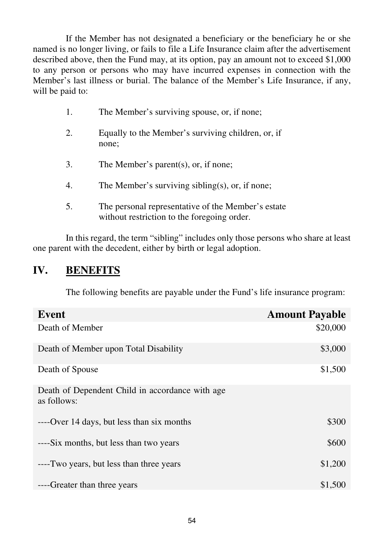If the Member has not designated a beneficiary or the beneficiary he or she named is no longer living, or fails to file a Life Insurance claim after the advertisement described above, then the Fund may, at its option, pay an amount not to exceed \$1,000 to any person or persons who may have incurred expenses in connection with the Member's last illness or burial. The balance of the Member's Life Insurance, if any, will be paid to:

- 1. The Member's surviving spouse, or, if none;
- 2. Equally to the Member's surviving children, or, if none;
- 3. The Member's parent(s), or, if none;
- 4. The Member's surviving sibling(s), or, if none;
- 5. The personal representative of the Member's estate without restriction to the foregoing order.

 In this regard, the term "sibling" includes only those persons who share at least one parent with the decedent, either by birth or legal adoption.

### **IV. BENEFITS**

The following benefits are payable under the Fund's life insurance program:

| Event                                                           | <b>Amount Payable</b> |
|-----------------------------------------------------------------|-----------------------|
| Death of Member                                                 | \$20,000              |
| Death of Member upon Total Disability                           | \$3,000               |
| Death of Spouse                                                 | \$1,500               |
| Death of Dependent Child in accordance with age.<br>as follows: |                       |
| ----Over 14 days, but less than six months                      | \$300                 |
| ----Six months, but less than two years                         | \$600                 |
| ----Two years, but less than three years                        | \$1,200               |
| ----Greater than three years                                    | \$1,500               |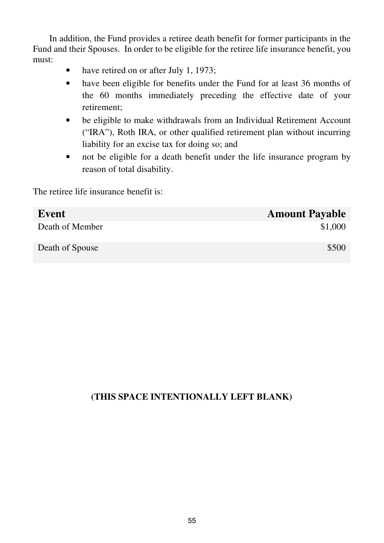In addition, the Fund provides a retiree death benefit for former participants in the Fund and their Spouses. In order to be eligible for the retiree life insurance benefit, you must:

- have retired on or after July 1, 1973;
- have been eligible for benefits under the Fund for at least 36 months of the 60 months immediately preceding the effective date of your retirement;
- be eligible to make withdrawals from an Individual Retirement Account ("IRA"), Roth IRA, or other qualified retirement plan without incurring liability for an excise tax for doing so; and
- not be eligible for a death benefit under the life insurance program by reason of total disability.

The retiree life insurance benefit is:

| Event           | <b>Amount Payable</b> |
|-----------------|-----------------------|
| Death of Member | \$1,000               |
| Death of Spouse | \$500                 |

### **(THIS SPACE INTENTIONALLY LEFT BLANK)**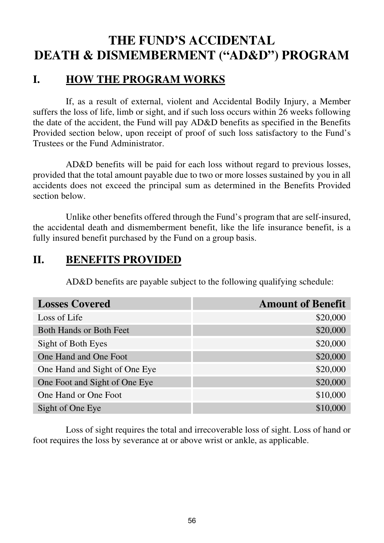# **THE FUND'S ACCIDENTAL DEATH & DISMEMBERMENT ("AD&D") PROGRAM**

### **I. HOW THE PROGRAM WORKS**

If, as a result of external, violent and Accidental Bodily Injury, a Member suffers the loss of life, limb or sight, and if such loss occurs within 26 weeks following the date of the accident, the Fund will pay AD&D benefits as specified in the Benefits Provided section below, upon receipt of proof of such loss satisfactory to the Fund's Trustees or the Fund Administrator.

AD&D benefits will be paid for each loss without regard to previous losses, provided that the total amount payable due to two or more losses sustained by you in all accidents does not exceed the principal sum as determined in the Benefits Provided section below.

Unlike other benefits offered through the Fund's program that are self-insured, the accidental death and dismemberment benefit, like the life insurance benefit, is a fully insured benefit purchased by the Fund on a group basis.

### **II. BENEFITS PROVIDED**

AD&D benefits are payable subject to the following qualifying schedule:

| <b>Losses Covered</b>         | <b>Amount of Benefit</b> |
|-------------------------------|--------------------------|
| Loss of Life                  | \$20,000                 |
| Both Hands or Both Feet       | \$20,000                 |
| Sight of Both Eyes            | \$20,000                 |
| One Hand and One Foot         | \$20,000                 |
| One Hand and Sight of One Eye | \$20,000                 |
| One Foot and Sight of One Eye | \$20,000                 |
| One Hand or One Foot          | \$10,000                 |
| Sight of One Eye              | \$10,000                 |

 Loss of sight requires the total and irrecoverable loss of sight. Loss of hand or foot requires the loss by severance at or above wrist or ankle, as applicable.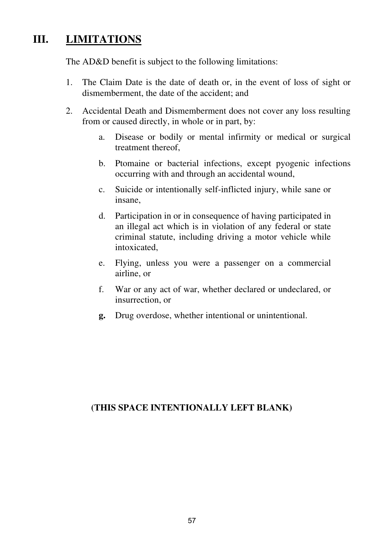# **III. LIMITATIONS**

The AD&D benefit is subject to the following limitations:

- 1. The Claim Date is the date of death or, in the event of loss of sight or dismemberment, the date of the accident; and
- 2. Accidental Death and Dismemberment does not cover any loss resulting from or caused directly, in whole or in part, by:
	- a. Disease or bodily or mental infirmity or medical or surgical treatment thereof,
	- b. Ptomaine or bacterial infections, except pyogenic infections occurring with and through an accidental wound,
	- c. Suicide or intentionally self-inflicted injury, while sane or insane,
	- d. Participation in or in consequence of having participated in an illegal act which is in violation of any federal or state criminal statute, including driving a motor vehicle while intoxicated,
	- e. Flying, unless you were a passenger on a commercial airline, or
	- f. War or any act of war, whether declared or undeclared, or insurrection, or
	- **g.** Drug overdose, whether intentional or unintentional.

### **(THIS SPACE INTENTIONALLY LEFT BLANK)**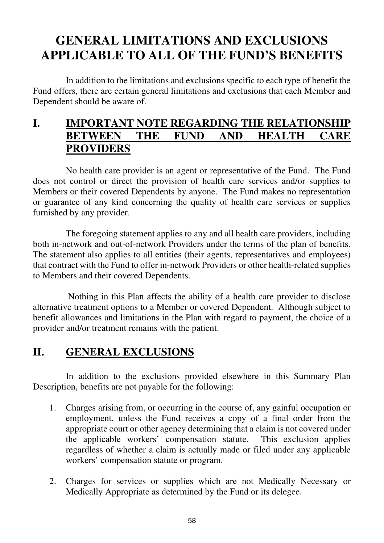# **GENERAL LIMITATIONS AND EXCLUSIONS APPLICABLE TO ALL OF THE FUND'S BENEFITS**

In addition to the limitations and exclusions specific to each type of benefit the Fund offers, there are certain general limitations and exclusions that each Member and Dependent should be aware of.

### **I. IMPORTANT NOTE REGARDING THE RELATIONSHIP BETWEEN THE FUND AND HEALTH CARE PROVIDERS**

No health care provider is an agent or representative of the Fund. The Fund does not control or direct the provision of health care services and/or supplies to Members or their covered Dependents by anyone. The Fund makes no representation or guarantee of any kind concerning the quality of health care services or supplies furnished by any provider.

The foregoing statement applies to any and all health care providers, including both in-network and out-of-network Providers under the terms of the plan of benefits. The statement also applies to all entities (their agents, representatives and employees) that contract with the Fund to offer in-network Providers or other health-related supplies to Members and their covered Dependents.

 Nothing in this Plan affects the ability of a health care provider to disclose alternative treatment options to a Member or covered Dependent. Although subject to benefit allowances and limitations in the Plan with regard to payment, the choice of a provider and/or treatment remains with the patient.

# **II. GENERAL EXCLUSIONS**

In addition to the exclusions provided elsewhere in this Summary Plan Description, benefits are not payable for the following:

- 1. Charges arising from, or occurring in the course of, any gainful occupation or employment, unless the Fund receives a copy of a final order from the appropriate court or other agency determining that a claim is not covered under the applicable workers' compensation statute. This exclusion applies regardless of whether a claim is actually made or filed under any applicable workers' compensation statute or program.
- 2. Charges for services or supplies which are not Medically Necessary or Medically Appropriate as determined by the Fund or its delegee.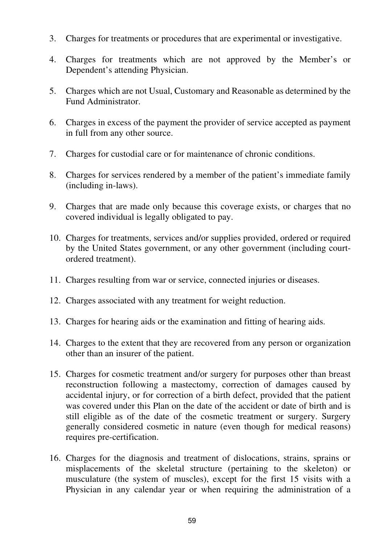- 3. Charges for treatments or procedures that are experimental or investigative.
- 4. Charges for treatments which are not approved by the Member's or Dependent's attending Physician.
- 5. Charges which are not Usual, Customary and Reasonable as determined by the Fund Administrator.
- 6. Charges in excess of the payment the provider of service accepted as payment in full from any other source.
- 7. Charges for custodial care or for maintenance of chronic conditions.
- 8. Charges for services rendered by a member of the patient's immediate family (including in-laws).
- 9. Charges that are made only because this coverage exists, or charges that no covered individual is legally obligated to pay.
- 10. Charges for treatments, services and/or supplies provided, ordered or required by the United States government, or any other government (including courtordered treatment).
- 11. Charges resulting from war or service, connected injuries or diseases.
- 12. Charges associated with any treatment for weight reduction.
- 13. Charges for hearing aids or the examination and fitting of hearing aids.
- 14. Charges to the extent that they are recovered from any person or organization other than an insurer of the patient.
- 15. Charges for cosmetic treatment and/or surgery for purposes other than breast reconstruction following a mastectomy, correction of damages caused by accidental injury, or for correction of a birth defect, provided that the patient was covered under this Plan on the date of the accident or date of birth and is still eligible as of the date of the cosmetic treatment or surgery. Surgery generally considered cosmetic in nature (even though for medical reasons) requires pre-certification.
- 16. Charges for the diagnosis and treatment of dislocations, strains, sprains or misplacements of the skeletal structure (pertaining to the skeleton) or musculature (the system of muscles), except for the first 15 visits with a Physician in any calendar year or when requiring the administration of a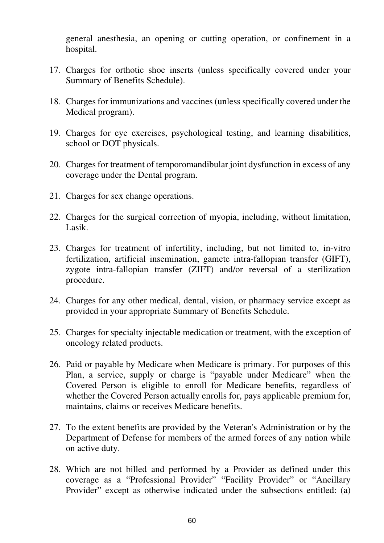general anesthesia, an opening or cutting operation, or confinement in a hospital.

- 17. Charges for orthotic shoe inserts (unless specifically covered under your Summary of Benefits Schedule).
- 18. Charges for immunizations and vaccines (unless specifically covered under the Medical program).
- 19. Charges for eye exercises, psychological testing, and learning disabilities, school or DOT physicals.
- 20. Charges for treatment of temporomandibular joint dysfunction in excess of any coverage under the Dental program.
- 21. Charges for sex change operations.
- 22. Charges for the surgical correction of myopia, including, without limitation, Lasik.
- 23. Charges for treatment of infertility, including, but not limited to, in-vitro fertilization, artificial insemination, gamete intra-fallopian transfer (GIFT), zygote intra-fallopian transfer (ZIFT) and/or reversal of a sterilization procedure.
- 24. Charges for any other medical, dental, vision, or pharmacy service except as provided in your appropriate Summary of Benefits Schedule.
- 25. Charges for specialty injectable medication or treatment, with the exception of oncology related products.
- 26. Paid or payable by Medicare when Medicare is primary. For purposes of this Plan, a service, supply or charge is "payable under Medicare" when the Covered Person is eligible to enroll for Medicare benefits, regardless of whether the Covered Person actually enrolls for, pays applicable premium for, maintains, claims or receives Medicare benefits.
- 27. To the extent benefits are provided by the Veteran's Administration or by the Department of Defense for members of the armed forces of any nation while on active duty.
- 28. Which are not billed and performed by a Provider as defined under this coverage as a "Professional Provider" "Facility Provider" or "Ancillary Provider" except as otherwise indicated under the subsections entitled: (a)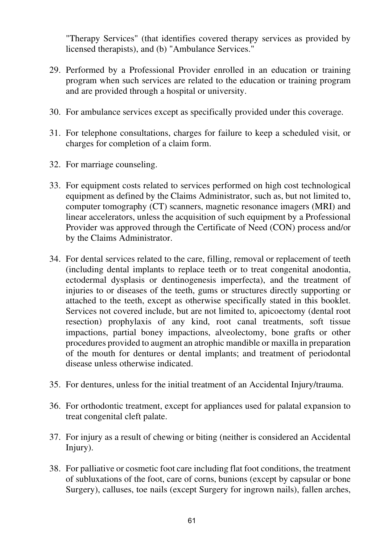"Therapy Services" (that identifies covered therapy services as provided by licensed therapists), and (b) "Ambulance Services."

- 29. Performed by a Professional Provider enrolled in an education or training program when such services are related to the education or training program and are provided through a hospital or university.
- 30. For ambulance services except as specifically provided under this coverage.
- 31. For telephone consultations, charges for failure to keep a scheduled visit, or charges for completion of a claim form.
- 32. For marriage counseling.
- 33. For equipment costs related to services performed on high cost technological equipment as defined by the Claims Administrator, such as, but not limited to, computer tomography (CT) scanners, magnetic resonance imagers (MRI) and linear accelerators, unless the acquisition of such equipment by a Professional Provider was approved through the Certificate of Need (CON) process and/or by the Claims Administrator.
- 34. For dental services related to the care, filling, removal or replacement of teeth (including dental implants to replace teeth or to treat congenital anodontia, ectodermal dysplasis or dentinogenesis imperfecta), and the treatment of injuries to or diseases of the teeth, gums or structures directly supporting or attached to the teeth, except as otherwise specifically stated in this booklet. Services not covered include, but are not limited to, apicoectomy (dental root resection) prophylaxis of any kind, root canal treatments, soft tissue impactions, partial boney impactions, alveolectomy, bone grafts or other procedures provided to augment an atrophic mandible or maxilla in preparation of the mouth for dentures or dental implants; and treatment of periodontal disease unless otherwise indicated.
- 35. For dentures, unless for the initial treatment of an Accidental Injury/trauma.
- 36. For orthodontic treatment, except for appliances used for palatal expansion to treat congenital cleft palate.
- 37. For injury as a result of chewing or biting (neither is considered an Accidental Injury).
- 38. For palliative or cosmetic foot care including flat foot conditions, the treatment of subluxations of the foot, care of corns, bunions (except by capsular or bone Surgery), calluses, toe nails (except Surgery for ingrown nails), fallen arches,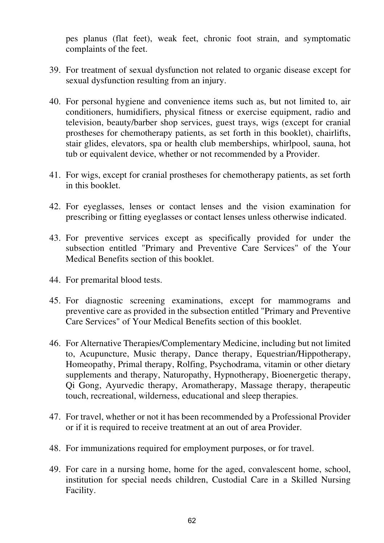pes planus (flat feet), weak feet, chronic foot strain, and symptomatic complaints of the feet.

- 39. For treatment of sexual dysfunction not related to organic disease except for sexual dysfunction resulting from an injury.
- 40. For personal hygiene and convenience items such as, but not limited to, air conditioners, humidifiers, physical fitness or exercise equipment, radio and television, beauty/barber shop services, guest trays, wigs (except for cranial prostheses for chemotherapy patients, as set forth in this booklet), chairlifts, stair glides, elevators, spa or health club memberships, whirlpool, sauna, hot tub or equivalent device, whether or not recommended by a Provider.
- 41. For wigs, except for cranial prostheses for chemotherapy patients, as set forth in this booklet.
- 42. For eyeglasses, lenses or contact lenses and the vision examination for prescribing or fitting eyeglasses or contact lenses unless otherwise indicated.
- 43. For preventive services except as specifically provided for under the subsection entitled "Primary and Preventive Care Services" of the Your Medical Benefits section of this booklet.
- 44. For premarital blood tests.
- 45. For diagnostic screening examinations, except for mammograms and preventive care as provided in the subsection entitled "Primary and Preventive Care Services" of Your Medical Benefits section of this booklet.
- 46. For Alternative Therapies/Complementary Medicine, including but not limited to, Acupuncture, Music therapy, Dance therapy, Equestrian/Hippotherapy, Homeopathy, Primal therapy, Rolfing, Psychodrama, vitamin or other dietary supplements and therapy, Naturopathy, Hypnotherapy, Bioenergetic therapy, Qi Gong, Ayurvedic therapy, Aromatherapy, Massage therapy, therapeutic touch, recreational, wilderness, educational and sleep therapies.
- 47. For travel, whether or not it has been recommended by a Professional Provider or if it is required to receive treatment at an out of area Provider.
- 48. For immunizations required for employment purposes, or for travel.
- 49. For care in a nursing home, home for the aged, convalescent home, school, institution for special needs children, Custodial Care in a Skilled Nursing Facility.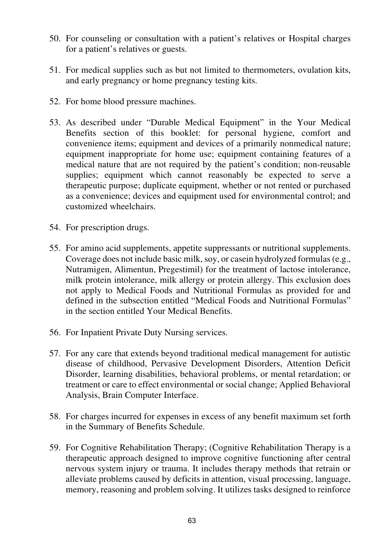- 50. For counseling or consultation with a patient's relatives or Hospital charges for a patient's relatives or guests.
- 51. For medical supplies such as but not limited to thermometers, ovulation kits, and early pregnancy or home pregnancy testing kits.
- 52. For home blood pressure machines.
- 53. As described under "Durable Medical Equipment" in the Your Medical Benefits section of this booklet: for personal hygiene, comfort and convenience items; equipment and devices of a primarily nonmedical nature; equipment inappropriate for home use; equipment containing features of a medical nature that are not required by the patient's condition; non-reusable supplies; equipment which cannot reasonably be expected to serve a therapeutic purpose; duplicate equipment, whether or not rented or purchased as a convenience; devices and equipment used for environmental control; and customized wheelchairs.
- 54. For prescription drugs.
- 55. For amino acid supplements, appetite suppressants or nutritional supplements. Coverage does not include basic milk, soy, or casein hydrolyzed formulas (e.g., Nutramigen, Alimentun, Pregestimil) for the treatment of lactose intolerance, milk protein intolerance, milk allergy or protein allergy. This exclusion does not apply to Medical Foods and Nutritional Formulas as provided for and defined in the subsection entitled "Medical Foods and Nutritional Formulas" in the section entitled Your Medical Benefits.
- 56. For Inpatient Private Duty Nursing services.
- 57. For any care that extends beyond traditional medical management for autistic disease of childhood, Pervasive Development Disorders, Attention Deficit Disorder, learning disabilities, behavioral problems, or mental retardation; or treatment or care to effect environmental or social change; Applied Behavioral Analysis, Brain Computer Interface.
- 58. For charges incurred for expenses in excess of any benefit maximum set forth in the Summary of Benefits Schedule.
- 59. For Cognitive Rehabilitation Therapy; (Cognitive Rehabilitation Therapy is a therapeutic approach designed to improve cognitive functioning after central nervous system injury or trauma. It includes therapy methods that retrain or alleviate problems caused by deficits in attention, visual processing, language, memory, reasoning and problem solving. It utilizes tasks designed to reinforce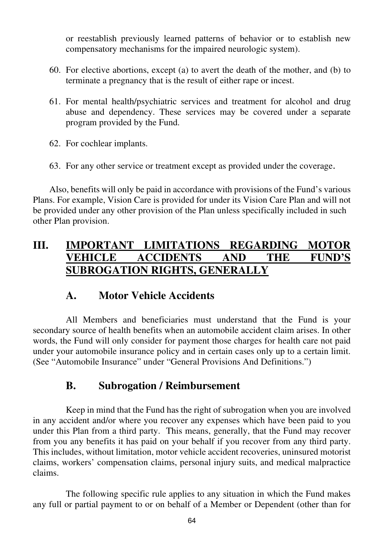or reestablish previously learned patterns of behavior or to establish new compensatory mechanisms for the impaired neurologic system).

- 60. For elective abortions, except (a) to avert the death of the mother, and (b) to terminate a pregnancy that is the result of either rape or incest.
- 61. For mental health/psychiatric services and treatment for alcohol and drug abuse and dependency. These services may be covered under a separate program provided by the Fund.
- 62. For cochlear implants.
- 63. For any other service or treatment except as provided under the coverage.

 Also, benefits will only be paid in accordance with provisions of the Fund's various Plans. For example, Vision Care is provided for under its Vision Care Plan and will not be provided under any other provision of the Plan unless specifically included in such other Plan provision.

### **III. IMPORTANT LIMITATIONS REGARDING MOTOR VEHICLE ACCIDENTS AND THE FUND'S SUBROGATION RIGHTS, GENERALLY**

### **A. Motor Vehicle Accidents**

All Members and beneficiaries must understand that the Fund is your secondary source of health benefits when an automobile accident claim arises. In other words, the Fund will only consider for payment those charges for health care not paid under your automobile insurance policy and in certain cases only up to a certain limit. (See "Automobile Insurance" under "General Provisions And Definitions.")

### **B. Subrogation / Reimbursement**

Keep in mind that the Fund has the right of subrogation when you are involved in any accident and/or where you recover any expenses which have been paid to you under this Plan from a third party. This means, generally, that the Fund may recover from you any benefits it has paid on your behalf if you recover from any third party. This includes, without limitation, motor vehicle accident recoveries, uninsured motorist claims, workers' compensation claims, personal injury suits, and medical malpractice claims.

The following specific rule applies to any situation in which the Fund makes any full or partial payment to or on behalf of a Member or Dependent (other than for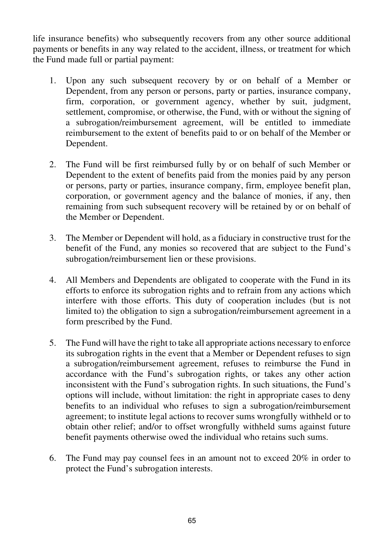life insurance benefits) who subsequently recovers from any other source additional payments or benefits in any way related to the accident, illness, or treatment for which the Fund made full or partial payment:

- 1. Upon any such subsequent recovery by or on behalf of a Member or Dependent, from any person or persons, party or parties, insurance company, firm, corporation, or government agency, whether by suit, judgment, settlement, compromise, or otherwise, the Fund, with or without the signing of a subrogation/reimbursement agreement, will be entitled to immediate reimbursement to the extent of benefits paid to or on behalf of the Member or Dependent.
- 2. The Fund will be first reimbursed fully by or on behalf of such Member or Dependent to the extent of benefits paid from the monies paid by any person or persons, party or parties, insurance company, firm, employee benefit plan, corporation, or government agency and the balance of monies, if any, then remaining from such subsequent recovery will be retained by or on behalf of the Member or Dependent.
- 3. The Member or Dependent will hold, as a fiduciary in constructive trust for the benefit of the Fund, any monies so recovered that are subject to the Fund's subrogation/reimbursement lien or these provisions.
- 4. All Members and Dependents are obligated to cooperate with the Fund in its efforts to enforce its subrogation rights and to refrain from any actions which interfere with those efforts. This duty of cooperation includes (but is not limited to) the obligation to sign a subrogation/reimbursement agreement in a form prescribed by the Fund.
- 5. The Fund will have the right to take all appropriate actions necessary to enforce its subrogation rights in the event that a Member or Dependent refuses to sign a subrogation/reimbursement agreement, refuses to reimburse the Fund in accordance with the Fund's subrogation rights, or takes any other action inconsistent with the Fund's subrogation rights. In such situations, the Fund's options will include, without limitation: the right in appropriate cases to deny benefits to an individual who refuses to sign a subrogation/reimbursement agreement; to institute legal actions to recover sums wrongfully withheld or to obtain other relief; and/or to offset wrongfully withheld sums against future benefit payments otherwise owed the individual who retains such sums.
- 6. The Fund may pay counsel fees in an amount not to exceed 20% in order to protect the Fund's subrogation interests.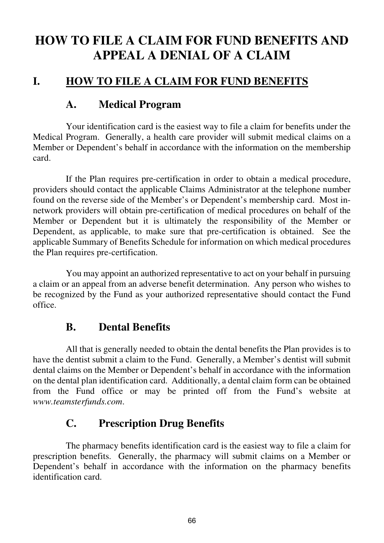# **HOW TO FILE A CLAIM FOR FUND BENEFITS AND APPEAL A DENIAL OF A CLAIM**

### **I. HOW TO FILE A CLAIM FOR FUND BENEFITS**

### **A. Medical Program**

Your identification card is the easiest way to file a claim for benefits under the Medical Program. Generally, a health care provider will submit medical claims on a Member or Dependent's behalf in accordance with the information on the membership card.

If the Plan requires pre-certification in order to obtain a medical procedure, providers should contact the applicable Claims Administrator at the telephone number found on the reverse side of the Member's or Dependent's membership card. Most innetwork providers will obtain pre-certification of medical procedures on behalf of the Member or Dependent but it is ultimately the responsibility of the Member or Dependent, as applicable, to make sure that pre-certification is obtained. See the applicable Summary of Benefits Schedule for information on which medical procedures the Plan requires pre-certification.

You may appoint an authorized representative to act on your behalf in pursuing a claim or an appeal from an adverse benefit determination. Any person who wishes to be recognized by the Fund as your authorized representative should contact the Fund office.

### **B. Dental Benefits**

All that is generally needed to obtain the dental benefits the Plan provides is to have the dentist submit a claim to the Fund. Generally, a Member's dentist will submit dental claims on the Member or Dependent's behalf in accordance with the information on the dental plan identification card. Additionally, a dental claim form can be obtained from the Fund office or may be printed off from the Fund's website at *www.teamsterfunds.com*.

### **C. Prescription Drug Benefits**

The pharmacy benefits identification card is the easiest way to file a claim for prescription benefits. Generally, the pharmacy will submit claims on a Member or Dependent's behalf in accordance with the information on the pharmacy benefits identification card.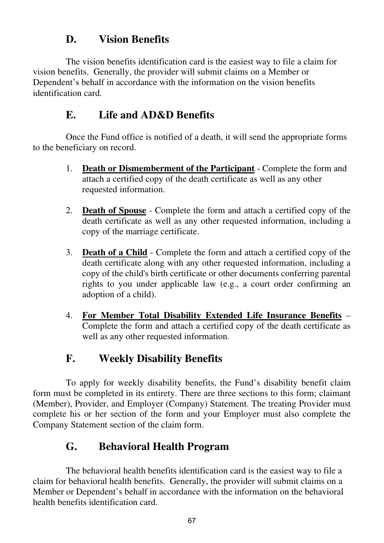### **D. Vision Benefits**

The vision benefits identification card is the easiest way to file a claim for vision benefits. Generally, the provider will submit claims on a Member or Dependent's behalf in accordance with the information on the vision benefits identification card.

### **E. Life and AD&D Benefits**

Once the Fund office is notified of a death, it will send the appropriate forms to the beneficiary on record.

- 1. **Death or Dismemberment of the Participant** Complete the form and attach a certified copy of the death certificate as well as any other requested information.
- 2. **Death of Spouse** Complete the form and attach a certified copy of the death certificate as well as any other requested information, including a copy of the marriage certificate.
- 3. **Death of a Child** Complete the form and attach a certified copy of the death certificate along with any other requested information, including a copy of the child's birth certificate or other documents conferring parental rights to you under applicable law (e.g., a court order confirming an adoption of a child).
- 4. **For Member Total Disability Extended Life Insurance Benefits** Complete the form and attach a certified copy of the death certificate as well as any other requested information.

# **F. Weekly Disability Benefits**

To apply for weekly disability benefits, the Fund's disability benefit claim form must be completed in its entirety. There are three sections to this form; claimant (Member), Provider, and Employer (Company) Statement. The treating Provider must complete his or her section of the form and your Employer must also complete the Company Statement section of the claim form.

# **G. Behavioral Health Program**

The behavioral health benefits identification card is the easiest way to file a claim for behavioral health benefits. Generally, the provider will submit claims on a Member or Dependent's behalf in accordance with the information on the behavioral health benefits identification card.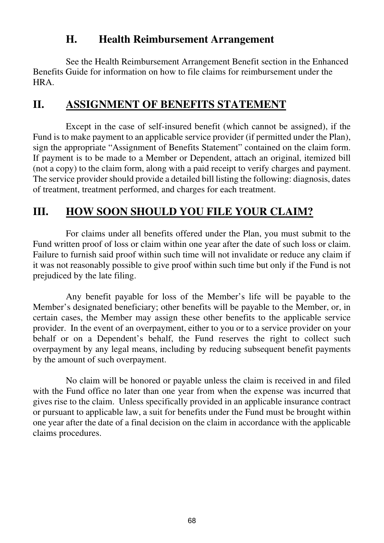### **H. Health Reimbursement Arrangement**

See the Health Reimbursement Arrangement Benefit section in the Enhanced Benefits Guide for information on how to file claims for reimbursement under the HRA.

## **II. ASSIGNMENT OF BENEFITS STATEMENT**

Except in the case of self-insured benefit (which cannot be assigned), if the Fund is to make payment to an applicable service provider (if permitted under the Plan), sign the appropriate "Assignment of Benefits Statement" contained on the claim form. If payment is to be made to a Member or Dependent, attach an original, itemized bill (not a copy) to the claim form, along with a paid receipt to verify charges and payment. The service provider should provide a detailed bill listing the following: diagnosis, dates of treatment, treatment performed, and charges for each treatment.

# **III. HOW SOON SHOULD YOU FILE YOUR CLAIM?**

For claims under all benefits offered under the Plan, you must submit to the Fund written proof of loss or claim within one year after the date of such loss or claim. Failure to furnish said proof within such time will not invalidate or reduce any claim if it was not reasonably possible to give proof within such time but only if the Fund is not prejudiced by the late filing.

Any benefit payable for loss of the Member's life will be payable to the Member's designated beneficiary; other benefits will be payable to the Member, or, in certain cases, the Member may assign these other benefits to the applicable service provider. In the event of an overpayment, either to you or to a service provider on your behalf or on a Dependent's behalf, the Fund reserves the right to collect such overpayment by any legal means, including by reducing subsequent benefit payments by the amount of such overpayment.

No claim will be honored or payable unless the claim is received in and filed with the Fund office no later than one year from when the expense was incurred that gives rise to the claim. Unless specifically provided in an applicable insurance contract or pursuant to applicable law, a suit for benefits under the Fund must be brought within one year after the date of a final decision on the claim in accordance with the applicable claims procedures.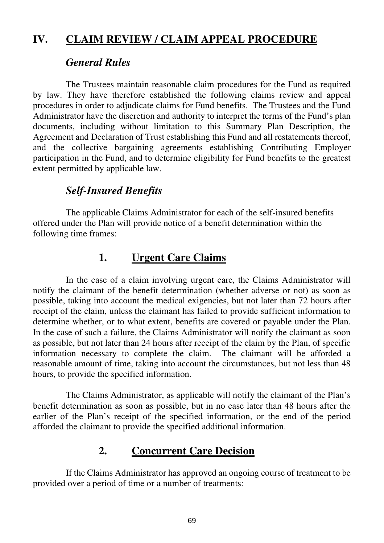## **IV. CLAIM REVIEW / CLAIM APPEAL PROCEDURE**

#### *General Rules*

The Trustees maintain reasonable claim procedures for the Fund as required by law. They have therefore established the following claims review and appeal procedures in order to adjudicate claims for Fund benefits. The Trustees and the Fund Administrator have the discretion and authority to interpret the terms of the Fund's plan documents, including without limitation to this Summary Plan Description, the Agreement and Declaration of Trust establishing this Fund and all restatements thereof, and the collective bargaining agreements establishing Contributing Employer participation in the Fund, and to determine eligibility for Fund benefits to the greatest extent permitted by applicable law.

## *Self-Insured Benefits*

The applicable Claims Administrator for each of the self-insured benefits offered under the Plan will provide notice of a benefit determination within the following time frames:

## **1. Urgent Care Claims**

In the case of a claim involving urgent care, the Claims Administrator will notify the claimant of the benefit determination (whether adverse or not) as soon as possible, taking into account the medical exigencies, but not later than 72 hours after receipt of the claim, unless the claimant has failed to provide sufficient information to determine whether, or to what extent, benefits are covered or payable under the Plan. In the case of such a failure, the Claims Administrator will notify the claimant as soon as possible, but not later than 24 hours after receipt of the claim by the Plan, of specific information necessary to complete the claim. The claimant will be afforded a reasonable amount of time, taking into account the circumstances, but not less than 48 hours, to provide the specified information.

The Claims Administrator, as applicable will notify the claimant of the Plan's benefit determination as soon as possible, but in no case later than 48 hours after the earlier of the Plan's receipt of the specified information, or the end of the period afforded the claimant to provide the specified additional information.

# **2. Concurrent Care Decision**

If the Claims Administrator has approved an ongoing course of treatment to be provided over a period of time or a number of treatments: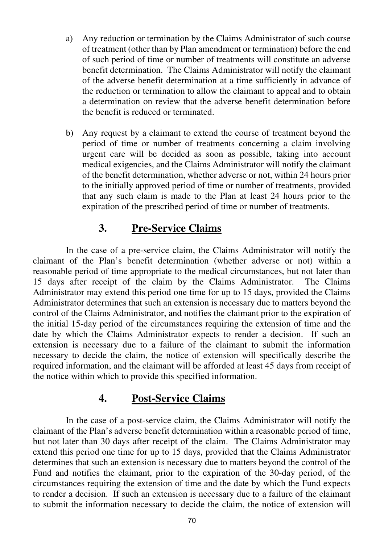- a) Any reduction or termination by the Claims Administrator of such course of treatment (other than by Plan amendment or termination) before the end of such period of time or number of treatments will constitute an adverse benefit determination. The Claims Administrator will notify the claimant of the adverse benefit determination at a time sufficiently in advance of the reduction or termination to allow the claimant to appeal and to obtain a determination on review that the adverse benefit determination before the benefit is reduced or terminated.
- b) Any request by a claimant to extend the course of treatment beyond the period of time or number of treatments concerning a claim involving urgent care will be decided as soon as possible, taking into account medical exigencies, and the Claims Administrator will notify the claimant of the benefit determination, whether adverse or not, within 24 hours prior to the initially approved period of time or number of treatments, provided that any such claim is made to the Plan at least 24 hours prior to the expiration of the prescribed period of time or number of treatments.

### **3. Pre-Service Claims**

In the case of a pre-service claim, the Claims Administrator will notify the claimant of the Plan's benefit determination (whether adverse or not) within a reasonable period of time appropriate to the medical circumstances, but not later than 15 days after receipt of the claim by the Claims Administrator. The Claims Administrator may extend this period one time for up to 15 days, provided the Claims Administrator determines that such an extension is necessary due to matters beyond the control of the Claims Administrator, and notifies the claimant prior to the expiration of the initial 15-day period of the circumstances requiring the extension of time and the date by which the Claims Administrator expects to render a decision. If such an extension is necessary due to a failure of the claimant to submit the information necessary to decide the claim, the notice of extension will specifically describe the required information, and the claimant will be afforded at least 45 days from receipt of the notice within which to provide this specified information.

#### **4. Post-Service Claims**

In the case of a post-service claim, the Claims Administrator will notify the claimant of the Plan's adverse benefit determination within a reasonable period of time, but not later than 30 days after receipt of the claim. The Claims Administrator may extend this period one time for up to 15 days, provided that the Claims Administrator determines that such an extension is necessary due to matters beyond the control of the Fund and notifies the claimant, prior to the expiration of the 30-day period, of the circumstances requiring the extension of time and the date by which the Fund expects to render a decision. If such an extension is necessary due to a failure of the claimant to submit the information necessary to decide the claim, the notice of extension will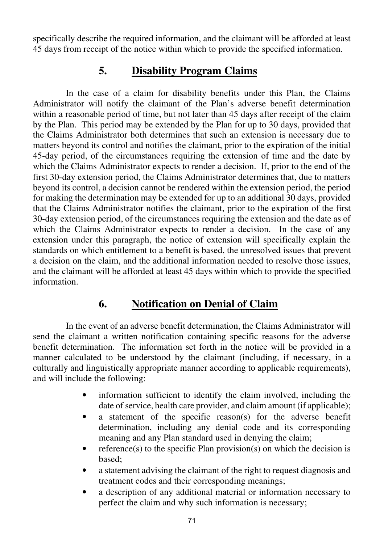specifically describe the required information, and the claimant will be afforded at least 45 days from receipt of the notice within which to provide the specified information.

### **5. Disability Program Claims**

In the case of a claim for disability benefits under this Plan, the Claims Administrator will notify the claimant of the Plan's adverse benefit determination within a reasonable period of time, but not later than 45 days after receipt of the claim by the Plan. This period may be extended by the Plan for up to 30 days, provided that the Claims Administrator both determines that such an extension is necessary due to matters beyond its control and notifies the claimant, prior to the expiration of the initial 45-day period, of the circumstances requiring the extension of time and the date by which the Claims Administrator expects to render a decision. If, prior to the end of the first 30-day extension period, the Claims Administrator determines that, due to matters beyond its control, a decision cannot be rendered within the extension period, the period for making the determination may be extended for up to an additional 30 days, provided that the Claims Administrator notifies the claimant, prior to the expiration of the first 30-day extension period, of the circumstances requiring the extension and the date as of which the Claims Administrator expects to render a decision. In the case of any extension under this paragraph, the notice of extension will specifically explain the standards on which entitlement to a benefit is based, the unresolved issues that prevent a decision on the claim, and the additional information needed to resolve those issues, and the claimant will be afforded at least 45 days within which to provide the specified information.

## **6. Notification on Denial of Claim**

In the event of an adverse benefit determination, the Claims Administrator will send the claimant a written notification containing specific reasons for the adverse benefit determination. The information set forth in the notice will be provided in a manner calculated to be understood by the claimant (including, if necessary, in a culturally and linguistically appropriate manner according to applicable requirements), and will include the following:

- information sufficient to identify the claim involved, including the date of service, health care provider, and claim amount (if applicable);
- a statement of the specific reason(s) for the adverse benefit determination, including any denial code and its corresponding meaning and any Plan standard used in denying the claim;
- reference(s) to the specific Plan provision(s) on which the decision is based;
- a statement advising the claimant of the right to request diagnosis and treatment codes and their corresponding meanings;
- a description of any additional material or information necessary to perfect the claim and why such information is necessary;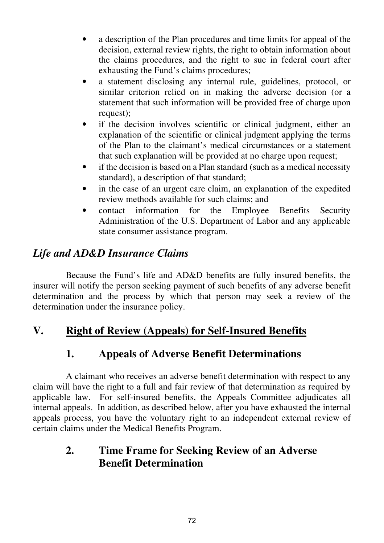- a description of the Plan procedures and time limits for appeal of the decision, external review rights, the right to obtain information about the claims procedures, and the right to sue in federal court after exhausting the Fund's claims procedures;
- a statement disclosing any internal rule, guidelines, protocol, or similar criterion relied on in making the adverse decision (or a statement that such information will be provided free of charge upon request);
- if the decision involves scientific or clinical judgment, either an explanation of the scientific or clinical judgment applying the terms of the Plan to the claimant's medical circumstances or a statement that such explanation will be provided at no charge upon request;
- if the decision is based on a Plan standard (such as a medical necessity standard), a description of that standard;
- in the case of an urgent care claim, an explanation of the expedited review methods available for such claims; and
- contact information for the Employee Benefits Security Administration of the U.S. Department of Labor and any applicable state consumer assistance program.

# *Life and AD&D Insurance Claims*

Because the Fund's life and AD&D benefits are fully insured benefits, the insurer will notify the person seeking payment of such benefits of any adverse benefit determination and the process by which that person may seek a review of the determination under the insurance policy.

## **V. Right of Review (Appeals) for Self-Insured Benefits**

## **1. Appeals of Adverse Benefit Determinations**

A claimant who receives an adverse benefit determination with respect to any claim will have the right to a full and fair review of that determination as required by applicable law. For self-insured benefits, the Appeals Committee adjudicates all internal appeals. In addition, as described below, after you have exhausted the internal appeals process, you have the voluntary right to an independent external review of certain claims under the Medical Benefits Program.

## **2. Time Frame for Seeking Review of an Adverse Benefit Determination**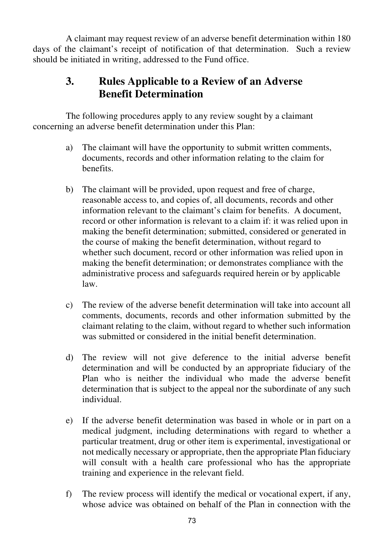A claimant may request review of an adverse benefit determination within 180 days of the claimant's receipt of notification of that determination. Such a review should be initiated in writing, addressed to the Fund office.

# **3. Rules Applicable to a Review of an Adverse Benefit Determination**

The following procedures apply to any review sought by a claimant concerning an adverse benefit determination under this Plan:

- a) The claimant will have the opportunity to submit written comments, documents, records and other information relating to the claim for benefits.
- b) The claimant will be provided, upon request and free of charge, reasonable access to, and copies of, all documents, records and other information relevant to the claimant's claim for benefits. A document, record or other information is relevant to a claim if: it was relied upon in making the benefit determination; submitted, considered or generated in the course of making the benefit determination, without regard to whether such document, record or other information was relied upon in making the benefit determination; or demonstrates compliance with the administrative process and safeguards required herein or by applicable law.
- c) The review of the adverse benefit determination will take into account all comments, documents, records and other information submitted by the claimant relating to the claim, without regard to whether such information was submitted or considered in the initial benefit determination.
- d) The review will not give deference to the initial adverse benefit determination and will be conducted by an appropriate fiduciary of the Plan who is neither the individual who made the adverse benefit determination that is subject to the appeal nor the subordinate of any such individual.
- e) If the adverse benefit determination was based in whole or in part on a medical judgment, including determinations with regard to whether a particular treatment, drug or other item is experimental, investigational or not medically necessary or appropriate, then the appropriate Plan fiduciary will consult with a health care professional who has the appropriate training and experience in the relevant field.
- f) The review process will identify the medical or vocational expert, if any, whose advice was obtained on behalf of the Plan in connection with the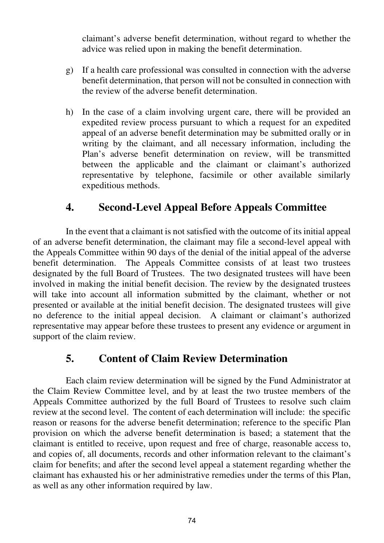claimant's adverse benefit determination, without regard to whether the advice was relied upon in making the benefit determination.

- g) If a health care professional was consulted in connection with the adverse benefit determination, that person will not be consulted in connection with the review of the adverse benefit determination.
- h) In the case of a claim involving urgent care, there will be provided an expedited review process pursuant to which a request for an expedited appeal of an adverse benefit determination may be submitted orally or in writing by the claimant, and all necessary information, including the Plan's adverse benefit determination on review, will be transmitted between the applicable and the claimant or claimant's authorized representative by telephone, facsimile or other available similarly expeditious methods.

#### **4. Second-Level Appeal Before Appeals Committee**

In the event that a claimant is not satisfied with the outcome of its initial appeal of an adverse benefit determination, the claimant may file a second-level appeal with the Appeals Committee within 90 days of the denial of the initial appeal of the adverse benefit determination. The Appeals Committee consists of at least two trustees designated by the full Board of Trustees. The two designated trustees will have been involved in making the initial benefit decision. The review by the designated trustees will take into account all information submitted by the claimant, whether or not presented or available at the initial benefit decision. The designated trustees will give no deference to the initial appeal decision. A claimant or claimant's authorized representative may appear before these trustees to present any evidence or argument in support of the claim review.

#### **5. Content of Claim Review Determination**

Each claim review determination will be signed by the Fund Administrator at the Claim Review Committee level, and by at least the two trustee members of the Appeals Committee authorized by the full Board of Trustees to resolve such claim review at the second level. The content of each determination will include: the specific reason or reasons for the adverse benefit determination; reference to the specific Plan provision on which the adverse benefit determination is based; a statement that the claimant is entitled to receive, upon request and free of charge, reasonable access to, and copies of, all documents, records and other information relevant to the claimant's claim for benefits; and after the second level appeal a statement regarding whether the claimant has exhausted his or her administrative remedies under the terms of this Plan, as well as any other information required by law.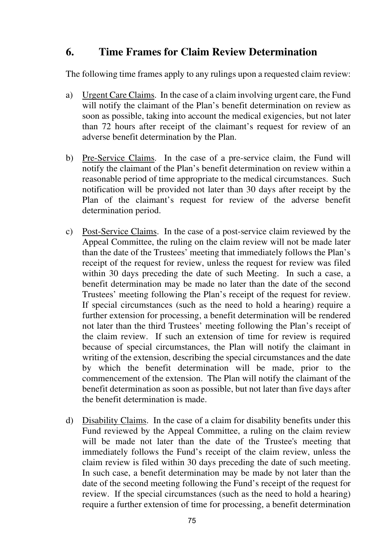#### **6. Time Frames for Claim Review Determination**

The following time frames apply to any rulings upon a requested claim review:

- a) Urgent Care Claims. In the case of a claim involving urgent care, the Fund will notify the claimant of the Plan's benefit determination on review as soon as possible, taking into account the medical exigencies, but not later than 72 hours after receipt of the claimant's request for review of an adverse benefit determination by the Plan.
- b) Pre-Service Claims. In the case of a pre-service claim, the Fund will notify the claimant of the Plan's benefit determination on review within a reasonable period of time appropriate to the medical circumstances. Such notification will be provided not later than 30 days after receipt by the Plan of the claimant's request for review of the adverse benefit determination period.
- c) Post-Service Claims. In the case of a post-service claim reviewed by the Appeal Committee, the ruling on the claim review will not be made later than the date of the Trustees' meeting that immediately follows the Plan's receipt of the request for review, unless the request for review was filed within 30 days preceding the date of such Meeting. In such a case, a benefit determination may be made no later than the date of the second Trustees' meeting following the Plan's receipt of the request for review. If special circumstances (such as the need to hold a hearing) require a further extension for processing, a benefit determination will be rendered not later than the third Trustees' meeting following the Plan's receipt of the claim review. If such an extension of time for review is required because of special circumstances, the Plan will notify the claimant in writing of the extension, describing the special circumstances and the date by which the benefit determination will be made, prior to the commencement of the extension. The Plan will notify the claimant of the benefit determination as soon as possible, but not later than five days after the benefit determination is made.
- d) Disability Claims. In the case of a claim for disability benefits under this Fund reviewed by the Appeal Committee, a ruling on the claim review will be made not later than the date of the Trustee's meeting that immediately follows the Fund's receipt of the claim review, unless the claim review is filed within 30 days preceding the date of such meeting. In such case, a benefit determination may be made by not later than the date of the second meeting following the Fund's receipt of the request for review. If the special circumstances (such as the need to hold a hearing) require a further extension of time for processing, a benefit determination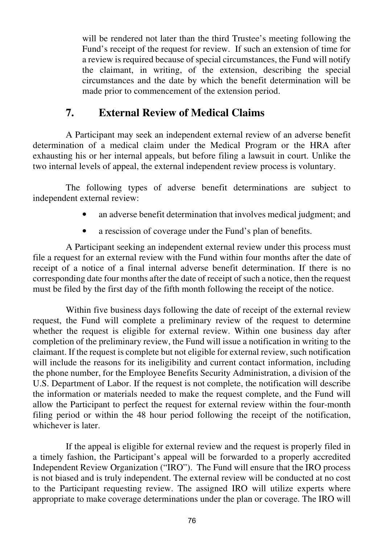will be rendered not later than the third Trustee's meeting following the Fund's receipt of the request for review. If such an extension of time for a review is required because of special circumstances, the Fund will notify the claimant, in writing, of the extension, describing the special circumstances and the date by which the benefit determination will be made prior to commencement of the extension period.

## **7. External Review of Medical Claims**

A Participant may seek an independent external review of an adverse benefit determination of a medical claim under the Medical Program or the HRA after exhausting his or her internal appeals, but before filing a lawsuit in court. Unlike the two internal levels of appeal, the external independent review process is voluntary.

The following types of adverse benefit determinations are subject to independent external review:

- an adverse benefit determination that involves medical judgment; and
- a rescission of coverage under the Fund's plan of benefits.

A Participant seeking an independent external review under this process must file a request for an external review with the Fund within four months after the date of receipt of a notice of a final internal adverse benefit determination. If there is no corresponding date four months after the date of receipt of such a notice, then the request must be filed by the first day of the fifth month following the receipt of the notice.

Within five business days following the date of receipt of the external review request, the Fund will complete a preliminary review of the request to determine whether the request is eligible for external review. Within one business day after completion of the preliminary review, the Fund will issue a notification in writing to the claimant. If the request is complete but not eligible for external review, such notification will include the reasons for its ineligibility and current contact information, including the phone number, for the Employee Benefits Security Administration, a division of the U.S. Department of Labor. If the request is not complete, the notification will describe the information or materials needed to make the request complete, and the Fund will allow the Participant to perfect the request for external review within the four-month filing period or within the 48 hour period following the receipt of the notification, whichever is later.

If the appeal is eligible for external review and the request is properly filed in a timely fashion, the Participant's appeal will be forwarded to a properly accredited Independent Review Organization ("IRO"). The Fund will ensure that the IRO process is not biased and is truly independent. The external review will be conducted at no cost to the Participant requesting review. The assigned IRO will utilize experts where appropriate to make coverage determinations under the plan or coverage. The IRO will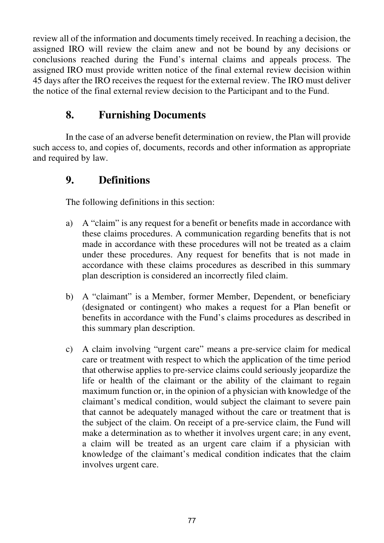review all of the information and documents timely received. In reaching a decision, the assigned IRO will review the claim anew and not be bound by any decisions or conclusions reached during the Fund's internal claims and appeals process. The assigned IRO must provide written notice of the final external review decision within 45 days after the IRO receives the request for the external review. The IRO must deliver the notice of the final external review decision to the Participant and to the Fund.

### **8. Furnishing Documents**

In the case of an adverse benefit determination on review, the Plan will provide such access to, and copies of, documents, records and other information as appropriate and required by law.

#### **9. Definitions**

The following definitions in this section:

- a) A "claim" is any request for a benefit or benefits made in accordance with these claims procedures. A communication regarding benefits that is not made in accordance with these procedures will not be treated as a claim under these procedures. Any request for benefits that is not made in accordance with these claims procedures as described in this summary plan description is considered an incorrectly filed claim.
- b) A "claimant" is a Member, former Member, Dependent, or beneficiary (designated or contingent) who makes a request for a Plan benefit or benefits in accordance with the Fund's claims procedures as described in this summary plan description.
- c) A claim involving "urgent care" means a pre-service claim for medical care or treatment with respect to which the application of the time period that otherwise applies to pre-service claims could seriously jeopardize the life or health of the claimant or the ability of the claimant to regain maximum function or, in the opinion of a physician with knowledge of the claimant's medical condition, would subject the claimant to severe pain that cannot be adequately managed without the care or treatment that is the subject of the claim. On receipt of a pre-service claim, the Fund will make a determination as to whether it involves urgent care; in any event, a claim will be treated as an urgent care claim if a physician with knowledge of the claimant's medical condition indicates that the claim involves urgent care.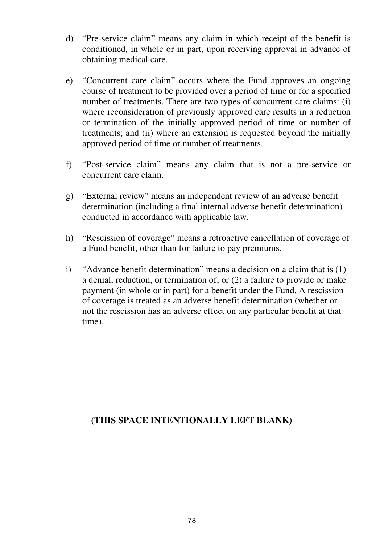- d) "Pre-service claim" means any claim in which receipt of the benefit is conditioned, in whole or in part, upon receiving approval in advance of obtaining medical care.
- e) "Concurrent care claim" occurs where the Fund approves an ongoing course of treatment to be provided over a period of time or for a specified number of treatments. There are two types of concurrent care claims: (i) where reconsideration of previously approved care results in a reduction or termination of the initially approved period of time or number of treatments; and (ii) where an extension is requested beyond the initially approved period of time or number of treatments.
- f) "Post-service claim" means any claim that is not a pre-service or concurrent care claim.
- g) "External review" means an independent review of an adverse benefit determination (including a final internal adverse benefit determination) conducted in accordance with applicable law.
- h) "Rescission of coverage" means a retroactive cancellation of coverage of a Fund benefit, other than for failure to pay premiums.
- i) "Advance benefit determination" means a decision on a claim that is (1) a denial, reduction, or termination of; or (2) a failure to provide or make payment (in whole or in part) for a benefit under the Fund. A rescission of coverage is treated as an adverse benefit determination (whether or not the rescission has an adverse effect on any particular benefit at that time).

#### **(THIS SPACE INTENTIONALLY LEFT BLANK)**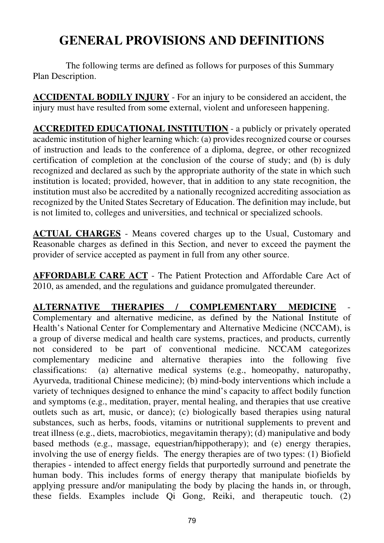# **GENERAL PROVISIONS AND DEFINITIONS**

The following terms are defined as follows for purposes of this Summary Plan Description.

**ACCIDENTAL BODILY INJURY** - For an injury to be considered an accident, the injury must have resulted from some external, violent and unforeseen happening.

**ACCREDITED EDUCATIONAL INSTITUTION** - a publicly or privately operated academic institution of higher learning which: (a) provides recognized course or courses of instruction and leads to the conference of a diploma, degree, or other recognized certification of completion at the conclusion of the course of study; and (b) is duly recognized and declared as such by the appropriate authority of the state in which such institution is located; provided, however, that in addition to any state recognition, the institution must also be accredited by a nationally recognized accrediting association as recognized by the United States Secretary of Education. The definition may include, but is not limited to, colleges and universities, and technical or specialized schools.

**ACTUAL CHARGES** - Means covered charges up to the Usual, Customary and Reasonable charges as defined in this Section, and never to exceed the payment the provider of service accepted as payment in full from any other source.

**AFFORDABLE CARE ACT** - The Patient Protection and Affordable Care Act of 2010, as amended, and the regulations and guidance promulgated thereunder.

**ALTERNATIVE THERAPIES / COMPLEMENTARY MEDICINE** Complementary and alternative medicine, as defined by the National Institute of Health's National Center for Complementary and Alternative Medicine (NCCAM), is a group of diverse medical and health care systems, practices, and products, currently not considered to be part of conventional medicine. NCCAM categorizes complementary medicine and alternative therapies into the following five classifications: (a) alternative medical systems (e.g., homeopathy, naturopathy, Ayurveda, traditional Chinese medicine); (b) mind-body interventions which include a variety of techniques designed to enhance the mind's capacity to affect bodily function and symptoms (e.g., meditation, prayer, mental healing, and therapies that use creative outlets such as art, music, or dance); (c) biologically based therapies using natural substances, such as herbs, foods, vitamins or nutritional supplements to prevent and treat illness (e.g., diets, macrobiotics, megavitamin therapy); (d) manipulative and body based methods (e.g., massage, equestrian/hippotherapy); and (e) energy therapies, involving the use of energy fields. The energy therapies are of two types: (1) Biofield therapies - intended to affect energy fields that purportedly surround and penetrate the human body. This includes forms of energy therapy that manipulate biofields by applying pressure and/or manipulating the body by placing the hands in, or through, these fields. Examples include Qi Gong, Reiki, and therapeutic touch. (2)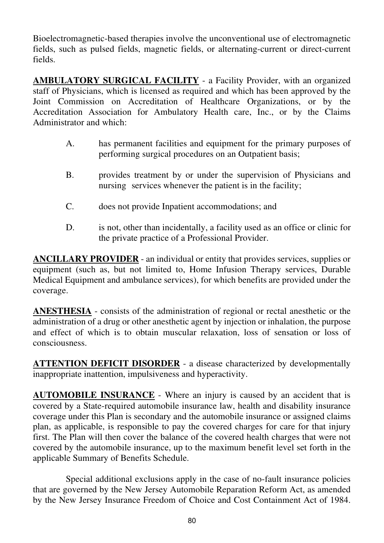Bioelectromagnetic-based therapies involve the unconventional use of electromagnetic fields, such as pulsed fields, magnetic fields, or alternating-current or direct-current fields.

**AMBULATORY SURGICAL FACILITY** - a Facility Provider, with an organized staff of Physicians, which is licensed as required and which has been approved by the Joint Commission on Accreditation of Healthcare Organizations, or by the Accreditation Association for Ambulatory Health care, Inc., or by the Claims Administrator and which:

- A. has permanent facilities and equipment for the primary purposes of performing surgical procedures on an Outpatient basis;
- B. provides treatment by or under the supervision of Physicians and nursing services whenever the patient is in the facility;
- C. does not provide Inpatient accommodations; and
- D. is not, other than incidentally, a facility used as an office or clinic for the private practice of a Professional Provider.

**ANCILLARY PROVIDER** - an individual or entity that provides services, supplies or equipment (such as, but not limited to, Home Infusion Therapy services, Durable Medical Equipment and ambulance services), for which benefits are provided under the coverage.

**ANESTHESIA** - consists of the administration of regional or rectal anesthetic or the administration of a drug or other anesthetic agent by injection or inhalation, the purpose and effect of which is to obtain muscular relaxation, loss of sensation or loss of consciousness.

**ATTENTION DEFICIT DISORDER** - a disease characterized by developmentally inappropriate inattention, impulsiveness and hyperactivity.

**AUTOMOBILE INSURANCE** - Where an injury is caused by an accident that is covered by a State-required automobile insurance law, health and disability insurance coverage under this Plan is secondary and the automobile insurance or assigned claims plan, as applicable, is responsible to pay the covered charges for care for that injury first. The Plan will then cover the balance of the covered health charges that were not covered by the automobile insurance, up to the maximum benefit level set forth in the applicable Summary of Benefits Schedule.

Special additional exclusions apply in the case of no-fault insurance policies that are governed by the New Jersey Automobile Reparation Reform Act, as amended by the New Jersey Insurance Freedom of Choice and Cost Containment Act of 1984.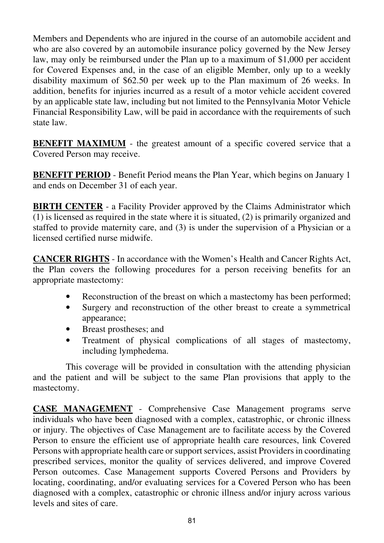Members and Dependents who are injured in the course of an automobile accident and who are also covered by an automobile insurance policy governed by the New Jersey law, may only be reimbursed under the Plan up to a maximum of \$1,000 per accident for Covered Expenses and, in the case of an eligible Member, only up to a weekly disability maximum of \$62.50 per week up to the Plan maximum of 26 weeks. In addition, benefits for injuries incurred as a result of a motor vehicle accident covered by an applicable state law, including but not limited to the Pennsylvania Motor Vehicle Financial Responsibility Law, will be paid in accordance with the requirements of such state law.

**BENEFIT MAXIMUM** - the greatest amount of a specific covered service that a Covered Person may receive.

**BENEFIT PERIOD** - Benefit Period means the Plan Year, which begins on January 1 and ends on December 31 of each year.

**BIRTH CENTER** - a Facility Provider approved by the Claims Administrator which (1) is licensed as required in the state where it is situated, (2) is primarily organized and staffed to provide maternity care, and (3) is under the supervision of a Physician or a licensed certified nurse midwife.

**CANCER RIGHTS** - In accordance with the Women's Health and Cancer Rights Act, the Plan covers the following procedures for a person receiving benefits for an appropriate mastectomy:

- Reconstruction of the breast on which a mastectomy has been performed;
- Surgery and reconstruction of the other breast to create a symmetrical appearance;
- Breast prostheses; and
- Treatment of physical complications of all stages of mastectomy, including lymphedema.

This coverage will be provided in consultation with the attending physician and the patient and will be subject to the same Plan provisions that apply to the mastectomy.

**CASE MANAGEMENT** - Comprehensive Case Management programs serve individuals who have been diagnosed with a complex, catastrophic, or chronic illness or injury. The objectives of Case Management are to facilitate access by the Covered Person to ensure the efficient use of appropriate health care resources, link Covered Persons with appropriate health care or support services, assist Providers in coordinating prescribed services, monitor the quality of services delivered, and improve Covered Person outcomes. Case Management supports Covered Persons and Providers by locating, coordinating, and/or evaluating services for a Covered Person who has been diagnosed with a complex, catastrophic or chronic illness and/or injury across various levels and sites of care.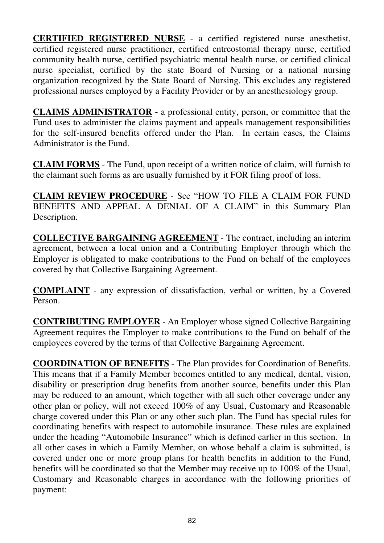**CERTIFIED REGISTERED NURSE** - a certified registered nurse anesthetist, certified registered nurse practitioner, certified entreostomal therapy nurse, certified community health nurse, certified psychiatric mental health nurse, or certified clinical nurse specialist, certified by the state Board of Nursing or a national nursing organization recognized by the State Board of Nursing. This excludes any registered professional nurses employed by a Facility Provider or by an anesthesiology group.

**CLAIMS ADMINISTRATOR -** a professional entity, person, or committee that the Fund uses to administer the claims payment and appeals management responsibilities for the self-insured benefits offered under the Plan. In certain cases, the Claims Administrator is the Fund.

**CLAIM FORMS** - The Fund, upon receipt of a written notice of claim, will furnish to the claimant such forms as are usually furnished by it FOR filing proof of loss.

**CLAIM REVIEW PROCEDURE** - See "HOW TO FILE A CLAIM FOR FUND BENEFITS AND APPEAL A DENIAL OF A CLAIM" in this Summary Plan Description.

**COLLECTIVE BARGAINING AGREEMENT** - The contract, including an interim agreement, between a local union and a Contributing Employer through which the Employer is obligated to make contributions to the Fund on behalf of the employees covered by that Collective Bargaining Agreement.

**COMPLAINT** - any expression of dissatisfaction, verbal or written, by a Covered Person.

**CONTRIBUTING EMPLOYER** - An Employer whose signed Collective Bargaining Agreement requires the Employer to make contributions to the Fund on behalf of the employees covered by the terms of that Collective Bargaining Agreement.

**COORDINATION OF BENEFITS** - The Plan provides for Coordination of Benefits. This means that if a Family Member becomes entitled to any medical, dental, vision, disability or prescription drug benefits from another source, benefits under this Plan may be reduced to an amount, which together with all such other coverage under any other plan or policy, will not exceed 100% of any Usual, Customary and Reasonable charge covered under this Plan or any other such plan. The Fund has special rules for coordinating benefits with respect to automobile insurance. These rules are explained under the heading "Automobile Insurance" which is defined earlier in this section. In all other cases in which a Family Member, on whose behalf a claim is submitted, is covered under one or more group plans for health benefits in addition to the Fund, benefits will be coordinated so that the Member may receive up to 100% of the Usual, Customary and Reasonable charges in accordance with the following priorities of payment: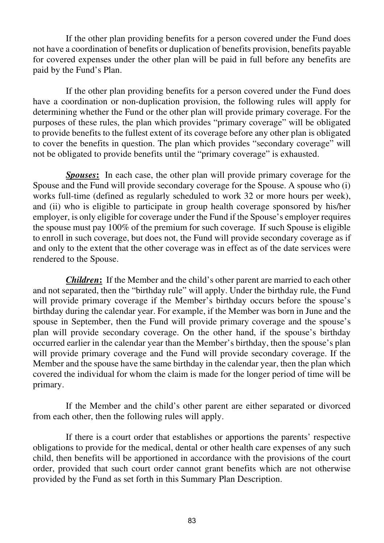If the other plan providing benefits for a person covered under the Fund does not have a coordination of benefits or duplication of benefits provision, benefits payable for covered expenses under the other plan will be paid in full before any benefits are paid by the Fund's Plan.

If the other plan providing benefits for a person covered under the Fund does have a coordination or non-duplication provision, the following rules will apply for determining whether the Fund or the other plan will provide primary coverage. For the purposes of these rules, the plan which provides "primary coverage" will be obligated to provide benefits to the fullest extent of its coverage before any other plan is obligated to cover the benefits in question. The plan which provides "secondary coverage" will not be obligated to provide benefits until the "primary coverage" is exhausted.

*Spouses***:** In each case, the other plan will provide primary coverage for the Spouse and the Fund will provide secondary coverage for the Spouse. A spouse who (i) works full-time (defined as regularly scheduled to work 32 or more hours per week), and (ii) who is eligible to participate in group health coverage sponsored by his/her employer, is only eligible for coverage under the Fund if the Spouse's employer requires the spouse must pay 100% of the premium for such coverage. If such Spouse is eligible to enroll in such coverage, but does not, the Fund will provide secondary coverage as if and only to the extent that the other coverage was in effect as of the date services were rendered to the Spouse.

*Children***:** If the Member and the child's other parent are married to each other and not separated, then the "birthday rule" will apply. Under the birthday rule, the Fund will provide primary coverage if the Member's birthday occurs before the spouse's birthday during the calendar year. For example, if the Member was born in June and the spouse in September, then the Fund will provide primary coverage and the spouse's plan will provide secondary coverage. On the other hand, if the spouse's birthday occurred earlier in the calendar year than the Member's birthday, then the spouse's plan will provide primary coverage and the Fund will provide secondary coverage. If the Member and the spouse have the same birthday in the calendar year, then the plan which covered the individual for whom the claim is made for the longer period of time will be primary.

If the Member and the child's other parent are either separated or divorced from each other, then the following rules will apply.

If there is a court order that establishes or apportions the parents' respective obligations to provide for the medical, dental or other health care expenses of any such child, then benefits will be apportioned in accordance with the provisions of the court order, provided that such court order cannot grant benefits which are not otherwise provided by the Fund as set forth in this Summary Plan Description.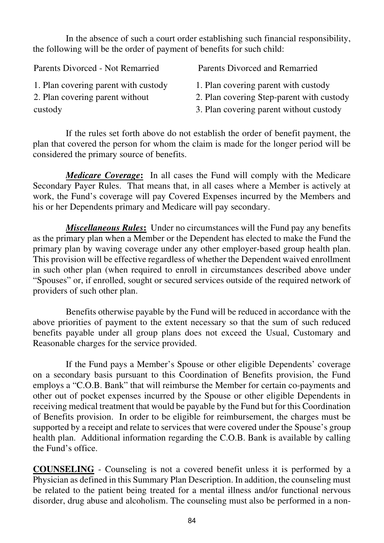In the absence of such a court order establishing such financial responsibility, the following will be the order of payment of benefits for such child:

| Parents Divorced - Not Remarried     | Parents Divorced and Remarried            |
|--------------------------------------|-------------------------------------------|
| 1. Plan covering parent with custody | 1. Plan covering parent with custody      |
| 2. Plan covering parent without      | 2. Plan covering Step-parent with custody |
| custody                              | 3. Plan covering parent without custody   |

If the rules set forth above do not establish the order of benefit payment, the plan that covered the person for whom the claim is made for the longer period will be considered the primary source of benefits.

*Medicare Coverage***:** In all cases the Fund will comply with the Medicare Secondary Payer Rules. That means that, in all cases where a Member is actively at work, the Fund's coverage will pay Covered Expenses incurred by the Members and his or her Dependents primary and Medicare will pay secondary.

*Miscellaneous Rules***:** Under no circumstances will the Fund pay any benefits as the primary plan when a Member or the Dependent has elected to make the Fund the primary plan by waving coverage under any other employer-based group health plan. This provision will be effective regardless of whether the Dependent waived enrollment in such other plan (when required to enroll in circumstances described above under "Spouses" or, if enrolled, sought or secured services outside of the required network of providers of such other plan.

Benefits otherwise payable by the Fund will be reduced in accordance with the above priorities of payment to the extent necessary so that the sum of such reduced benefits payable under all group plans does not exceed the Usual, Customary and Reasonable charges for the service provided.

If the Fund pays a Member's Spouse or other eligible Dependents' coverage on a secondary basis pursuant to this Coordination of Benefits provision, the Fund employs a "C.O.B. Bank" that will reimburse the Member for certain co-payments and other out of pocket expenses incurred by the Spouse or other eligible Dependents in receiving medical treatment that would be payable by the Fund but for this Coordination of Benefits provision. In order to be eligible for reimbursement, the charges must be supported by a receipt and relate to services that were covered under the Spouse's group health plan. Additional information regarding the C.O.B. Bank is available by calling the Fund's office.

**COUNSELING** - Counseling is not a covered benefit unless it is performed by a Physician as defined in this Summary Plan Description. In addition, the counseling must be related to the patient being treated for a mental illness and/or functional nervous disorder, drug abuse and alcoholism. The counseling must also be performed in a non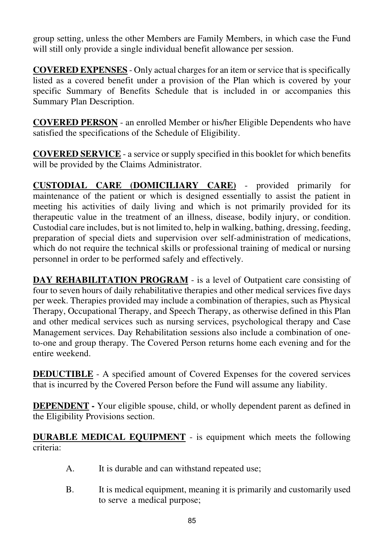group setting, unless the other Members are Family Members, in which case the Fund will still only provide a single individual benefit allowance per session.

**COVERED EXPENSES** - Only actual charges for an item or service that is specifically listed as a covered benefit under a provision of the Plan which is covered by your specific Summary of Benefits Schedule that is included in or accompanies this Summary Plan Description.

**COVERED PERSON** - an enrolled Member or his/her Eligible Dependents who have satisfied the specifications of the Schedule of Eligibility.

**COVERED SERVICE** - a service or supply specified in this booklet for which benefits will be provided by the Claims Administrator.

**CUSTODIAL CARE (DOMICILIARY CARE)** - provided primarily for maintenance of the patient or which is designed essentially to assist the patient in meeting his activities of daily living and which is not primarily provided for its therapeutic value in the treatment of an illness, disease, bodily injury, or condition. Custodial care includes, but is not limited to, help in walking, bathing, dressing, feeding, preparation of special diets and supervision over self-administration of medications, which do not require the technical skills or professional training of medical or nursing personnel in order to be performed safely and effectively.

**DAY REHABILITATION PROGRAM** - is a level of Outpatient care consisting of four to seven hours of daily rehabilitative therapies and other medical services five days per week. Therapies provided may include a combination of therapies, such as Physical Therapy, Occupational Therapy, and Speech Therapy, as otherwise defined in this Plan and other medical services such as nursing services, psychological therapy and Case Management services. Day Rehabilitation sessions also include a combination of oneto-one and group therapy. The Covered Person returns home each evening and for the entire weekend.

**DEDUCTIBLE** - A specified amount of Covered Expenses for the covered services that is incurred by the Covered Person before the Fund will assume any liability.

**DEPENDENT -** Your eligible spouse, child, or wholly dependent parent as defined in the Eligibility Provisions section.

**DURABLE MEDICAL EQUIPMENT** - is equipment which meets the following criteria:

- A. It is durable and can withstand repeated use;
- B. It is medical equipment, meaning it is primarily and customarily used to serve a medical purpose;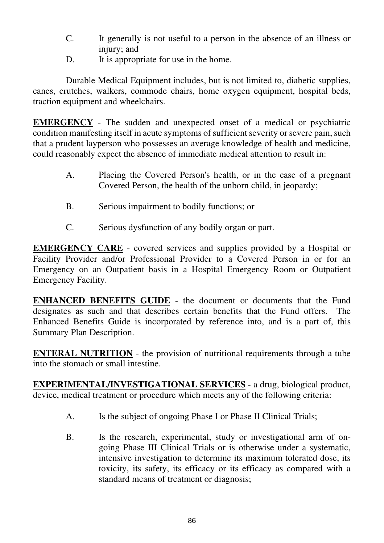- C. It generally is not useful to a person in the absence of an illness or injury; and
- D. It is appropriate for use in the home.

 Durable Medical Equipment includes, but is not limited to, diabetic supplies, canes, crutches, walkers, commode chairs, home oxygen equipment, hospital beds, traction equipment and wheelchairs.

**EMERGENCY** - The sudden and unexpected onset of a medical or psychiatric condition manifesting itself in acute symptoms of sufficient severity or severe pain, such that a prudent layperson who possesses an average knowledge of health and medicine, could reasonably expect the absence of immediate medical attention to result in:

- A. Placing the Covered Person's health, or in the case of a pregnant Covered Person, the health of the unborn child, in jeopardy;
- B. Serious impairment to bodily functions; or
- C. Serious dysfunction of any bodily organ or part.

**EMERGENCY CARE** - covered services and supplies provided by a Hospital or Facility Provider and/or Professional Provider to a Covered Person in or for an Emergency on an Outpatient basis in a Hospital Emergency Room or Outpatient Emergency Facility.

**ENHANCED BENEFITS GUIDE** - the document or documents that the Fund designates as such and that describes certain benefits that the Fund offers. The Enhanced Benefits Guide is incorporated by reference into, and is a part of, this Summary Plan Description.

**ENTERAL NUTRITION** - the provision of nutritional requirements through a tube into the stomach or small intestine.

**EXPERIMENTAL/INVESTIGATIONAL SERVICES** - a drug, biological product, device, medical treatment or procedure which meets any of the following criteria:

- A. Is the subject of ongoing Phase I or Phase II Clinical Trials;
- B. Is the research, experimental, study or investigational arm of on going Phase III Clinical Trials or is otherwise under a systematic, intensive investigation to determine its maximum tolerated dose, its toxicity, its safety, its efficacy or its efficacy as compared with a standard means of treatment or diagnosis;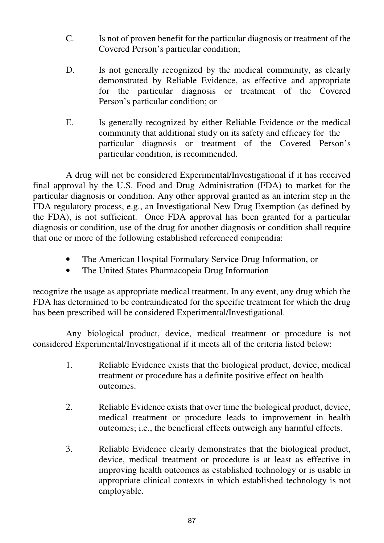- C. Is not of proven benefit for the particular diagnosis or treatment of the Covered Person's particular condition;
- D. Is not generally recognized by the medical community, as clearly demonstrated by Reliable Evidence, as effective and appropriate for the particular diagnosis or treatment of the Covered Person's particular condition; or
- E. Is generally recognized by either Reliable Evidence or the medical community that additional study on its safety and efficacy for the particular diagnosis or treatment of the Covered Person's particular condition, is recommended.

A drug will not be considered Experimental/Investigational if it has received final approval by the U.S. Food and Drug Administration (FDA) to market for the particular diagnosis or condition. Any other approval granted as an interim step in the FDA regulatory process, e.g., an Investigational New Drug Exemption (as defined by the FDA), is not sufficient. Once FDA approval has been granted for a particular diagnosis or condition, use of the drug for another diagnosis or condition shall require that one or more of the following established referenced compendia:

- The American Hospital Formulary Service Drug Information, or
- The United States Pharmacopeia Drug Information

recognize the usage as appropriate medical treatment. In any event, any drug which the FDA has determined to be contraindicated for the specific treatment for which the drug has been prescribed will be considered Experimental/Investigational.

Any biological product, device, medical treatment or procedure is not considered Experimental/Investigational if it meets all of the criteria listed below:

- 1. Reliable Evidence exists that the biological product, device, medical treatment or procedure has a definite positive effect on health outcomes.
- 2. Reliable Evidence exists that over time the biological product, device, medical treatment or procedure leads to improvement in health outcomes; i.e., the beneficial effects outweigh any harmful effects.
- 3. Reliable Evidence clearly demonstrates that the biological product, device, medical treatment or procedure is at least as effective in improving health outcomes as established technology or is usable in appropriate clinical contexts in which established technology is not employable.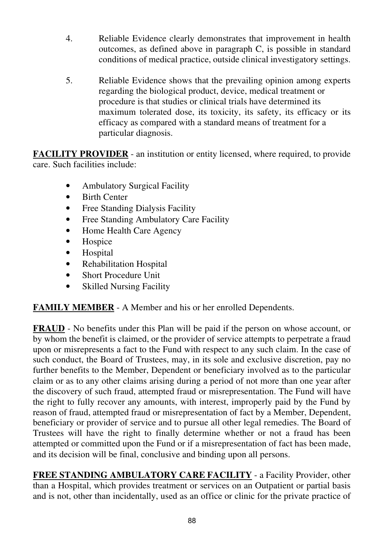- 4. Reliable Evidence clearly demonstrates that improvement in health outcomes, as defined above in paragraph C, is possible in standard conditions of medical practice, outside clinical investigatory settings.
- 5. Reliable Evidence shows that the prevailing opinion among experts regarding the biological product, device, medical treatment or procedure is that studies or clinical trials have determined its maximum tolerated dose, its toxicity, its safety, its efficacy or its efficacy as compared with a standard means of treatment for a particular diagnosis.

**FACILITY PROVIDER** - an institution or entity licensed, where required, to provide care. Such facilities include:

- Ambulatory Surgical Facility
- Birth Center
- Free Standing Dialysis Facility
- Free Standing Ambulatory Care Facility
- Home Health Care Agency
- Hospice
- Hospital
- Rehabilitation Hospital
- Short Procedure Unit
- Skilled Nursing Facility

**FAMILY MEMBER** - A Member and his or her enrolled Dependents.

**FRAUD** - No benefits under this Plan will be paid if the person on whose account, or by whom the benefit is claimed, or the provider of service attempts to perpetrate a fraud upon or misrepresents a fact to the Fund with respect to any such claim. In the case of such conduct, the Board of Trustees, may, in its sole and exclusive discretion, pay no further benefits to the Member, Dependent or beneficiary involved as to the particular claim or as to any other claims arising during a period of not more than one year after the discovery of such fraud, attempted fraud or misrepresentation. The Fund will have the right to fully recover any amounts, with interest, improperly paid by the Fund by reason of fraud, attempted fraud or misrepresentation of fact by a Member, Dependent, beneficiary or provider of service and to pursue all other legal remedies. The Board of Trustees will have the right to finally determine whether or not a fraud has been attempted or committed upon the Fund or if a misrepresentation of fact has been made, and its decision will be final, conclusive and binding upon all persons.

**FREE STANDING AMBULATORY CARE FACILITY** - a Facility Provider, other than a Hospital, which provides treatment or services on an Outpatient or partial basis and is not, other than incidentally, used as an office or clinic for the private practice of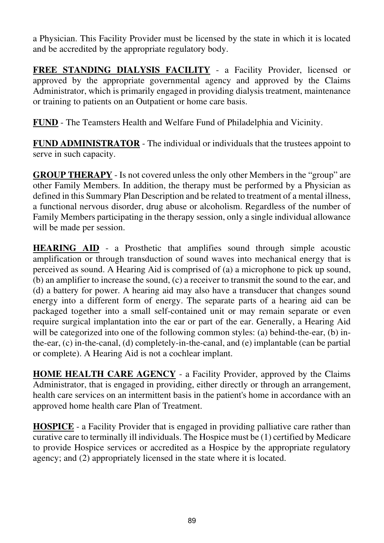a Physician. This Facility Provider must be licensed by the state in which it is located and be accredited by the appropriate regulatory body.

**FREE STANDING DIALYSIS FACILITY** - a Facility Provider, licensed or approved by the appropriate governmental agency and approved by the Claims Administrator, which is primarily engaged in providing dialysis treatment, maintenance or training to patients on an Outpatient or home care basis.

**FUND** - The Teamsters Health and Welfare Fund of Philadelphia and Vicinity.

**FUND ADMINISTRATOR** - The individual or individuals that the trustees appoint to serve in such capacity.

**GROUP THERAPY** - Is not covered unless the only other Members in the "group" are other Family Members. In addition, the therapy must be performed by a Physician as defined in this Summary Plan Description and be related to treatment of a mental illness, a functional nervous disorder, drug abuse or alcoholism. Regardless of the number of Family Members participating in the therapy session, only a single individual allowance will be made per session.

**HEARING AID** - a Prosthetic that amplifies sound through simple acoustic amplification or through transduction of sound waves into mechanical energy that is perceived as sound. A Hearing Aid is comprised of (a) a microphone to pick up sound, (b) an amplifier to increase the sound, (c) a receiver to transmit the sound to the ear, and (d) a battery for power. A hearing aid may also have a transducer that changes sound energy into a different form of energy. The separate parts of a hearing aid can be packaged together into a small self-contained unit or may remain separate or even require surgical implantation into the ear or part of the ear. Generally, a Hearing Aid will be categorized into one of the following common styles: (a) behind-the-ear, (b) inthe-ear, (c) in-the-canal, (d) completely-in-the-canal, and (e) implantable (can be partial or complete). A Hearing Aid is not a cochlear implant.

**HOME HEALTH CARE AGENCY** - a Facility Provider, approved by the Claims Administrator, that is engaged in providing, either directly or through an arrangement, health care services on an intermittent basis in the patient's home in accordance with an approved home health care Plan of Treatment.

**HOSPICE** - a Facility Provider that is engaged in providing palliative care rather than curative care to terminally ill individuals. The Hospice must be (1) certified by Medicare to provide Hospice services or accredited as a Hospice by the appropriate regulatory agency; and (2) appropriately licensed in the state where it is located.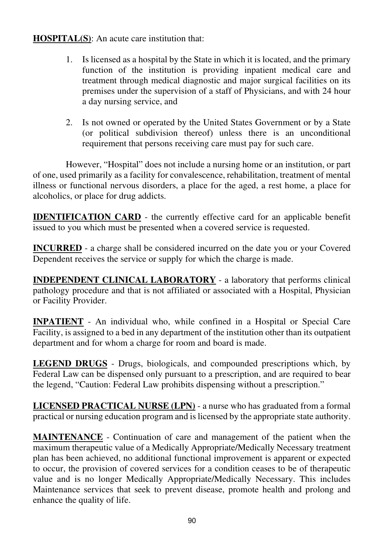**HOSPITAL(S)**: An acute care institution that:

- 1. Is licensed as a hospital by the State in which it is located, and the primary function of the institution is providing inpatient medical care and treatment through medical diagnostic and major surgical facilities on its premises under the supervision of a staff of Physicians, and with 24 hour a day nursing service, and
- 2. Is not owned or operated by the United States Government or by a State (or political subdivision thereof) unless there is an unconditional requirement that persons receiving care must pay for such care.

 However, "Hospital" does not include a nursing home or an institution, or part of one, used primarily as a facility for convalescence, rehabilitation, treatment of mental illness or functional nervous disorders, a place for the aged, a rest home, a place for alcoholics, or place for drug addicts.

**IDENTIFICATION CARD** - the currently effective card for an applicable benefit issued to you which must be presented when a covered service is requested.

**INCURRED** - a charge shall be considered incurred on the date you or your Covered Dependent receives the service or supply for which the charge is made.

**INDEPENDENT CLINICAL LABORATORY** - a laboratory that performs clinical pathology procedure and that is not affiliated or associated with a Hospital, Physician or Facility Provider.

**INPATIENT** - An individual who, while confined in a Hospital or Special Care Facility, is assigned to a bed in any department of the institution other than its outpatient department and for whom a charge for room and board is made.

**LEGEND DRUGS** - Drugs, biologicals, and compounded prescriptions which, by Federal Law can be dispensed only pursuant to a prescription, and are required to bear the legend, "Caution: Federal Law prohibits dispensing without a prescription."

**LICENSED PRACTICAL NURSE (LPN)** - a nurse who has graduated from a formal practical or nursing education program and is licensed by the appropriate state authority.

**MAINTENANCE** - Continuation of care and management of the patient when the maximum therapeutic value of a Medically Appropriate/Medically Necessary treatment plan has been achieved, no additional functional improvement is apparent or expected to occur, the provision of covered services for a condition ceases to be of therapeutic value and is no longer Medically Appropriate/Medically Necessary. This includes Maintenance services that seek to prevent disease, promote health and prolong and enhance the quality of life.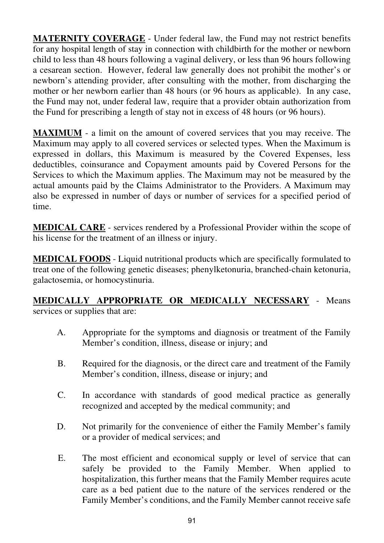**MATERNITY COVERAGE** - Under federal law, the Fund may not restrict benefits for any hospital length of stay in connection with childbirth for the mother or newborn child to less than 48 hours following a vaginal delivery, or less than 96 hours following a cesarean section. However, federal law generally does not prohibit the mother's or newborn's attending provider, after consulting with the mother, from discharging the mother or her newborn earlier than 48 hours (or 96 hours as applicable). In any case, the Fund may not, under federal law, require that a provider obtain authorization from the Fund for prescribing a length of stay not in excess of 48 hours (or 96 hours).

**MAXIMUM** - a limit on the amount of covered services that you may receive. The Maximum may apply to all covered services or selected types. When the Maximum is expressed in dollars, this Maximum is measured by the Covered Expenses, less deductibles, coinsurance and Copayment amounts paid by Covered Persons for the Services to which the Maximum applies. The Maximum may not be measured by the actual amounts paid by the Claims Administrator to the Providers. A Maximum may also be expressed in number of days or number of services for a specified period of time.

**MEDICAL CARE** - services rendered by a Professional Provider within the scope of his license for the treatment of an illness or injury.

**MEDICAL FOODS** - Liquid nutritional products which are specifically formulated to treat one of the following genetic diseases; phenylketonuria, branched-chain ketonuria, galactosemia, or homocystinuria.

#### **MEDICALLY APPROPRIATE OR MEDICALLY NECESSARY** - Means services or supplies that are:

- A. Appropriate for the symptoms and diagnosis or treatment of the Family Member's condition, illness, disease or injury; and
- B. Required for the diagnosis, or the direct care and treatment of the Family Member's condition, illness, disease or injury; and
- C. In accordance with standards of good medical practice as generally recognized and accepted by the medical community; and
- D. Not primarily for the convenience of either the Family Member's family or a provider of medical services; and
- E. The most efficient and economical supply or level of service that can safely be provided to the Family Member. When applied to hospitalization, this further means that the Family Member requires acute care as a bed patient due to the nature of the services rendered or the Family Member's conditions, and the Family Member cannot receive safe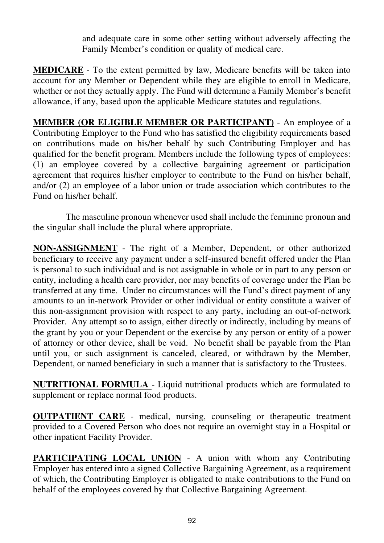and adequate care in some other setting without adversely affecting the Family Member's condition or quality of medical care.

**MEDICARE** - To the extent permitted by law, Medicare benefits will be taken into account for any Member or Dependent while they are eligible to enroll in Medicare, whether or not they actually apply. The Fund will determine a Family Member's benefit allowance, if any, based upon the applicable Medicare statutes and regulations.

**MEMBER (OR ELIGIBLE MEMBER OR PARTICIPANT)** - An employee of a Contributing Employer to the Fund who has satisfied the eligibility requirements based on contributions made on his/her behalf by such Contributing Employer and has qualified for the benefit program. Members include the following types of employees: (1) an employee covered by a collective bargaining agreement or participation agreement that requires his/her employer to contribute to the Fund on his/her behalf, and/or (2) an employee of a labor union or trade association which contributes to the Fund on his/her behalf.

 The masculine pronoun whenever used shall include the feminine pronoun and the singular shall include the plural where appropriate.

**NON-ASSIGNMENT** - The right of a Member, Dependent, or other authorized beneficiary to receive any payment under a self-insured benefit offered under the Plan is personal to such individual and is not assignable in whole or in part to any person or entity, including a health care provider, nor may benefits of coverage under the Plan be transferred at any time. Under no circumstances will the Fund's direct payment of any amounts to an in-network Provider or other individual or entity constitute a waiver of this non-assignment provision with respect to any party, including an out-of-network Provider. Any attempt so to assign, either directly or indirectly, including by means of the grant by you or your Dependent or the exercise by any person or entity of a power of attorney or other device, shall be void. No benefit shall be payable from the Plan until you, or such assignment is canceled, cleared, or withdrawn by the Member, Dependent, or named beneficiary in such a manner that is satisfactory to the Trustees.

**NUTRITIONAL FORMULA** - Liquid nutritional products which are formulated to supplement or replace normal food products.

**OUTPATIENT CARE** - medical, nursing, counseling or therapeutic treatment provided to a Covered Person who does not require an overnight stay in a Hospital or other inpatient Facility Provider.

**PARTICIPATING LOCAL UNION** - A union with whom any Contributing Employer has entered into a signed Collective Bargaining Agreement, as a requirement of which, the Contributing Employer is obligated to make contributions to the Fund on behalf of the employees covered by that Collective Bargaining Agreement.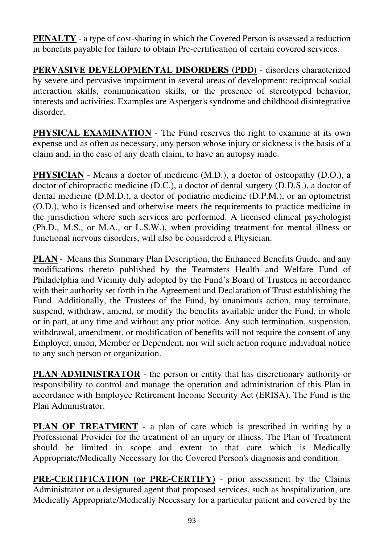**PENALTY** - a type of cost-sharing in which the Covered Person is assessed a reduction in benefits payable for failure to obtain Pre-certification of certain covered services.

**PERVASIVE DEVELOPMENTAL DISORDERS (PDD)** - disorders characterized by severe and pervasive impairment in several areas of development: reciprocal social interaction skills, communication skills, or the presence of stereotyped behavior, interests and activities. Examples are Asperger's syndrome and childhood disintegrative disorder.

**PHYSICAL EXAMINATION** - The Fund reserves the right to examine at its own expense and as often as necessary, any person whose injury or sickness is the basis of a claim and, in the case of any death claim, to have an autopsy made.

**PHYSICIAN** - Means a doctor of medicine (M.D.), a doctor of osteopathy (D.O.), a doctor of chiropractic medicine (D.C.), a doctor of dental surgery (D.D.S.), a doctor of dental medicine (D.M.D.), a doctor of podiatric medicine (D.P.M.), or an optometrist (O.D.), who is licensed and otherwise meets the requirements to practice medicine in the jurisdiction where such services are performed. A licensed clinical psychologist (Ph.D., M.S., or M.A., or L.S.W.), when providing treatment for mental illness or functional nervous disorders, will also be considered a Physician.

**PLAN** - Means this Summary Plan Description, the Enhanced Benefits Guide, and any modifications thereto published by the Teamsters Health and Welfare Fund of Philadelphia and Vicinity duly adopted by the Fund's Board of Trustees in accordance with their authority set forth in the Agreement and Declaration of Trust establishing the Fund. Additionally, the Trustees of the Fund, by unanimous action, may terminate, suspend, withdraw, amend, or modify the benefits available under the Fund, in whole or in part, at any time and without any prior notice. Any such termination, suspension, withdrawal, amendment, or modification of benefits will not require the consent of any Employer, union, Member or Dependent, nor will such action require individual notice to any such person or organization.

**PLAN ADMINISTRATOR** - the person or entity that has discretionary authority or responsibility to control and manage the operation and administration of this Plan in accordance with Employee Retirement Income Security Act (ERISA). The Fund is the Plan Administrator.

**PLAN OF TREATMENT** - a plan of care which is prescribed in writing by a Professional Provider for the treatment of an injury or illness. The Plan of Treatment should be limited in scope and extent to that care which is Medically Appropriate/Medically Necessary for the Covered Person's diagnosis and condition.

**PRE-CERTIFICATION (or PRE-CERTIFY)** - prior assessment by the Claims Administrator or a designated agent that proposed services, such as hospitalization, are Medically Appropriate/Medically Necessary for a particular patient and covered by the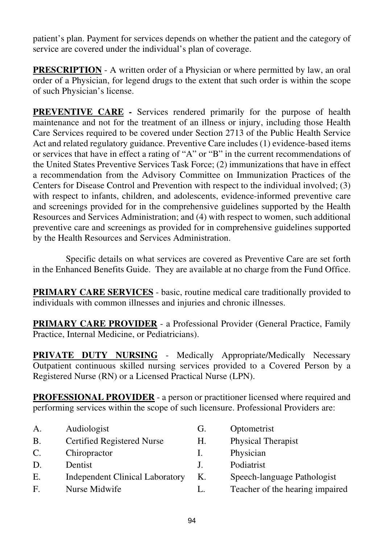patient's plan. Payment for services depends on whether the patient and the category of service are covered under the individual's plan of coverage.

**PRESCRIPTION** - A written order of a Physician or where permitted by law, an oral order of a Physician, for legend drugs to the extent that such order is within the scope of such Physician's license.

**PREVENTIVE CARE** - Services rendered primarily for the purpose of health maintenance and not for the treatment of an illness or injury, including those Health Care Services required to be covered under Section 2713 of the Public Health Service Act and related regulatory guidance. Preventive Care includes (1) evidence-based items or services that have in effect a rating of "A" or "B" in the current recommendations of the United States Preventive Services Task Force; (2) immunizations that have in effect a recommendation from the Advisory Committee on Immunization Practices of the Centers for Disease Control and Prevention with respect to the individual involved; (3) with respect to infants, children, and adolescents, evidence-informed preventive care and screenings provided for in the comprehensive guidelines supported by the Health Resources and Services Administration; and (4) with respect to women, such additional preventive care and screenings as provided for in comprehensive guidelines supported by the Health Resources and Services Administration.

Specific details on what services are covered as Preventive Care are set forth in the Enhanced Benefits Guide. They are available at no charge from the Fund Office.

**PRIMARY CARE SERVICES** - basic, routine medical care traditionally provided to individuals with common illnesses and injuries and chronic illnesses.

**PRIMARY CARE PROVIDER** - a Professional Provider (General Practice, Family Practice, Internal Medicine, or Pediatricians).

**PRIVATE DUTY NURSING** - Medically Appropriate/Medically Necessary Outpatient continuous skilled nursing services provided to a Covered Person by a Registered Nurse (RN) or a Licensed Practical Nurse (LPN).

**PROFESSIONAL PROVIDER** - a person or practitioner licensed where required and performing services within the scope of such licensure. Professional Providers are:

- A. Audiologist G. Optometrist
- B. Certified Registered Nurse H. Physical Therapist
- C. Chiropractor I. Physician
- D. Dentist J. Podiatrist
- E. Independent Clinical Laboratory K. Speech-language Pathologist
- 
- 
- F. Nurse Midwife L. Teacher of the hearing impaired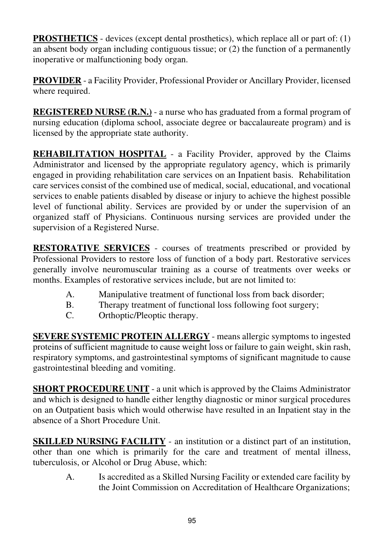**PROSTHETICS** - devices (except dental prosthetics), which replace all or part of: (1) an absent body organ including contiguous tissue; or (2) the function of a permanently inoperative or malfunctioning body organ.

**PROVIDER** - a Facility Provider, Professional Provider or Ancillary Provider, licensed where required.

**REGISTERED NURSE (R.N.)** - a nurse who has graduated from a formal program of nursing education (diploma school, associate degree or baccalaureate program) and is licensed by the appropriate state authority.

**REHABILITATION HOSPITAL** - a Facility Provider, approved by the Claims Administrator and licensed by the appropriate regulatory agency, which is primarily engaged in providing rehabilitation care services on an Inpatient basis. Rehabilitation care services consist of the combined use of medical, social, educational, and vocational services to enable patients disabled by disease or injury to achieve the highest possible level of functional ability. Services are provided by or under the supervision of an organized staff of Physicians. Continuous nursing services are provided under the supervision of a Registered Nurse.

**RESTORATIVE SERVICES** - courses of treatments prescribed or provided by Professional Providers to restore loss of function of a body part. Restorative services generally involve neuromuscular training as a course of treatments over weeks or months. Examples of restorative services include, but are not limited to:

- A. Manipulative treatment of functional loss from back disorder;
- B. Therapy treatment of functional loss following foot surgery;
- C. Orthoptic/Pleoptic therapy.

**SEVERE SYSTEMIC PROTEIN ALLERGY** - means allergic symptoms to ingested proteins of sufficient magnitude to cause weight loss or failure to gain weight, skin rash, respiratory symptoms, and gastrointestinal symptoms of significant magnitude to cause gastrointestinal bleeding and vomiting.

**SHORT PROCEDURE UNIT** - a unit which is approved by the Claims Administrator and which is designed to handle either lengthy diagnostic or minor surgical procedures on an Outpatient basis which would otherwise have resulted in an Inpatient stay in the absence of a Short Procedure Unit.

**SKILLED NURSING FACILITY** - an institution or a distinct part of an institution, other than one which is primarily for the care and treatment of mental illness, tuberculosis, or Alcohol or Drug Abuse, which:

A. Is accredited as a Skilled Nursing Facility or extended care facility by the Joint Commission on Accreditation of Healthcare Organizations;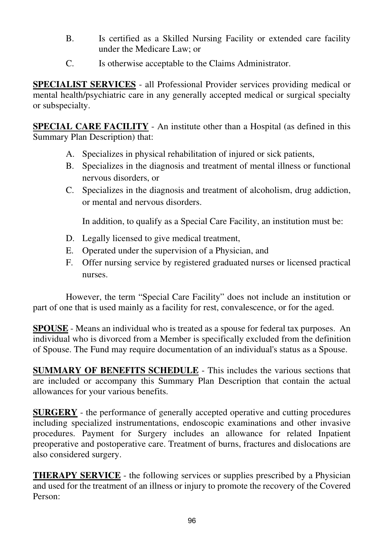- B. Is certified as a Skilled Nursing Facility or extended care facility under the Medicare Law; or
- C. Is otherwise acceptable to the Claims Administrator.

**SPECIALIST SERVICES** - all Professional Provider services providing medical or mental health/psychiatric care in any generally accepted medical or surgical specialty or subspecialty.

**SPECIAL CARE FACILITY** - An institute other than a Hospital (as defined in this Summary Plan Description) that:

- A. Specializes in physical rehabilitation of injured or sick patients,
- B. Specializes in the diagnosis and treatment of mental illness or functional nervous disorders, or
- C. Specializes in the diagnosis and treatment of alcoholism, drug addiction, or mental and nervous disorders.

In addition, to qualify as a Special Care Facility, an institution must be:

- D. Legally licensed to give medical treatment,
- E. Operated under the supervision of a Physician, and
- F. Offer nursing service by registered graduated nurses or licensed practical nurses.

However, the term "Special Care Facility" does not include an institution or part of one that is used mainly as a facility for rest, convalescence, or for the aged.

**SPOUSE** - Means an individual who is treated as a spouse for federal tax purposes. An individual who is divorced from a Member is specifically excluded from the definition of Spouse. The Fund may require documentation of an individual's status as a Spouse.

**SUMMARY OF BENEFITS SCHEDULE** - This includes the various sections that are included or accompany this Summary Plan Description that contain the actual allowances for your various benefits.

**SURGERY** - the performance of generally accepted operative and cutting procedures including specialized instrumentations, endoscopic examinations and other invasive procedures. Payment for Surgery includes an allowance for related Inpatient preoperative and postoperative care. Treatment of burns, fractures and dislocations are also considered surgery.

**THERAPY SERVICE** - the following services or supplies prescribed by a Physician and used for the treatment of an illness or injury to promote the recovery of the Covered Person: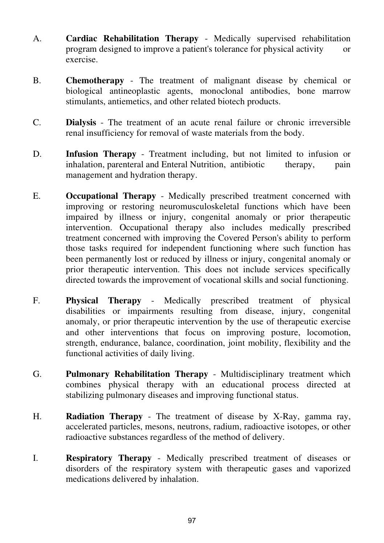- A. **Cardiac Rehabilitation Therapy** Medically supervised rehabilitation program designed to improve a patient's tolerance for physical activity or exercise.
- B. **Chemotherapy** The treatment of malignant disease by chemical or biological antineoplastic agents, monoclonal antibodies, bone marrow stimulants, antiemetics, and other related biotech products.
- C. **Dialysis** The treatment of an acute renal failure or chronic irreversible renal insufficiency for removal of waste materials from the body.
- D. **Infusion Therapy** Treatment including, but not limited to infusion or inhalation, parenteral and Enteral Nutrition, antibiotic therapy, pain management and hydration therapy.
- E. **Occupational Therapy** Medically prescribed treatment concerned with improving or restoring neuromusculoskeletal functions which have been impaired by illness or injury, congenital anomaly or prior therapeutic intervention. Occupational therapy also includes medically prescribed treatment concerned with improving the Covered Person's ability to perform those tasks required for independent functioning where such function has been permanently lost or reduced by illness or injury, congenital anomaly or prior therapeutic intervention. This does not include services specifically directed towards the improvement of vocational skills and social functioning.
- F. **Physical Therapy** Medically prescribed treatment of physical disabilities or impairments resulting from disease, injury, congenital anomaly, or prior therapeutic intervention by the use of therapeutic exercise and other interventions that focus on improving posture, locomotion, strength, endurance, balance, coordination, joint mobility, flexibility and the functional activities of daily living.
- G. **Pulmonary Rehabilitation Therapy** Multidisciplinary treatment which combines physical therapy with an educational process directed at stabilizing pulmonary diseases and improving functional status.
- H. **Radiation Therapy** The treatment of disease by X-Ray, gamma ray, accelerated particles, mesons, neutrons, radium, radioactive isotopes, or other radioactive substances regardless of the method of delivery.
- I. **Respiratory Therapy** Medically prescribed treatment of diseases or disorders of the respiratory system with therapeutic gases and vaporized medications delivered by inhalation.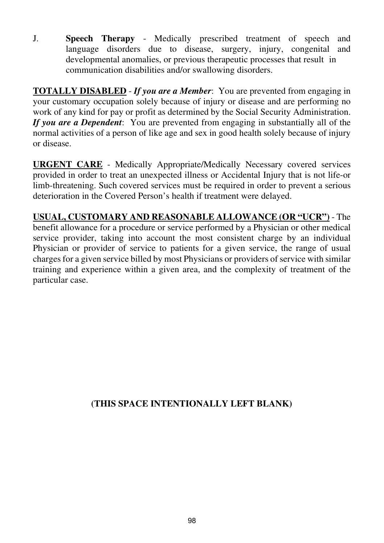J. **Speech Therapy** - Medically prescribed treatment of speech and language disorders due to disease, surgery, injury, congenital and developmental anomalies, or previous therapeutic processes that result in communication disabilities and/or swallowing disorders.

**TOTALLY DISABLED** - *If you are a Member*: You are prevented from engaging in your customary occupation solely because of injury or disease and are performing no work of any kind for pay or profit as determined by the Social Security Administration. *If you are a Dependent*: You are prevented from engaging in substantially all of the normal activities of a person of like age and sex in good health solely because of injury or disease.

**URGENT CARE** - Medically Appropriate/Medically Necessary covered services provided in order to treat an unexpected illness or Accidental Injury that is not life-or limb-threatening. Such covered services must be required in order to prevent a serious deterioration in the Covered Person's health if treatment were delayed.

**USUAL, CUSTOMARY AND REASONABLE ALLOWANCE (OR "UCR")** - The benefit allowance for a procedure or service performed by a Physician or other medical service provider, taking into account the most consistent charge by an individual Physician or provider of service to patients for a given service, the range of usual charges for a given service billed by most Physicians or providers of service with similar training and experience within a given area, and the complexity of treatment of the particular case.

#### **(THIS SPACE INTENTIONALLY LEFT BLANK)**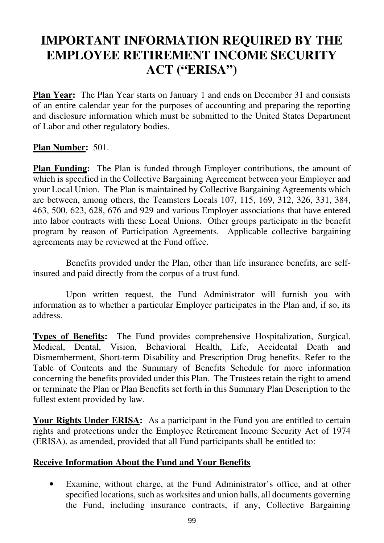# **IMPORTANT INFORMATION REQUIRED BY THE EMPLOYEE RETIREMENT INCOME SECURITY ACT ("ERISA")**

**Plan Year:** The Plan Year starts on January 1 and ends on December 31 and consists of an entire calendar year for the purposes of accounting and preparing the reporting and disclosure information which must be submitted to the United States Department of Labor and other regulatory bodies.

#### **Plan Number:** 501.

**Plan Funding:** The Plan is funded through Employer contributions, the amount of which is specified in the Collective Bargaining Agreement between your Employer and your Local Union. The Plan is maintained by Collective Bargaining Agreements which are between, among others, the Teamsters Locals 107, 115, 169, 312, 326, 331, 384, 463, 500, 623, 628, 676 and 929 and various Employer associations that have entered into labor contracts with these Local Unions. Other groups participate in the benefit program by reason of Participation Agreements. Applicable collective bargaining agreements may be reviewed at the Fund office.

 Benefits provided under the Plan, other than life insurance benefits, are selfinsured and paid directly from the corpus of a trust fund.

 Upon written request, the Fund Administrator will furnish you with information as to whether a particular Employer participates in the Plan and, if so, its address.

**Types of Benefits:** The Fund provides comprehensive Hospitalization, Surgical, Medical, Dental, Vision, Behavioral Health, Life, Accidental Death and Dismemberment, Short-term Disability and Prescription Drug benefits. Refer to the Table of Contents and the Summary of Benefits Schedule for more information concerning the benefits provided under this Plan. The Trustees retain the right to amend or terminate the Plan or Plan Benefits set forth in this Summary Plan Description to the fullest extent provided by law.

**Your Rights Under ERISA:** As a participant in the Fund you are entitled to certain rights and protections under the Employee Retirement Income Security Act of 1974 (ERISA), as amended, provided that all Fund participants shall be entitled to:

#### **Receive Information About the Fund and Your Benefits**

• Examine, without charge, at the Fund Administrator's office, and at other specified locations, such as worksites and union halls, all documents governing the Fund, including insurance contracts, if any, Collective Bargaining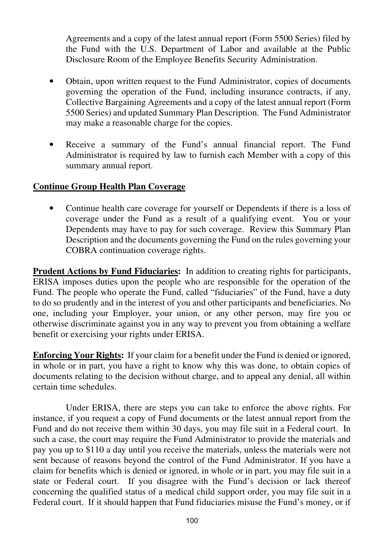Agreements and a copy of the latest annual report (Form 5500 Series) filed by the Fund with the U.S. Department of Labor and available at the Public Disclosure Room of the Employee Benefits Security Administration.

- Obtain, upon written request to the Fund Administrator, copies of documents governing the operation of the Fund, including insurance contracts, if any, Collective Bargaining Agreements and a copy of the latest annual report (Form 5500 Series) and updated Summary Plan Description. The Fund Administrator may make a reasonable charge for the copies.
- Receive a summary of the Fund's annual financial report. The Fund Administrator is required by law to furnish each Member with a copy of this summary annual report.

#### **Continue Group Health Plan Coverage**

• Continue health care coverage for yourself or Dependents if there is a loss of coverage under the Fund as a result of a qualifying event. You or your Dependents may have to pay for such coverage. Review this Summary Plan Description and the documents governing the Fund on the rules governing your COBRA continuation coverage rights.

**Prudent Actions by Fund Fiduciaries:** In addition to creating rights for participants, ERISA imposes duties upon the people who are responsible for the operation of the Fund. The people who operate the Fund, called "fiduciaries" of the Fund, have a duty to do so prudently and in the interest of you and other participants and beneficiaries. No one, including your Employer, your union, or any other person, may fire you or otherwise discriminate against you in any way to prevent you from obtaining a welfare benefit or exercising your rights under ERISA.

**Enforcing Your Rights:** If your claim for a benefit under the Fund is denied or ignored, in whole or in part, you have a right to know why this was done, to obtain copies of documents relating to the decision without charge, and to appeal any denial, all within certain time schedules.

 Under ERISA, there are steps you can take to enforce the above rights. For instance, if you request a copy of Fund documents or the latest annual report from the Fund and do not receive them within 30 days, you may file suit in a Federal court. In such a case, the court may require the Fund Administrator to provide the materials and pay you up to \$110 a day until you receive the materials, unless the materials were not sent because of reasons beyond the control of the Fund Administrator. If you have a claim for benefits which is denied or ignored, in whole or in part, you may file suit in a state or Federal court. If you disagree with the Fund's decision or lack thereof concerning the qualified status of a medical child support order, you may file suit in a Federal court. If it should happen that Fund fiduciaries misuse the Fund's money, or if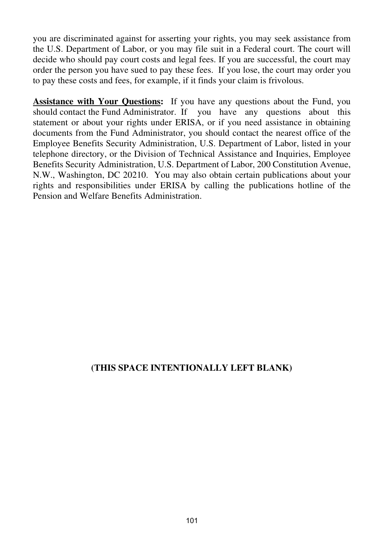you are discriminated against for asserting your rights, you may seek assistance from the U.S. Department of Labor, or you may file suit in a Federal court. The court will decide who should pay court costs and legal fees. If you are successful, the court may order the person you have sued to pay these fees. If you lose, the court may order you to pay these costs and fees, for example, if it finds your claim is frivolous.

**Assistance with Your Questions:** If you have any questions about the Fund, you should contact the Fund Administrator. If you have any questions about this statement or about your rights under ERISA, or if you need assistance in obtaining documents from the Fund Administrator, you should contact the nearest office of the Employee Benefits Security Administration, U.S. Department of Labor, listed in your telephone directory, or the Division of Technical Assistance and Inquiries, Employee Benefits Security Administration, U.S. Department of Labor, 200 Constitution Avenue, N.W., Washington, DC 20210. You may also obtain certain publications about your rights and responsibilities under ERISA by calling the publications hotline of the Pension and Welfare Benefits Administration.

#### **(THIS SPACE INTENTIONALLY LEFT BLANK)**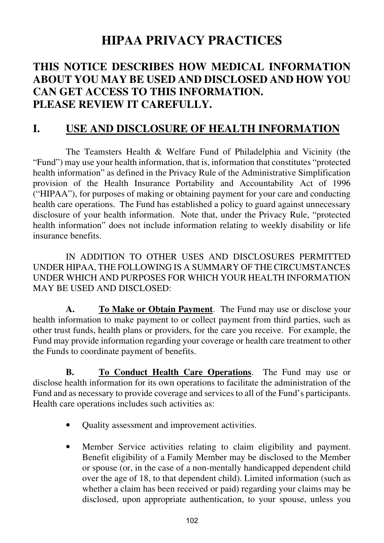# **HIPAA PRIVACY PRACTICES**

## **THIS NOTICE DESCRIBES HOW MEDICAL INFORMATION ABOUT YOU MAY BE USED AND DISCLOSED AND HOW YOU CAN GET ACCESS TO THIS INFORMATION. PLEASE REVIEW IT CAREFULLY.**

## **I. USE AND DISCLOSURE OF HEALTH INFORMATION**

The Teamsters Health & Welfare Fund of Philadelphia and Vicinity (the "Fund") may use your health information, that is, information that constitutes "protected health information" as defined in the Privacy Rule of the Administrative Simplification provision of the Health Insurance Portability and Accountability Act of 1996 ("HIPAA"), for purposes of making or obtaining payment for your care and conducting health care operations. The Fund has established a policy to guard against unnecessary disclosure of your health information. Note that, under the Privacy Rule, "protected health information" does not include information relating to weekly disability or life insurance benefits.

 IN ADDITION TO OTHER USES AND DISCLOSURES PERMITTED UNDER HIPAA, THE FOLLOWING IS A SUMMARY OF THE CIRCUMSTANCES UNDER WHICH AND PURPOSES FOR WHICH YOUR HEALTH INFORMATION MAY BE USED AND DISCLOSED:

**A. To Make or Obtain Payment**. The Fund may use or disclose your health information to make payment to or collect payment from third parties, such as other trust funds, health plans or providers, for the care you receive. For example, the Fund may provide information regarding your coverage or health care treatment to other the Funds to coordinate payment of benefits.

**B. To Conduct Health Care Operations**. The Fund may use or disclose health information for its own operations to facilitate the administration of the Fund and as necessary to provide coverage and services to all of the Fund's participants. Health care operations includes such activities as:

- Quality assessment and improvement activities.
- Member Service activities relating to claim eligibility and payment. Benefit eligibility of a Family Member may be disclosed to the Member or spouse (or, in the case of a non-mentally handicapped dependent child over the age of 18, to that dependent child). Limited information (such as whether a claim has been received or paid) regarding your claims may be disclosed, upon appropriate authentication, to your spouse, unless you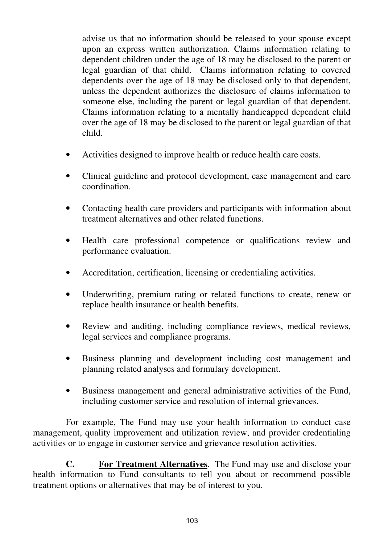advise us that no information should be released to your spouse except upon an express written authorization. Claims information relating to dependent children under the age of 18 may be disclosed to the parent or legal guardian of that child. Claims information relating to covered dependents over the age of 18 may be disclosed only to that dependent, unless the dependent authorizes the disclosure of claims information to someone else, including the parent or legal guardian of that dependent. Claims information relating to a mentally handicapped dependent child over the age of 18 may be disclosed to the parent or legal guardian of that child.

- Activities designed to improve health or reduce health care costs.
- Clinical guideline and protocol development, case management and care coordination.
- Contacting health care providers and participants with information about treatment alternatives and other related functions.
- Health care professional competence or qualifications review and performance evaluation.
- Accreditation, certification, licensing or credentialing activities.
- Underwriting, premium rating or related functions to create, renew or replace health insurance or health benefits.
- Review and auditing, including compliance reviews, medical reviews, legal services and compliance programs.
- Business planning and development including cost management and planning related analyses and formulary development.
- Business management and general administrative activities of the Fund, including customer service and resolution of internal grievances.

 For example, The Fund may use your health information to conduct case management, quality improvement and utilization review, and provider credentialing activities or to engage in customer service and grievance resolution activities.

 **C. For Treatment Alternatives**. The Fund may use and disclose your health information to Fund consultants to tell you about or recommend possible treatment options or alternatives that may be of interest to you.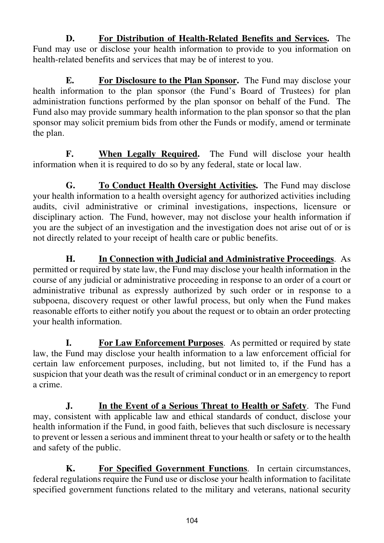**D. For Distribution of Health-Related Benefits and Services.** The Fund may use or disclose your health information to provide to you information on health-related benefits and services that may be of interest to you.

**E. For Disclosure to the Plan Sponsor.** The Fund may disclose your health information to the plan sponsor (the Fund's Board of Trustees) for plan administration functions performed by the plan sponsor on behalf of the Fund. The Fund also may provide summary health information to the plan sponsor so that the plan sponsor may solicit premium bids from other the Funds or modify, amend or terminate the plan.

**F.** When Legally Required. The Fund will disclose your health information when it is required to do so by any federal, state or local law.

**G. To Conduct Health Oversight Activities.** The Fund may disclose your health information to a health oversight agency for authorized activities including audits, civil administrative or criminal investigations, inspections, licensure or disciplinary action. The Fund, however, may not disclose your health information if you are the subject of an investigation and the investigation does not arise out of or is not directly related to your receipt of health care or public benefits.

**H. In Connection with Judicial and Administrative Proceedings**. As permitted or required by state law, the Fund may disclose your health information in the course of any judicial or administrative proceeding in response to an order of a court or administrative tribunal as expressly authorized by such order or in response to a subpoena, discovery request or other lawful process, but only when the Fund makes reasonable efforts to either notify you about the request or to obtain an order protecting your health information.

**I. For Law Enforcement Purposes**. As permitted or required by state law, the Fund may disclose your health information to a law enforcement official for certain law enforcement purposes, including, but not limited to, if the Fund has a suspicion that your death was the result of criminal conduct or in an emergency to report a crime.

**J. In the Event of a Serious Threat to Health or Safety**. The Fund may, consistent with applicable law and ethical standards of conduct, disclose your health information if the Fund, in good faith, believes that such disclosure is necessary to prevent or lessen a serious and imminent threat to your health or safety or to the health and safety of the public.

**K. For Specified Government Functions**. In certain circumstances, federal regulations require the Fund use or disclose your health information to facilitate specified government functions related to the military and veterans, national security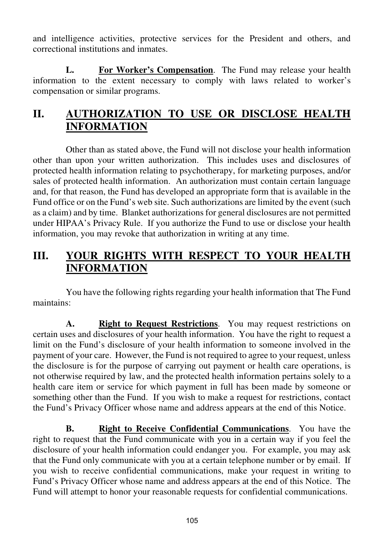and intelligence activities, protective services for the President and others, and correctional institutions and inmates.

**L. For Worker's Compensation**. The Fund may release your health information to the extent necessary to comply with laws related to worker's compensation or similar programs.

# **II. AUTHORIZATION TO USE OR DISCLOSE HEALTH INFORMATION**

Other than as stated above, the Fund will not disclose your health information other than upon your written authorization. This includes uses and disclosures of protected health information relating to psychotherapy, for marketing purposes, and/or sales of protected health information. An authorization must contain certain language and, for that reason, the Fund has developed an appropriate form that is available in the Fund office or on the Fund's web site. Such authorizations are limited by the event (such as a claim) and by time. Blanket authorizations for general disclosures are not permitted under HIPAA's Privacy Rule. If you authorize the Fund to use or disclose your health information, you may revoke that authorization in writing at any time.

# **III. YOUR RIGHTS WITH RESPECT TO YOUR HEALTH INFORMATION**

You have the following rights regarding your health information that The Fund maintains:

**A. Right to Request Restrictions**. You may request restrictions on certain uses and disclosures of your health information. You have the right to request a limit on the Fund's disclosure of your health information to someone involved in the payment of your care. However, the Fund is not required to agree to your request, unless the disclosure is for the purpose of carrying out payment or health care operations, is not otherwise required by law, and the protected health information pertains solely to a health care item or service for which payment in full has been made by someone or something other than the Fund. If you wish to make a request for restrictions, contact the Fund's Privacy Officer whose name and address appears at the end of this Notice.

**B. Right to Receive Confidential Communications**. You have the right to request that the Fund communicate with you in a certain way if you feel the disclosure of your health information could endanger you. For example, you may ask that the Fund only communicate with you at a certain telephone number or by email. If you wish to receive confidential communications, make your request in writing to Fund's Privacy Officer whose name and address appears at the end of this Notice.The Fund will attempt to honor your reasonable requests for confidential communications.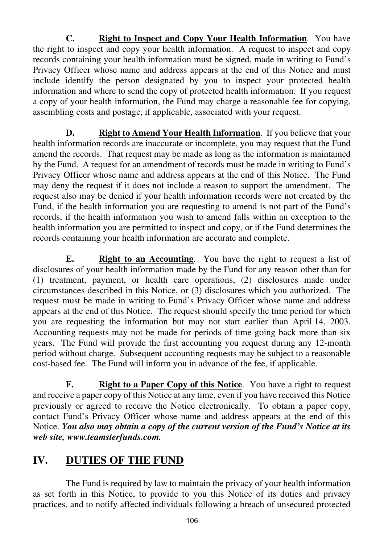**C. Right to Inspect and Copy Your Health Information**. You have the right to inspect and copy your health information. A request to inspect and copy records containing your health information must be signed, made in writing to Fund's Privacy Officer whose name and address appears at the end of this Notice and must include identify the person designated by you to inspect your protected health information and where to send the copy of protected health information.If you request a copy of your health information, the Fund may charge a reasonable fee for copying, assembling costs and postage, if applicable, associated with your request.

**D. Right to Amend Your Health Information**. If you believe that your health information records are inaccurate or incomplete, you may request that the Fund amend the records. That request may be made as long as the information is maintained by the Fund. A request for an amendment of records must be made in writing to Fund's Privacy Officer whose name and address appears at the end of this Notice. The Fund may deny the request if it does not include a reason to support the amendment. The request also may be denied if your health information records were not created by the Fund, if the health information you are requesting to amend is not part of the Fund's records, if the health information you wish to amend falls within an exception to the health information you are permitted to inspect and copy, or if the Fund determines the records containing your health information are accurate and complete.

**E. Right to an Accounting**. You have the right to request a list of disclosures of your health information made by the Fund for any reason other than for (1) treatment, payment, or health care operations, (2) disclosures made under circumstances described in this Notice, or (3) disclosures which you authorized. The request must be made in writing to Fund's Privacy Officer whose name and address appears at the end of this Notice.The request should specify the time period for which you are requesting the information but may not start earlier than April 14, 2003. Accounting requests may not be made for periods of time going back more than six years. The Fund will provide the first accounting you request during any 12-month period without charge. Subsequent accounting requests may be subject to a reasonable cost-based fee. The Fund will inform you in advance of the fee, if applicable.

**F.** Right to a Paper Copy of this Notice. You have a right to request and receive a paper copy of this Notice at any time, even if you have received this Notice previously or agreed to receive the Notice electronically. To obtain a paper copy, contact Fund's Privacy Officer whose name and address appears at the end of this Notice. *You also may obtain a copy of the current version of the Fund's Notice at its web site, www.teamsterfunds.com.* 

# **IV. DUTIES OF THE FUND**

The Fund is required by law to maintain the privacy of your health information as set forth in this Notice, to provide to you this Notice of its duties and privacy practices, and to notify affected individuals following a breach of unsecured protected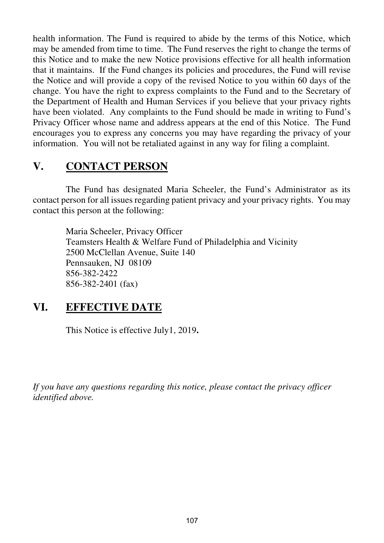health information. The Fund is required to abide by the terms of this Notice, which may be amended from time to time. The Fund reserves the right to change the terms of this Notice and to make the new Notice provisions effective for all health information that it maintains. If the Fund changes its policies and procedures, the Fund will revise the Notice and will provide a copy of the revised Notice to you within 60 days of the change. You have the right to express complaints to the Fund and to the Secretary of the Department of Health and Human Services if you believe that your privacy rights have been violated. Any complaints to the Fund should be made in writing to Fund's Privacy Officer whose name and address appears at the end of this Notice.The Fund encourages you to express any concerns you may have regarding the privacy of your information. You will not be retaliated against in any way for filing a complaint.

# **V. CONTACT PERSON**

The Fund has designated Maria Scheeler, the Fund's Administrator as its contact person for all issues regarding patient privacy and your privacy rights. You may contact this person at the following:

> Maria Scheeler, Privacy Officer Teamsters Health & Welfare Fund of Philadelphia and Vicinity 2500 McClellan Avenue, Suite 140 Pennsauken, NJ 08109 856-382-2422 856-382-2401 (fax)

# **VI. EFFECTIVE DATE**

This Notice is effective July1, 2019**.**

*If you have any questions regarding this notice, please contact the privacy officer identified above.*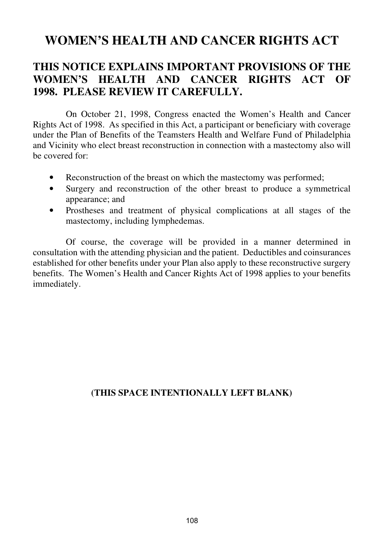# **WOMEN'S HEALTH AND CANCER RIGHTS ACT**

# **THIS NOTICE EXPLAINS IMPORTANT PROVISIONS OF THE WOMEN'S HEALTH AND CANCER RIGHTS ACT OF 1998. PLEASE REVIEW IT CAREFULLY.**

On October 21, 1998, Congress enacted the Women's Health and Cancer Rights Act of 1998. As specified in this Act, a participant or beneficiary with coverage under the Plan of Benefits of the Teamsters Health and Welfare Fund of Philadelphia and Vicinity who elect breast reconstruction in connection with a mastectomy also will be covered for:

- Reconstruction of the breast on which the mastectomy was performed;
- Surgery and reconstruction of the other breast to produce a symmetrical appearance; and
- Prostheses and treatment of physical complications at all stages of the mastectomy, including lymphedemas.

Of course, the coverage will be provided in a manner determined in consultation with the attending physician and the patient. Deductibles and coinsurances established for other benefits under your Plan also apply to these reconstructive surgery benefits. The Women's Health and Cancer Rights Act of 1998 applies to your benefits immediately.

### **(THIS SPACE INTENTIONALLY LEFT BLANK)**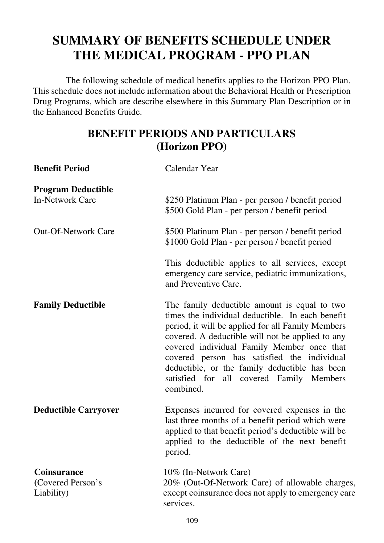# **SUMMARY OF BENEFITS SCHEDULE UNDER THE MEDICAL PROGRAM - PPO PLAN**

The following schedule of medical benefits applies to the Horizon PPO Plan. This schedule does not include information about the Behavioral Health or Prescription Drug Programs, which are describe elsewhere in this Summary Plan Description or in the Enhanced Benefits Guide.

# **BENEFIT PERIODS AND PARTICULARS (Horizon PPO)**

| <b>Benefit Period</b>                                 | Calendar Year                                                                                                                                                                                                                                                                                                                                                                                                    |
|-------------------------------------------------------|------------------------------------------------------------------------------------------------------------------------------------------------------------------------------------------------------------------------------------------------------------------------------------------------------------------------------------------------------------------------------------------------------------------|
| <b>Program Deductible</b><br><b>In-Network Care</b>   | \$250 Platinum Plan - per person / benefit period<br>\$500 Gold Plan - per person / benefit period                                                                                                                                                                                                                                                                                                               |
| <b>Out-Of-Network Care</b>                            | \$500 Platinum Plan - per person / benefit period<br>\$1000 Gold Plan - per person / benefit period                                                                                                                                                                                                                                                                                                              |
|                                                       | This deductible applies to all services, except<br>emergency care service, pediatric immunizations,<br>and Preventive Care.                                                                                                                                                                                                                                                                                      |
| <b>Family Deductible</b>                              | The family deductible amount is equal to two<br>times the individual deductible. In each benefit<br>period, it will be applied for all Family Members<br>covered. A deductible will not be applied to any<br>covered individual Family Member once that<br>covered person has satisfied the individual<br>deductible, or the family deductible has been<br>satisfied for all covered Family Members<br>combined. |
| <b>Deductible Carryover</b>                           | Expenses incurred for covered expenses in the<br>last three months of a benefit period which were<br>applied to that benefit period's deductible will be<br>applied to the deductible of the next benefit<br>period.                                                                                                                                                                                             |
| <b>Coinsurance</b><br>(Covered Person's<br>Liability) | 10% (In-Network Care)<br>20% (Out-Of-Network Care) of allowable charges,<br>except coinsurance does not apply to emergency care<br>services.                                                                                                                                                                                                                                                                     |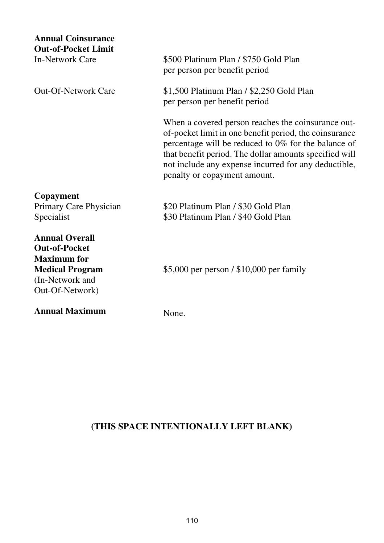| <b>Annual Coinsurance</b><br><b>Out-of-Pocket Limit</b><br>In-Network Care                                                          | \$500 Platinum Plan / \$750 Gold Plan<br>per person per benefit period                                                                                                                                                                                                                                                |
|-------------------------------------------------------------------------------------------------------------------------------------|-----------------------------------------------------------------------------------------------------------------------------------------------------------------------------------------------------------------------------------------------------------------------------------------------------------------------|
| <b>Out-Of-Network Care</b>                                                                                                          | \$1,500 Platinum Plan / \$2,250 Gold Plan<br>per person per benefit period                                                                                                                                                                                                                                            |
|                                                                                                                                     | When a covered person reaches the coinsurance out-<br>of-pocket limit in one benefit period, the coinsurance<br>percentage will be reduced to 0% for the balance of<br>that benefit period. The dollar amounts specified will<br>not include any expense incurred for any deductible,<br>penalty or copayment amount. |
| Copayment<br>Primary Care Physician<br>Specialist                                                                                   | \$20 Platinum Plan / \$30 Gold Plan<br>\$30 Platinum Plan / \$40 Gold Plan                                                                                                                                                                                                                                            |
| <b>Annual Overall</b><br><b>Out-of-Pocket</b><br><b>Maximum</b> for<br><b>Medical Program</b><br>(In-Network and<br>Out-Of-Network) | \$5,000 per person / \$10,000 per family                                                                                                                                                                                                                                                                              |
| <b>Annual Maximum</b>                                                                                                               | None.                                                                                                                                                                                                                                                                                                                 |

# **(THIS SPACE INTENTIONALLY LEFT BLANK)**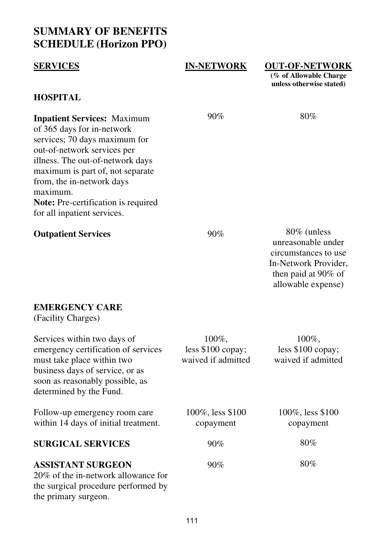# **SUMMARY OF BENEFITS SCHEDULE (Horizon PPO)**

| <b>SERVICES</b>                                                                                                                                                                                                                                                                                                         | <b>IN-NETWORK</b>                                | <b>OUT-OF-NETWORK</b><br>(% of Allowable Charge<br>unless otherwise stated)                                                    |
|-------------------------------------------------------------------------------------------------------------------------------------------------------------------------------------------------------------------------------------------------------------------------------------------------------------------------|--------------------------------------------------|--------------------------------------------------------------------------------------------------------------------------------|
| <b>HOSPITAL</b>                                                                                                                                                                                                                                                                                                         |                                                  |                                                                                                                                |
| <b>Inpatient Services: Maximum</b><br>of 365 days for in-network<br>services; 70 days maximum for<br>out-of-network services per<br>illness. The out-of-network days<br>maximum is part of, not separate<br>from, the in-network days<br>maximum.<br>Note: Pre-certification is required<br>for all inpatient services. | 90%                                              | 80%                                                                                                                            |
| <b>Outpatient Services</b>                                                                                                                                                                                                                                                                                              | 90%                                              | 80% (unless<br>unreasonable under<br>circumstances to use<br>In-Network Provider,<br>then paid at 90% of<br>allowable expense) |
| <b>EMERGENCY CARE</b><br>(Facility Charges)                                                                                                                                                                                                                                                                             |                                                  |                                                                                                                                |
| Services within two days of<br>emergency certification of services<br>must take place within two<br>business days of service, or as<br>soon as reasonably possible, as<br>determined by the Fund.                                                                                                                       | 100%,<br>less \$100 copay;<br>waived if admitted | 100%,<br>less \$100 copay;<br>waived if admitted                                                                               |
| Follow-up emergency room care<br>within 14 days of initial treatment.                                                                                                                                                                                                                                                   | 100%, less \$100<br>copayment                    | 100%, less \$100<br>copayment                                                                                                  |
| <b>SURGICAL SERVICES</b>                                                                                                                                                                                                                                                                                                | 90%                                              | 80%                                                                                                                            |

### **ASSISTANT SURGEON**

20% of the in-network allowance for the surgical procedure performed by the primary surgeon.

90%

80%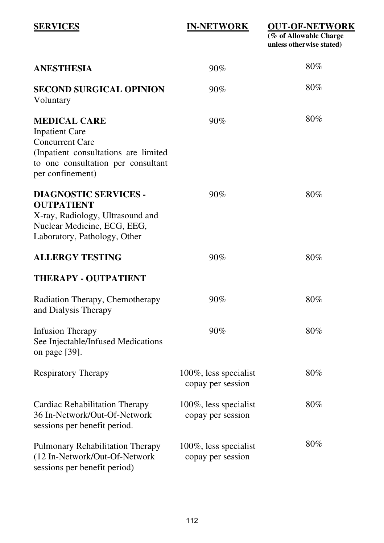| <b>SERVICES</b>                                                                                                                                                          | <b>IN-NETWORK</b>                          | <b>OUT-OF-NETWORK</b><br>$\overline{(\%$ of Allowable Charge<br>unless otherwise stated) |
|--------------------------------------------------------------------------------------------------------------------------------------------------------------------------|--------------------------------------------|------------------------------------------------------------------------------------------|
| ANESTHESIA                                                                                                                                                               | 90%                                        | $80\%$                                                                                   |
| SECOND SURGICAL OPINION<br>Voluntary                                                                                                                                     | 90%                                        | $80\%$                                                                                   |
| <b>MEDICAL CARE</b><br><b>Inpatient Care</b><br><b>Concurrent Care</b><br>(Inpatient consultations are limited<br>to one consultation per consultant<br>per confinement) | 90%                                        | $80\%$                                                                                   |
| <b>DIAGNOSTIC SERVICES -</b><br><b>OUTPATIENT</b><br>X-ray, Radiology, Ultrasound and<br>Nuclear Medicine, ECG, EEG,<br>Laboratory, Pathology, Other                     | 90%                                        | 80%                                                                                      |
| <b>ALLERGY TESTING</b>                                                                                                                                                   | 90%                                        | $80\%$                                                                                   |
| <b>THERAPY - OUTPATIENT</b>                                                                                                                                              |                                            |                                                                                          |
| Radiation Therapy, Chemotherapy<br>and Dialysis Therapy                                                                                                                  | $90\%$                                     | $80\%$                                                                                   |
| <b>Infusion Therapy</b><br>See Injectable/Infused Medications<br>on page [39].                                                                                           | 90%                                        | $80\%$                                                                                   |
| <b>Respiratory Therapy</b>                                                                                                                                               | 100%, less specialist<br>copay per session | $80\%$                                                                                   |
| Cardiac Rehabilitation Therapy<br>36 In-Network/Out-Of-Network<br>sessions per benefit period.                                                                           | 100%, less specialist<br>copay per session | $80\%$                                                                                   |
| Pulmonary Rehabilitation Therapy<br>(12 In-Network/Out-Of-Network<br>sessions per benefit period)                                                                        | 100%, less specialist<br>copay per session | $80\%$                                                                                   |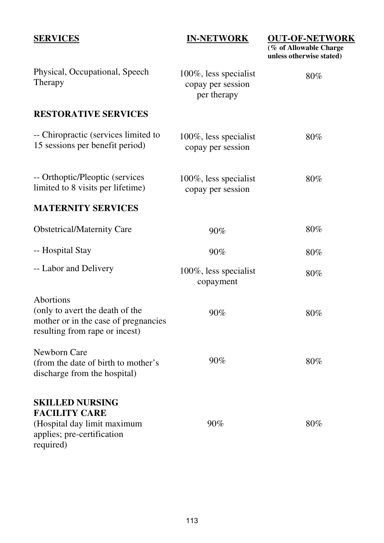| <b>SERVICES</b>                                                                                                          | <b>IN-NETWORK</b>                                         | <b>OUT-OF-NETWORK</b><br>$\overline{\left( \% \text{ of Allowable Charge}\right)}$<br>unless otherwise stated) |
|--------------------------------------------------------------------------------------------------------------------------|-----------------------------------------------------------|----------------------------------------------------------------------------------------------------------------|
| Physical, Occupational, Speech<br>Therapy                                                                                | 100%, less specialist<br>copay per session<br>per therapy | 80%                                                                                                            |
| <b>RESTORATIVE SERVICES</b>                                                                                              |                                                           |                                                                                                                |
| -- Chiropractic (services limited to<br>15 sessions per benefit period)                                                  | 100%, less specialist<br>copay per session                | 80%                                                                                                            |
| -- Orthoptic/Pleoptic (services<br>limited to 8 visits per lifetime)                                                     | 100%, less specialist<br>copay per session                | 80%                                                                                                            |
| <b>MATERNITY SERVICES</b>                                                                                                |                                                           |                                                                                                                |
| <b>Obstetrical/Maternity Care</b>                                                                                        | 90%                                                       | $80\%$                                                                                                         |
| -- Hospital Stay                                                                                                         | 90%                                                       | 80%                                                                                                            |
| -- Labor and Delivery                                                                                                    | 100%, less specialist<br>copayment                        | $80\%$                                                                                                         |
| Abortions<br>(only to avert the death of the<br>mother or in the case of pregnancies<br>resulting from rape or incest)   | 90%                                                       | 80%                                                                                                            |
| Newborn Care<br>(from the date of birth to mother's<br>discharge from the hospital)                                      | 90%                                                       | $80\%$                                                                                                         |
| <b>SKILLED NURSING</b><br><b>FACILITY CARE</b><br>(Hospital day limit maximum<br>applies; pre-certification<br>required) | 90%                                                       | 80%                                                                                                            |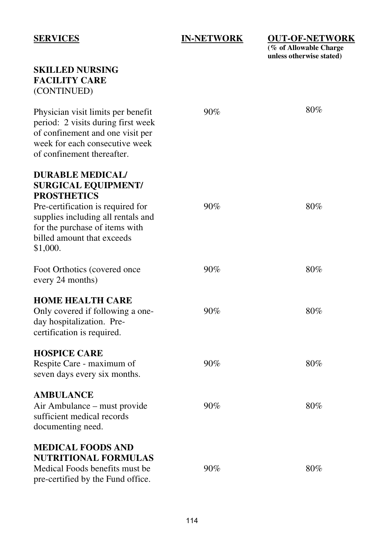### **IN-NETWORK**

**OUT-OF-NETWORK (% of Allowable Charge unless otherwise stated)** 

| <b>SKILLED NURSING</b><br><b>FACILITY CARE</b><br>(CONTINUED)                                                                                                                                                                      |        |        |
|------------------------------------------------------------------------------------------------------------------------------------------------------------------------------------------------------------------------------------|--------|--------|
| Physician visit limits per benefit<br>period: 2 visits during first week<br>of confinement and one visit per<br>week for each consecutive week<br>of confinement thereafter.                                                       | 90%    | 80%    |
| <b>DURABLE MEDICAL/</b><br><b>SURGICAL EQUIPMENT/</b><br><b>PROSTHETICS</b><br>Pre-certification is required for<br>supplies including all rentals and<br>for the purchase of items with<br>billed amount that exceeds<br>\$1,000. | $90\%$ | 80%    |
| Foot Orthotics (covered once<br>every 24 months)                                                                                                                                                                                   | 90%    | 80%    |
| <b>HOME HEALTH CARE</b><br>Only covered if following a one-<br>day hospitalization. Pre-<br>certification is required.                                                                                                             | 90%    | 80%    |
| <b>HOSPICE CARE</b><br>Respite Care - maximum of<br>seven days every six months.                                                                                                                                                   | 90%    | 80%    |
| <b>AMBULANCE</b><br>Air Ambulance - must provide<br>sufficient medical records<br>documenting need.                                                                                                                                | 90%    | $80\%$ |
| <b>MEDICAL FOODS AND</b><br><b>NUTRITIONAL FORMULAS</b><br>Medical Foods benefits must be<br>pre-certified by the Fund office.                                                                                                     | 90%    | 80%    |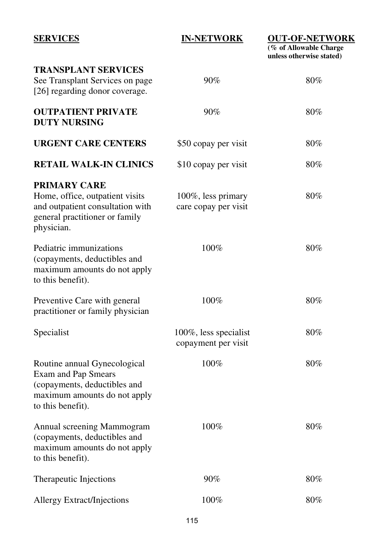### **IN-NETWORK**

**OUT-OF-NETWORK** 

**(% of Allowable Charge unless otherwise stated)** 

| TRANSPLANT SERVICES<br>See Transplant Services on page<br>[26] regarding donor coverage.                                                        | 90%                                          | $80\%$ |
|-------------------------------------------------------------------------------------------------------------------------------------------------|----------------------------------------------|--------|
| <b>OUTPATIENT PRIVATE</b><br><b>DUTY NURSING</b>                                                                                                | 90%                                          | $80\%$ |
| URGENT CARE CENTERS                                                                                                                             | \$50 copay per visit                         | $80\%$ |
| <b>RETAIL WALK-IN CLINICS</b>                                                                                                                   | \$10 copay per visit                         | $80\%$ |
| <b>PRIMARY CARE</b><br>Home, office, outpatient visits<br>and outpatient consultation with<br>general practitioner or family<br>physician.      | 100%, less primary<br>care copay per visit   | 80%    |
| Pediatric immunizations<br>(copayments, deductibles and<br>maximum amounts do not apply<br>to this benefit).                                    | $100\%$                                      | $80\%$ |
| Preventive Care with general<br>practitioner or family physician                                                                                | 100%                                         | 80%    |
| Specialist                                                                                                                                      | 100%, less specialist<br>copayment per visit | $80\%$ |
| Routine annual Gynecological<br><b>Exam and Pap Smears</b><br>(copayments, deductibles and<br>maximum amounts do not apply<br>to this benefit). | 100%                                         | 80%    |
| Annual screening Mammogram<br>(copayments, deductibles and<br>maximum amounts do not apply<br>to this benefit).                                 | $100\%$                                      | $80\%$ |
| Therapeutic Injections                                                                                                                          | 90%                                          | $80\%$ |
| <b>Allergy Extract/Injections</b>                                                                                                               | 100%                                         | $80\%$ |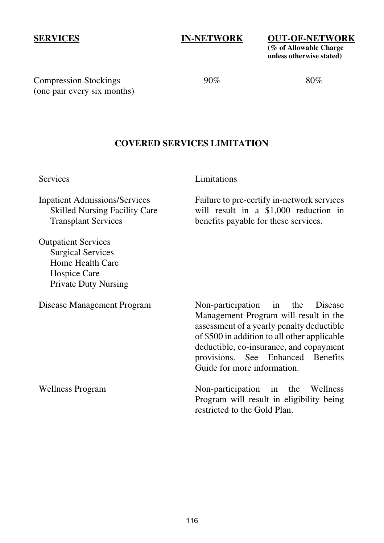#### **IN-NETWORK**

**OUT-OF-NETWORK (% of Allowable Charge unless otherwise stated)** 

Compression Stockings (one pair every six months) 90%

80%

#### **COVERED SERVICES LIMITATION**

Services

#### Limitations

Inpatient Admissions/Services Skilled Nursing Facility Care Transplant Services

Outpatient Services Surgical Services Home Health Care Hospice Care Private Duty Nursing

Disease Management Program

Non-participation in the Disease Management Program will result in the assessment of a yearly penalty deductible of \$500 in addition to all other applicable deductible, co-insurance, and copayment provisions. See Enhanced Benefits Guide for more information.

Failure to pre-certify in-network services will result in a \$1,000 reduction in benefits payable for these services.

Wellness Program

Non-participation in the Wellness Program will result in eligibility being restricted to the Gold Plan.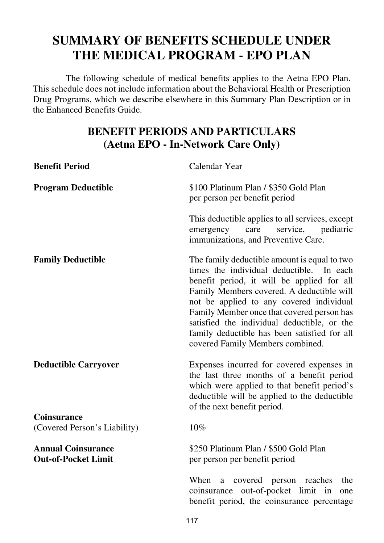# **SUMMARY OF BENEFITS SCHEDULE UNDER THE MEDICAL PROGRAM - EPO PLAN**

 The following schedule of medical benefits applies to the Aetna EPO Plan. This schedule does not include information about the Behavioral Health or Prescription Drug Programs, which we describe elsewhere in this Summary Plan Description or in the Enhanced Benefits Guide.

# **BENEFIT PERIODS AND PARTICULARS (Aetna EPO - In-Network Care Only)**

| <b>Benefit Period</b>                                   | Calendar Year                                                                                                                                                                                                                                                                                                                                                                                                    |
|---------------------------------------------------------|------------------------------------------------------------------------------------------------------------------------------------------------------------------------------------------------------------------------------------------------------------------------------------------------------------------------------------------------------------------------------------------------------------------|
| <b>Program Deductible</b>                               | \$100 Platinum Plan / \$350 Gold Plan<br>per person per benefit period                                                                                                                                                                                                                                                                                                                                           |
|                                                         | This deductible applies to all services, except<br>care<br>service,<br>pediatric<br>emergency<br>immunizations, and Preventive Care.                                                                                                                                                                                                                                                                             |
| <b>Family Deductible</b>                                | The family deductible amount is equal to two<br>times the individual deductible. In each<br>benefit period, it will be applied for all<br>Family Members covered. A deductible will<br>not be applied to any covered individual<br>Family Member once that covered person has<br>satisfied the individual deductible, or the<br>family deductible has been satisfied for all<br>covered Family Members combined. |
| <b>Deductible Carryover</b>                             | Expenses incurred for covered expenses in<br>the last three months of a benefit period<br>which were applied to that benefit period's<br>deductible will be applied to the deductible<br>of the next benefit period.                                                                                                                                                                                             |
| <b>Coinsurance</b><br>(Covered Person's Liability)      | 10%                                                                                                                                                                                                                                                                                                                                                                                                              |
| <b>Annual Coinsurance</b><br><b>Out-of-Pocket Limit</b> | \$250 Platinum Plan / \$500 Gold Plan<br>per person per benefit period                                                                                                                                                                                                                                                                                                                                           |
|                                                         | When<br>covered person reaches<br>a<br>the<br>coinsurance out-of-pocket limit in<br>one<br>benefit period, the coinsurance percentage                                                                                                                                                                                                                                                                            |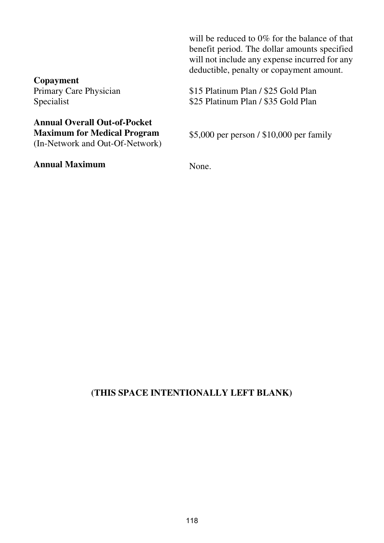**Copayment**  Primary Care Physician Specialist

### **Annual Overall Out-of-Pocket Maximum for Medical Program**  (In-Network and Out-Of-Network)

**Annual Maximum** 

will be reduced to 0% for the balance of that benefit period. The dollar amounts specified will not include any expense incurred for any deductible, penalty or copayment amount.

\$15 Platinum Plan / \$25 Gold Plan \$25 Platinum Plan / \$35 Gold Plan

\$5,000 per person / \$10,000 per family

None.

### **(THIS SPACE INTENTIONALLY LEFT BLANK)**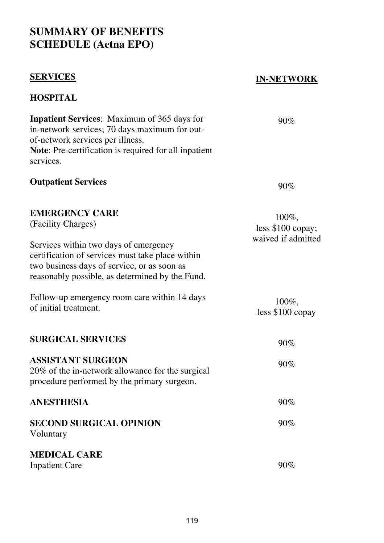# **SUMMARY OF BENEFITS SCHEDULE (Aetna EPO)**

### **SERVICES**

**HOSPITAL** 

### **IN-NETWORK**

### **Inpatient Services**: Maximum of 365 days for in-network services; 70 days maximum for outof-network services per illness. **Note**: Pre-certification is required for all inpatient services. **Outpatient Services EMERGENCY CARE**  (Facility Charges) Services within two days of emergency certification of services must take place within two business days of service, or as soon as reasonably possible, as determined by the Fund. Follow-up emergency room care within 14 days of initial treatment. **SURGICAL SERVICES ASSISTANT SURGEON**  20% of the in-network allowance for the surgical procedure performed by the primary surgeon. 90% 90% 100%, less \$100 copay; waived if admitted 100%, less \$100 copay 90% 90% **ANESTHESIA SECOND SURGICAL OPINION**  Voluntary **MEDICAL CARE**  Inpatient Care 90% 90% 90%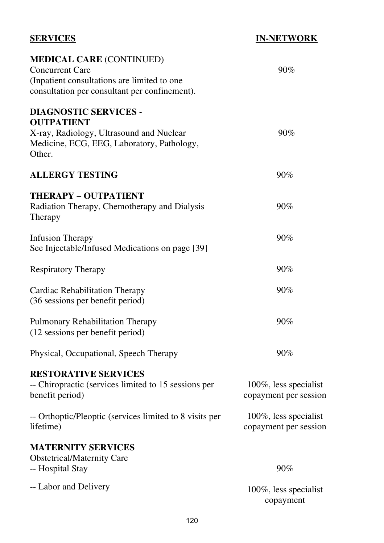| <b>SERVICES</b>                                                                                                                                           | <b>IN-NETWORK</b>                              |
|-----------------------------------------------------------------------------------------------------------------------------------------------------------|------------------------------------------------|
| <b>MEDICAL CARE (CONTINUED)</b><br><b>Concurrent Care</b><br>(Inpatient consultations are limited to one<br>consultation per consultant per confinement). | 90%                                            |
| <b>DIAGNOSTIC SERVICES -</b><br><b>OUTPATIENT</b><br>X-ray, Radiology, Ultrasound and Nuclear<br>Medicine, ECG, EEG, Laboratory, Pathology,<br>Other.     | 90%                                            |
| <b>ALLERGY TESTING</b>                                                                                                                                    | 90%                                            |
| <b>THERAPY - OUTPATIENT</b><br>Radiation Therapy, Chemotherapy and Dialysis<br>Therapy                                                                    | 90%                                            |
| <b>Infusion Therapy</b><br>See Injectable/Infused Medications on page [39]                                                                                | 90%                                            |
| Respiratory Therapy                                                                                                                                       | $90\%$                                         |
| Cardiac Rehabilitation Therapy<br>(36 sessions per benefit period)                                                                                        | 90%                                            |
| Pulmonary Rehabilitation Therapy<br>(12 sessions per benefit period)                                                                                      | 90%                                            |
| Physical, Occupational, Speech Therapy                                                                                                                    | 90%                                            |
| <b>RESTORATIVE SERVICES</b><br>-- Chiropractic (services limited to 15 sessions per<br>benefit period)                                                    | 100%, less specialist<br>copayment per session |
| -- Orthoptic/Pleoptic (services limited to 8 visits per<br>lifetime)                                                                                      | 100%, less specialist<br>copayment per session |
| <b>MATERNITY SERVICES</b><br><b>Obstetrical/Maternity Care</b><br>-- Hospital Stay                                                                        | 90%                                            |
| -- Labor and Delivery                                                                                                                                     | 100%, less specialist<br>copayment             |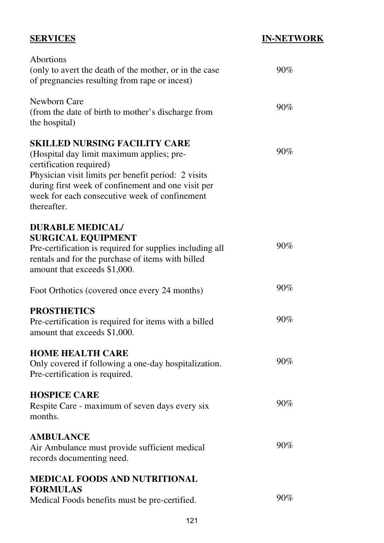## **IN-NETWORK**

| Abortions<br>(only to avert the death of the mother, or in the case<br>of pregnancies resulting from rape or incest)                                                                                                                                                                      | $90\%$ |
|-------------------------------------------------------------------------------------------------------------------------------------------------------------------------------------------------------------------------------------------------------------------------------------------|--------|
| Newborn Care<br>(from the date of birth to mother's discharge from<br>the hospital)                                                                                                                                                                                                       | $90\%$ |
| <b>SKILLED NURSING FACILITY CARE</b><br>(Hospital day limit maximum applies; pre-<br>certification required)<br>Physician visit limits per benefit period: 2 visits<br>during first week of confinement and one visit per<br>week for each consecutive week of confinement<br>thereafter. | 90%    |
| <b>DURABLE MEDICAL/</b><br><b>SURGICAL EQUIPMENT</b><br>Pre-certification is required for supplies including all<br>rentals and for the purchase of items with billed<br>amount that exceeds \$1,000.                                                                                     | 90%    |
| Foot Orthotics (covered once every 24 months)                                                                                                                                                                                                                                             | 90%    |
| <b>PROSTHETICS</b><br>Pre-certification is required for items with a billed<br>amount that exceeds \$1,000.                                                                                                                                                                               | 90%    |
| <b>HOME HEALTH CARE</b><br>Only covered if following a one-day hospitalization.<br>Pre-certification is required.                                                                                                                                                                         | $90\%$ |
| <b>HOSPICE CARE</b><br>Respite Care - maximum of seven days every six<br>months.                                                                                                                                                                                                          | 90%    |
| <b>AMBULANCE</b><br>Air Ambulance must provide sufficient medical<br>records documenting need.                                                                                                                                                                                            | 90%    |
| <b>MEDICAL FOODS AND NUTRITIONAL</b><br><b>FORMULAS</b><br>Medical Foods benefits must be pre-certified.                                                                                                                                                                                  | 90%    |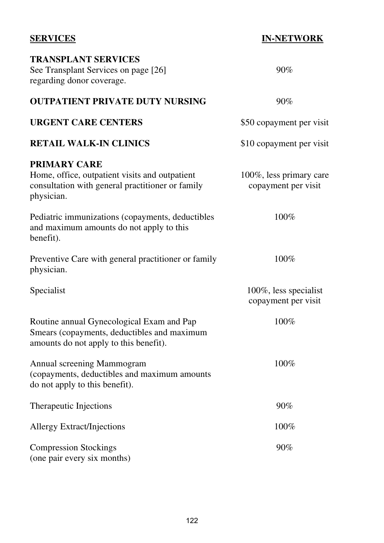### **SERVICES TRANSPLANT SERVICES**  See Transplant Services on page [26] regarding donor coverage. **OUTPATIENT PRIVATE DUTY NURSING URGENT CARE CENTERS RETAIL WALK-IN CLINICS PRIMARY CARE** Home, office, outpatient visits and outpatient consultation with general practitioner or family physician. Pediatric immunizations (copayments, deductibles and maximum amounts do not apply to this benefit). Preventive Care with general practitioner or family physician. Specialist Routine annual Gynecological Exam and Pap Smears (copayments, deductibles and maximum amounts do not apply to this benefit). Annual screening Mammogram (copayments, deductibles and maximum amounts do not apply to this benefit). Therapeutic Injections Allergy Extract/Injections Compression Stockings (one pair every six months) **IN-NETWORK**  90% 90% \$50 copayment per visit \$10 copayment per visit 100%, less primary care copayment per visit 100% 100% 100%, less specialist copayment per visit 100% 100% 90% 100% 90%